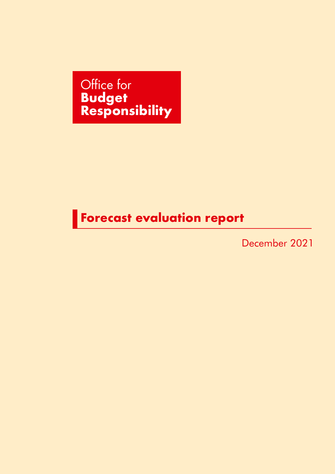Office for **Budget Responsibility**

## **Forecast evaluation report**

December 2021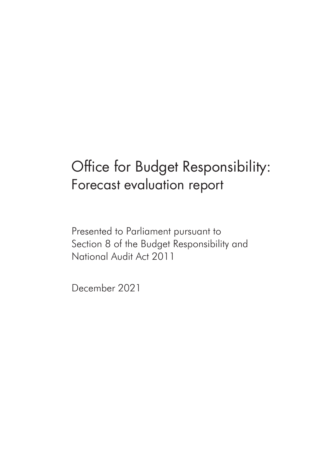# Office for Budget Responsibility: Forecast evaluation report

Presented to Parliament pursuant to Section 8 of the Budget Responsibility and National Audit Act 2011

December 2021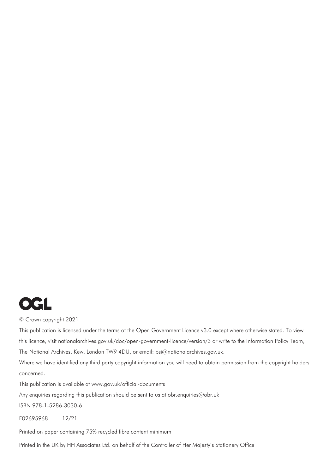

© Crown copyright 2021

This publication is licensed under the terms of the Open Government Licence v3.0 except where otherwise stated. To view this licence, [visit nationalarchives.gov.uk/doc/open-government-licence/version](http://nationalarchives.gov.uk/doc/open-government-licence/version/3)[/3 or w](mailto:psi%40nationalarchives.gsi.gov.uk?subject=)rite to the Information Policy Team, The National Archives, Kew, London TW9 4DU, or email: [psi@nationalarchives.gov.uk.](mailto:psi@nationalarchives.gov.uk) 

Where we have identified any third party copyright information you will need to obtain permission from the copyright holders concerned.

This publication is available at[www.gov.uk/official-documents](http://www.gov.uk/official-documents)

Any enquiries regarding this publication should be sent to us a[t obr.enquiries@obr.uk](mailto:obr.enquiries%40obr.uk?subject=)

ISBN 978-1-5286-3030-6

E02695968 12/21

Printed on paper containing 75% recycled fibre content minimum

Printed in the UK by HH Associates Ltd. on behalf of the Controller of Her Majesty's Stationery Office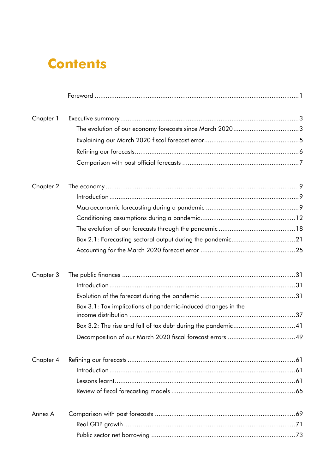## **Contents**

| Chapter 1 |                                                              |  |
|-----------|--------------------------------------------------------------|--|
|           |                                                              |  |
|           |                                                              |  |
|           |                                                              |  |
|           |                                                              |  |
| Chapter 2 |                                                              |  |
|           |                                                              |  |
|           |                                                              |  |
|           |                                                              |  |
|           |                                                              |  |
|           |                                                              |  |
|           |                                                              |  |
| Chapter 3 |                                                              |  |
|           |                                                              |  |
|           |                                                              |  |
|           | Box 3.1: Tax implications of pandemic-induced changes in the |  |
|           |                                                              |  |
|           |                                                              |  |
| Chapter 4 |                                                              |  |
|           |                                                              |  |
|           |                                                              |  |
|           |                                                              |  |
| Annex A   |                                                              |  |
|           |                                                              |  |
|           |                                                              |  |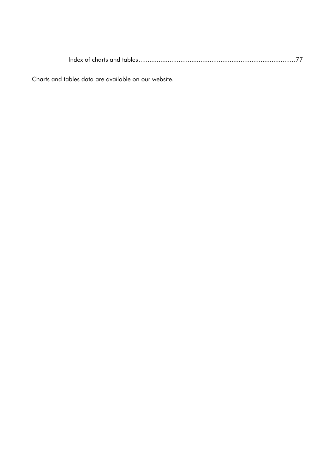Index of charts and tables......................................................................................77

Charts and tables data are available on our website.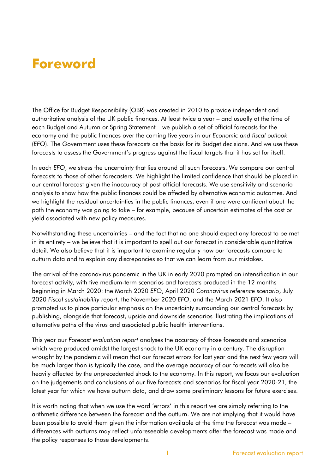## **Foreword**

The Office for Budget Responsibility (OBR) was created in 2010 to provide independent and authoritative analysis of the UK public finances. At least twice a year – and usually at the time of each Budget and Autumn or Spring Statement – we publish a set of official forecasts for the economy and the public finances over the coming five years in our *Economic and fiscal outlook*  (*EFO*). The Government uses these forecasts as the basis for its Budget decisions. And we use these forecasts to assess the Government's progress against the fiscal targets that it has set for itself.

In each *EFO*, we stress the uncertainty that lies around all such forecasts. We compare our central forecasts to those of other forecasters. We highlight the limited confidence that should be placed in our central forecast given the inaccuracy of past official forecasts. We use sensitivity and scenario analysis to show how the public finances could be affected by alternative economic outcomes. And we highlight the residual uncertainties in the public finances, even if one were confident about the path the economy was going to take – for example, because of uncertain estimates of the cost or yield associated with new policy measures.

Notwithstanding these uncertainties – and the fact that no one should expect any forecast to be met in its entirety – we believe that it is important to spell out our forecast in considerable quantitative detail. We also believe that it is important to examine regularly how our forecasts compare to outturn data and to explain any discrepancies so that we can learn from our mistakes.

The arrival of the coronavirus pandemic in the UK in early 2020 prompted an intensification in our forecast activity, with five medium-term scenarios and forecasts produced in the 12 months beginning in March 2020: the March 2020 *EFO*, April 2020 *Coronavirus reference scenario*, July 2020 *Fiscal sustainability report*, the November 2020 *EFO*, and the March 2021 *EFO*. It also prompted us to place particular emphasis on the uncertainty surrounding our central forecasts by publishing, alongside that forecast, upside and downside scenarios illustrating the implications of alternative paths of the virus and associated public health interventions.

This year our *Forecast evaluation report* analyses the accuracy of those forecasts and scenarios which were produced amidst the largest shock to the UK economy in a century. The disruption wrought by the pandemic will mean that our forecast errors for last year and the next few years will be much larger than is typically the case, and the average accuracy of our forecasts will also be heavily affected by the unprecedented shock to the economy. In this report, we focus our evaluation on the judgements and conclusions of our five forecasts and scenarios for fiscal year 2020-21, the latest year for which we have outturn data, and draw some preliminary lessons for future exercises.

It is worth noting that when we use the word 'errors' in this report we are simply referring to the arithmetic difference between the forecast and the outturn. We are not implying that it would have been possible to avoid them given the information available at the time the forecast was made – differences with outturns may reflect unforeseeable developments after the forecast was made and the policy responses to those developments.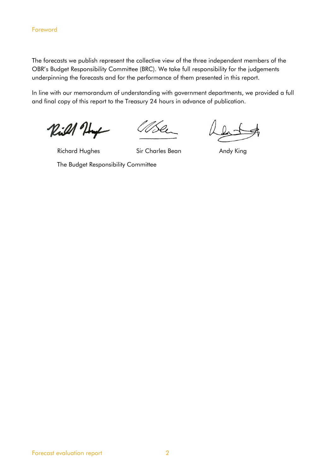The forecasts we publish represent the collective view of the three independent members of the OBR's Budget Responsibility Committee (BRC). We take full responsibility for the judgements underpinning the forecasts and for the performance of them presented in this report.

In line with our memorandum of understanding with government departments, we provided a full and final copy of this report to the Treasury 24 hours in advance of publication.

Rill Huy

Richard Hughes Sir Charles Bean Andy King

The Budget Responsibility Committee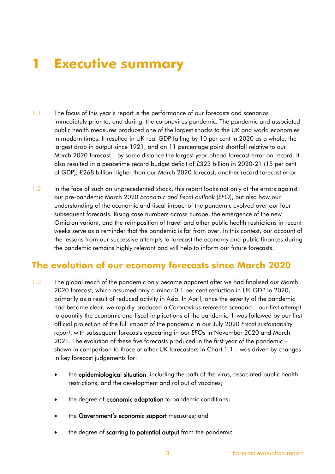# **1 Executive summary**

- 1.1 The focus of this year's report is the performance of our forecasts and scenarios immediately prior to, and during, the coronavirus pandemic. The pandemic and associated public health measures produced one of the largest shocks to the UK and world economies in modern times. It resulted in UK real GDP falling by 10 per cent in 2020 as a whole, the largest drop in output since 1921, and an 11 percentage point shortfall relative to our March 2020 forecast – by some distance the largest year-ahead forecast error on record. It also resulted in a peacetime record budget deficit of £323 billion in 2020-21 (15 per cent of GDP), £268 billion higher than our March 2020 forecast, another record forecast error.
- 1.2 In the face of such an unprecedented shock, this report looks not only at the errors against our pre-pandemic March 2020 *Economic and fiscal outlook* (*EFO*), but also how our understanding of the economic and fiscal impact of the pandemic evolved over our four subsequent forecasts. Rising case numbers across Europe, the emergence of the new Omicron variant, and the reimposition of travel and other public health restrictions in recent weeks serve as a reminder that the pandemic is far from over. In this context, our account of the lessons from our successive attempts to forecast the economy and public finances during the pandemic remains highly relevant and will help to inform our future forecasts.

## **The evolution of our economy forecasts since March 2020**

- 1.3 The global reach of the pandemic only became apparent after we had finalised our March 2020 forecast, which assumed only a minor 0.1 per cent reduction in UK GDP in 2020, primarily as a result of reduced activity in Asia. In April, once the severity of the pandemic had become clear, we rapidly produced a *Coronavirus reference scenario* – our first attempt to quantify the economic and fiscal implications of the pandemic. It was followed by our first official projection of the full impact of the pandemic in our July 2020 *Fiscal sustainability report*, with subsequent forecasts appearing in our *EFO*s in November 2020 and March 2021. The evolution of these five forecasts produced in the first year of the pandemic – shown in comparison to those of other UK forecasters in Chart 1.1 – was driven by changes in key forecast judgements for:
	- the epidemiological situation, including the path of the virus, associated public health restrictions, and the development and rollout of vaccines;
	- the degree of **economic adaptation** to pandemic conditions;
	- the Government's economic support measures; and
	- the degree of scarring to potential output from the pandemic.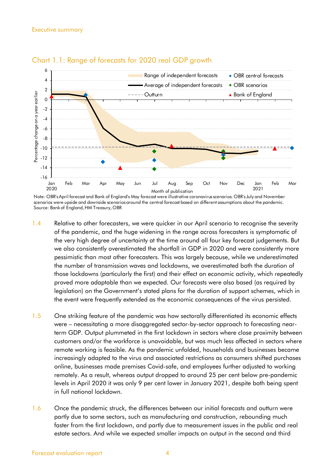



Note: OBR's April forecast and Bank of England's May forecast were illustrative coronavirus scenarios. OBR's July and November scenarios were upside and downside scenarios around the central forecast based on different assumptions about the pandemic. Source: Bankof England, HM Treasury, OBR

- 1.4 Relative to other forecasters, we were quicker in our April scenario to recognise the severity of the pandemic, and the huge widening in the range across forecasters is symptomatic of the very high degree of uncertainty at the time around all four key forecast judgements. But we also consistently overestimated the shortfall in GDP in 2020 and were consistently more pessimistic than most other forecasters. This was largely because, while we underestimated the number of transmission waves and lockdowns, we overestimated both the duration of those lockdowns (particularly the first) and their effect on economic activity, which repeatedly proved more adaptable than we expected. Our forecasts were also based (as required by legislation) on the Government's stated plans for the duration of support schemes, which in the event were frequently extended as the economic consequences of the virus persisted.
- 1.5 One striking feature of the pandemic was how sectorally differentiated its economic effects were – necessitating a more disaggregated sector-by-sector approach to forecasting nearterm GDP. Output plummeted in the first lockdown in sectors where close proximity between customers and/or the workforce is unavoidable, but was much less affected in sectors where remote working is feasible. As the pandemic unfolded, households and businesses became increasingly adapted to the virus and associated restrictions as consumers shifted purchases online, businesses made premises Covid-safe, and employees further adjusted to working remotely. As a result, whereas output dropped to around 25 per cent below pre-pandemic levels in April 2020 it was only 9 per cent lower in January 2021, despite both being spent in full national lockdown.
- 1.6 Once the pandemic struck, the differences between our initial forecasts and outturn were partly due to some sectors, such as manufacturing and construction, rebounding much faster from the first lockdown, and partly due to measurement issues in the public and real estate sectors. And while we expected smaller impacts on output in the second and third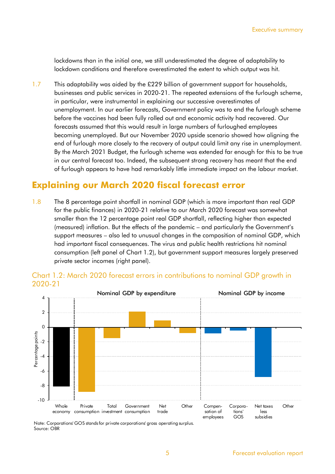lockdowns than in the initial one, we still underestimated the degree of adaptability to lockdown conditions and therefore overestimated the extent to which output was hit.

1.7 This adaptability was aided by the £229 billion of government support for households, businesses and public services in 2020-21. The repeated extensions of the furlough scheme, in particular, were instrumental in explaining our successive overestimates of unemployment. In our earlier forecasts, Government policy was to end the furlough scheme before the vaccines had been fully rolled out and economic activity had recovered. Our forecasts assumed that this would result in large numbers of furloughed employees becoming unemployed. But our November 2020 upside scenario showed how aligning the end of furlough more closely to the recovery of output could limit any rise in unemployment. By the March 2021 Budget, the furlough scheme was extended far enough for this to be true in our central forecast too. Indeed, the subsequent strong recovery has meant that the end of furlough appears to have had remarkably little immediate impact on the labour market.

## **Explaining our March 2020 fiscal forecast error**

1.8 The 8 percentage point shortfall in nominal GDP (which is more important than real GDP for the public finances) in 2020-21 relative to our March 2020 forecast was somewhat smaller than the 12 percentage point real GDP shortfall, reflecting higher than expected (measured) inflation. But the effects of the pandemic – and particularly the Government's support measures – also led to unusual changes in the composition of nominal GDP, which had important fiscal consequences. The virus and public health restrictions hit nominal consumption (left panel of Chart 1.2), but government support measures largely preserved private sector incomes (right panel).



#### Chart 1.2: March 2020 forecast errors in contributions to nominal GDP growth in 2020-21

Note: Corporations' GOS stands for private corporations' gross operating surplus. Source: OBR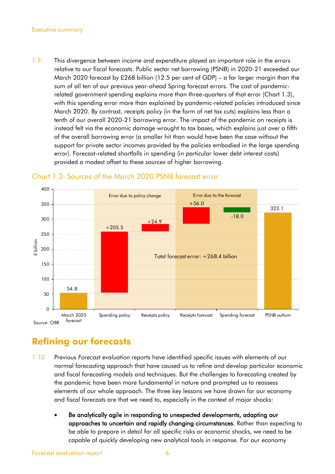#### Executive summary

1.9 This divergence between income and expenditure played an important role in the errors relative to our fiscal forecasts. Public sector net borrowing (PSNB) in 2020-21 exceeded our March 2020 forecast by £268 billion (12.5 per cent of GDP) – a far larger margin than the sum of all ten of our previous year-ahead Spring forecast errors. The cost of pandemicrelated government spending explains more than three-quarters of that error (Chart 1.3), with this spending error more than explained by pandemic-related policies introduced since March 2020. By contrast, receipts policy (in the form of net tax cuts) explains less than a tenth of our overall 2020-21 borrowing error. The impact of the pandemic on receipts is instead felt via the economic damage wrought to tax bases, which explains just over a fifth of the overall borrowing error (a smaller hit than would have been the case without the support for private sector incomes provided by the policies embodied in the large spending error). Forecast-related shortfalls in spending (in particular lower debt interest costs) provided a modest offset to these sources of higher borrowing.



#### Chart 1.3: Sources of the March 2020 PSNB forecast error

## **Refining our forecasts**

- 1.10 Previous *Forecast evaluation report*s have identified specific issues with elements of our normal forecasting approach that have caused us to refine and develop particular economic and fiscal forecasting models and techniques. But the challenges to forecasting created by the pandemic have been more fundamental in nature and prompted us to reassess elements of our whole approach. The three key lessons we have drawn for our economy and fiscal forecasts are that we need to, especially in the context of major shocks:
	- Be analytically agile in responding to unexpected developments, adapting our approaches to uncertain and rapidly changing circumstances. Rather than expecting to be able to prepare in detail for all specific risks or economic shocks, we need to be capable of quickly developing new analytical tools in response. For our economy

Forecast evaluation report and the contract of the 6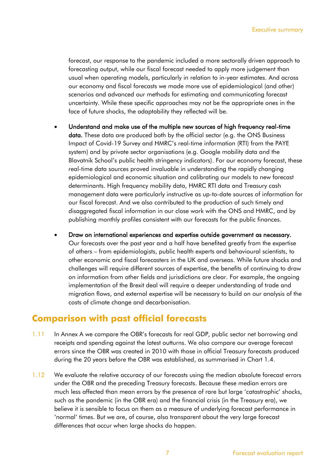forecast, our response to the pandemic included a more sectorally driven approach to forecasting output, while our fiscal forecast needed to apply more judgement than usual when operating models, particularly in relation to in-year estimates. And across our economy and fiscal forecasts we made more use of epidemiological (and other) scenarios and advanced our methods for estimating and communicating forecast uncertainty. While these specific approaches may not be the appropriate ones in the face of future shocks, the adaptability they reflected will be.

- Understand and make use of the multiple new sources of high frequency real-time data. These data are produced both by the official sector (e.g. the ONS Business Impact of Covid-19 Survey and HMRC's real-time information (RTI) from the PAYE system) and by private sector organisations (e.g. Google mobility data and the Blavatnik School's public health stringency indicators). For our economy forecast, these real-time data sources proved invaluable in understanding the rapidly changing epidemiological and economic situation and calibrating our models to new forecast determinants. High frequency mobility data, HMRC RTI data and Treasury cash management data were particularly instructive as up-to-date sources of information for our fiscal forecast. And we also contributed to the production of such timely and disaggregated fiscal information in our close work with the ONS and HMRC, and by publishing monthly profiles consistent with our forecasts for the public finances.
- Draw on international experiences and expertise outside government as necessary. Our forecasts over the past year and a half have benefited greatly from the expertise of others – from epidemiologists, public health experts and behavioural scientists, to other economic and fiscal forecasters in the UK and overseas. While future shocks and challenges will require different sources of expertise, the benefits of continuing to draw on information from other fields and jurisdictions are clear. For example, the ongoing implementation of the Brexit deal will require a deeper understanding of trade and migration flows, and external expertise will be necessary to build on our analysis of the costs of climate change and decarbonisation.

### **Comparison with past official forecasts**

- 1.11 In Annex A we compare the OBR's forecasts for real GDP, public sector net borrowing and receipts and spending against the latest outturns. We also compare our average forecast errors since the OBR was created in 2010 with those in official Treasury forecasts produced during the 20 years before the OBR was established, as summarised in Chart 1.4.
- 1.12 We evaluate the relative accuracy of our forecasts using the median absolute forecast errors under the OBR and the preceding Treasury forecasts. Because these median errors are much less affected than mean errors by the presence of rare but large 'catastrophic' shocks, such as the pandemic (in the OBR era) and the financial crisis (in the Treasury era), we believe it is sensible to focus on them as a measure of underlying forecast performance in 'normal' times. But we are, of course, also transparent about the very large forecast differences that occur when large shocks do happen.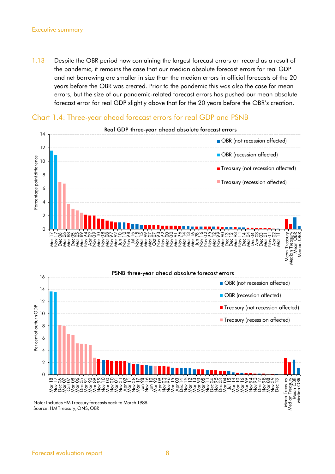#### Executive summary

1.13 Despite the OBR period now containing the largest forecast errors on record as a result of the pandemic, it remains the case that our median absolute forecast errors for real GDP and net borrowing are smaller in size than the median errors in official forecasts of the 20 years before the OBR was created. Prior to the pandemic this was also the case for mean errors, but the size of our pandemic-related forecast errors has pushed our mean absolute forecast error for real GDP slightly above that for the 20 years before the OBR's creation.



#### Chart 1.4: Three-year ahead forecast errors for real GDP and PSNB



Note: Includes HM Treasury forecasts back to March 1988. Source: HM Treasury, ONS, OBR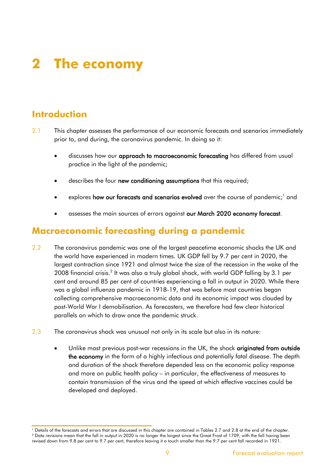# **2 The economy**

## **Introduction**

- 2.1 This chapter assesses the performance of our economic forecasts and scenarios immediately prior to, and during, the coronavirus pandemic. In doing so it:
	- discusses how our **approach to macroeconomic forecasting** has differed from usual practice in the light of the pandemic;
	- describes the four new conditioning assumptions that this required;
	- explores **how our forecasts and scenarios evolved** over the course of pandemic;<sup>1</sup> and
	- assesses the main sources of errors against our March 2020 economy forecast.

## **Macroeconomic forecasting during a pandemic**

- 2.2 The coronavirus pandemic was one of the largest peacetime economic shocks the UK and the world have experienced in modern times. UK GDP fell by 9.7 per cent in 2020, the largest contraction since 1921 and almost twice the size of the recession in the wake of the 2008 financial crisis.<sup>2</sup> It was also a truly global shock, with world GDP falling by 3.1 per cent and around 85 per cent of countries experiencing a fall in output in 2020. While there was a global influenza pandemic in 1918-19, that was before most countries began collecting comprehensive macroeconomic data and its economic impact was clouded by post-World War I demobilisation. As forecasters, we therefore had few clear historical parallels on which to draw once the pandemic struck.
- 2.3 The coronavirus shock was unusual not only in its scale but also in its nature:
	- Unlike most previous post-war recessions in the UK, the shock originated from outside the economy in the form of a highly infectious and potentially fatal disease. The depth and duration of the shock therefore depended less on the economic policy response and more on public health policy – in particular, the effectiveness of measures to contain transmission of the virus and the speed at which effective vaccines could be developed and deployed.

<sup>1</sup> Details of the forecasts and errors that are discussed in this chapter are contained in Tables 2.7 and 2.8 at the end of the chapter. <sup>2</sup> Data revisions mean that the fall in output in 2020 is no longer the largest since the Great Frost of 1709, with the fall having been revised down from 9.8 per cent to 9.7 per cent, therefore leaving it a touch smaller than the 9.7 per cent fall recorded in 1921.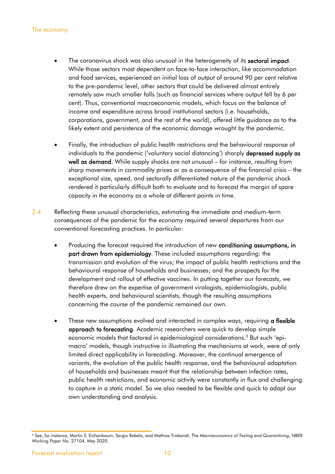- The coronavirus shock was also unusual in the heterogeneity of its sectoral impact. While those sectors most dependent on face-to-face interaction, like accommodation and food services, experienced an initial loss of output of around 90 per cent relative to the pre-pandemic level, other sectors that could be delivered almost entirely remotely saw much smaller falls (such as financial services where output fell by 6 per cent). Thus, conventional macroeconomic models, which focus on the balance of income and expenditure across broad institutional sectors (i.e. households, corporations, government, and the rest of the world), offered little guidance as to the likely extent and persistence of the economic damage wrought by the pandemic.
- Finally, the introduction of public health restrictions and the behavioural response of individuals to the pandemic ('voluntary social distancing') sharply depressed supply as well as demand. While supply shocks are not unusual – for instance, resulting from sharp movements in commodity prices or as a consequence of the financial crisis – the exceptional size, speed, and sectorally differentiated nature of the pandemic shock rendered it particularly difficult both to evaluate and to forecast the margin of spare capacity in the economy as a whole at different points in time.
- 2.4 Reflecting these unusual characteristics, estimating the immediate and medium-term consequences of the pandemic for the economy required several departures from our conventional forecasting practices. In particular:
	- Producing the forecast required the introduction of new conditioning assumptions, in part drawn from epidemiology. These included assumptions regarding: the transmission and evolution of the virus; the impact of public health restrictions and the behavioural response of households and businesses; and the prospects for the development and rollout of effective vaccines. In putting together our forecasts, we therefore drew on the expertise of government virologists, epidemiologists, public health experts, and behavioural scientists, though the resulting assumptions concerning the course of the pandemic remained our own.
	- These new assumptions evolved and interacted in complex ways, requiring a flexible approach to forecasting. Academic researchers were quick to develop simple economic models that factored in epidemiological considerations.<sup>3</sup> But such 'epimacro' models, though instructive in illustrating the mechanisms at work, were of only limited direct applicability in forecasting. Moreover, the continual emergence of variants, the evolution of the public health response, and the behavioural adaptation of households and businesses meant that the relationship between infection rates, public health restrictions, and economic activity were constantly in flux and challenging to capture in a static model. So we also needed to be flexible and quick to adapt our own understanding and analysis.

<sup>3</sup> See, for instance, Martin S. Eichenbaum, Sergio Rebelo, and Mathias Trabandt, *The Macroeconomics of Testing and Quarantining*, NBER Working Paper No. 27104, May 2020.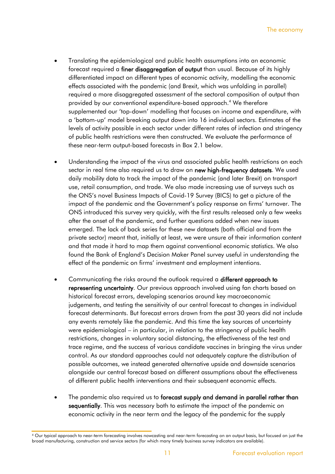- Translating the epidemiological and public health assumptions into an economic forecast required a finer disaggregation of output than usual. Because of its highly differentiated impact on different types of economic activity, modelling the economic effects associated with the pandemic (and Brexit, which was unfolding in parallel) required a more disaggregated assessment of the sectoral composition of output than provided by our conventional expenditure-based approach. <sup>4</sup> We therefore supplemented our 'top-down' modelling that focuses on income and expenditure, with a 'bottom-up' model breaking output down into 16 individual sectors. Estimates of the levels of activity possible in each sector under different rates of infection and stringency of public health restrictions were then constructed. We evaluate the performance of these near-term output-based forecasts in Box 2.1 below.
- Understanding the impact of the virus and associated public health restrictions on each sector in real time also required us to draw on new high-frequency datasets. We used daily mobility data to track the impact of the pandemic (and later Brexit) on transport use, retail consumption, and trade. We also made increasing use of surveys such as the ONS's novel Business Impacts of Covid-19 Survey (BICS) to get a picture of the impact of the pandemic and the Government's policy response on firms' turnover. The ONS introduced this survey very quickly, with the first results released only a few weeks after the onset of the pandemic, and further questions added when new issues emerged. The lack of back series for these new datasets (both official and from the private sector) meant that, initially at least, we were unsure of their information content and that made it hard to map them against conventional economic statistics. We also found the Bank of England's Decision Maker Panel survey useful in understanding the effect of the pandemic on firms' investment and employment intentions.
- Communicating the risks around the outlook required a different approach to representing uncertainty. Our previous approach involved using fan charts based on historical forecast errors, developing scenarios around key macroeconomic judgements, and testing the sensitivity of our central forecast to changes in individual forecast determinants. But forecast errors drawn from the past 30 years did not include any events remotely like the pandemic. And this time the key sources of uncertainty were epidemiological – in particular, in relation to the stringency of public health restrictions, changes in voluntary social distancing, the effectiveness of the test and trace regime, and the success of various candidate vaccines in bringing the virus under control. As our standard approaches could not adequately capture the distribution of possible outcomes, we instead generated alternative upside and downside scenarios alongside our central forecast based on different assumptions about the effectiveness of different public health interventions and their subsequent economic effects.
- The pandemic also required us to forecast supply and demand in parallel rather than sequentially. This was necessary both to estimate the impact of the pandemic on economic activity in the near term and the legacy of the pandemic for the supply

<sup>&</sup>lt;sup>4</sup> Our typical approach to near-term forecasting involves nowcasting and near-term forecasting on an output basis, but focused on just the broad manufacturing, construction and service sectors (for which many timely business survey indicators are available).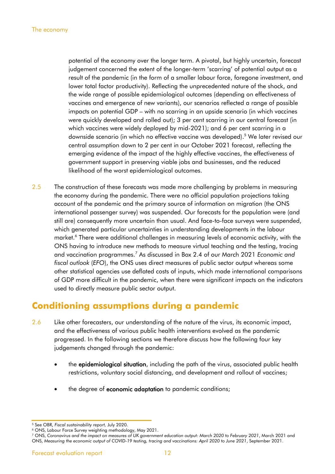potential of the economy over the longer term. A pivotal, but highly uncertain, forecast judgement concerned the extent of the longer-term 'scarring' of potential output as a result of the pandemic (in the form of a smaller labour force, foregone investment, and lower total factor productivity). Reflecting the unprecedented nature of the shock, and the wide range of possible epidemiological outcomes (depending on effectiveness of vaccines and emergence of new variants), our scenarios reflected a range of possible impacts on potential GDP – with no scarring in an upside scenario (in which vaccines were quickly developed and rolled out); 3 per cent scarring in our central forecast (in which vaccines were widely deployed by mid-2021); and 6 per cent scarring in a downside scenario (in which no effective vaccine was developed). <sup>5</sup> We later revised our central assumption down to 2 per cent in our October 2021 forecast, reflecting the emerging evidence of the impact of the highly effective vaccines, the effectiveness of government support in preserving viable jobs and businesses, and the reduced likelihood of the worst epidemiological outcomes.

2.5 The construction of these forecasts was made more challenging by problems in measuring the economy during the pandemic. There were no official population projections taking account of the pandemic and the primary source of information on migration (the ONS international passenger survey) was suspended. Our forecasts for the population were (and still are) consequently more uncertain than usual. And face-to-face surveys were suspended, which generated particular uncertainties in understanding developments in the labour market.<sup>6</sup> There were additional challenges in measuring levels of economic activity, with the ONS having to introduce new methods to measure virtual teaching and the testing, tracing and vaccination programmes.<sup>7</sup> As discussed in Box 2.4 of our March 2021 *Economic and fiscal outlook* (*EFO*), the ONS uses direct measures of public sector output whereas some other statistical agencies use deflated costs of inputs, which made international comparisons of GDP more difficult in the pandemic, when there were significant impacts on the indicators used to directly measure public sector output.

## **Conditioning assumptions during a pandemic**

- 2.6 Like other forecasters, our understanding of the nature of the virus, its economic impact, and the effectiveness of various public health interventions evolved as the pandemic progressed. In the following sections we therefore discuss how the following four key judgements changed through the pandemic:
	- the **epidemiological situation**, including the path of the virus, associated public health restrictions, voluntary social distancing, and development and rollout of vaccines;
	- the degree of **economic adaptation** to pandemic conditions;

<sup>5</sup> See OBR, *Fiscal sustainability report,* July 2020.

<sup>6</sup> ONS, Labour Force Survey weighting methodology, May 2021.

<sup>7</sup> ONS, *Coronavirus and the impact on measures of UK government education output: March 2020 to February 2021*, March 2021 and ONS, *Measuring the economic output of COVID-19 testing, tracing and vaccinations: April 2020 to June 2021*, September 2021.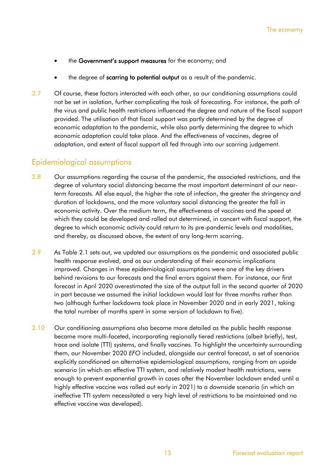- the Government's support measures for the economy; and
- the degree of scarring to potential output as a result of the pandemic.
- 2.7 Of course, these factors interacted with each other, so our conditioning assumptions could not be set in isolation, further complicating the task of forecasting. For instance, the path of the virus and public health restrictions influenced the degree and nature of the fiscal support provided. The utilisation of that fiscal support was partly determined by the degree of economic adaptation to the pandemic, while also partly determining the degree to which economic adaptation could take place. And the effectiveness of vaccines, degree of adaptation, and extent of fiscal support all fed through into our scarring judgement.

#### Epidemiological assumptions

- 2.8 Our assumptions regarding the course of the pandemic, the associated restrictions, and the degree of voluntary social distancing became the most important determinant of our nearterm forecasts. All else equal, the higher the rate of infection, the greater the stringency and duration of lockdowns, and the more voluntary social distancing the greater the fall in economic activity. Over the medium term, the effectiveness of vaccines and the speed at which they could be developed and rolled out determined, in concert with fiscal support, the degree to which economic activity could return to its pre-pandemic levels and modalities, and thereby, as discussed above, the extent of any long-term scarring.
- 2.9 As Table 2.1 sets out, we updated our assumptions as the pandemic and associated public health response evolved, and as our understanding of their economic implications improved. Changes in these epidemiological assumptions were one of the key drivers behind revisions to our forecasts and the final errors against them. For instance, our first forecast in April 2020 overestimated the size of the output fall in the second quarter of 2020 in part because we assumed the initial lockdown would last for three months rather than two (although further lockdowns took place in November 2020 and in early 2021, taking the total number of months spent in some version of lockdown to five).
- 2.10 Our conditioning assumptions also became more detailed as the public health response became more multi-faceted, incorporating regionally tiered restrictions (albeit briefly), test, trace and isolate (TTI) systems, and finally vaccines. To highlight the uncertainty surrounding them, our November 2020 *EFO* included, alongside our central forecast, a set of scenarios explicitly conditioned on alternative epidemiological assumptions, ranging from an upside scenario (in which an effective TTI system, and relatively modest health restrictions, were enough to prevent exponential growth in cases after the November lockdown ended until a highly effective vaccine was rolled out early in 2021) to a downside scenario (in which an ineffective TTI system necessitated a very high level of restrictions to be maintained and no effective vaccine was developed).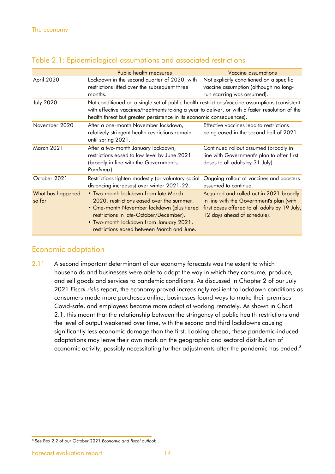|                             | Public health measures                                                                                                                                                                                                                                                   | Vaccine assumptions                                                                                                                                                 |
|-----------------------------|--------------------------------------------------------------------------------------------------------------------------------------------------------------------------------------------------------------------------------------------------------------------------|---------------------------------------------------------------------------------------------------------------------------------------------------------------------|
| April 2020                  | Lockdown in the second quarter of 2020, with<br>restrictions lifted over the subsequent three<br>months.                                                                                                                                                                 | Not explicitly conditioned on a specific<br>vaccine assumption (although no long-<br>run scarring was assumed).                                                     |
| <b>July 2020</b>            | Not conditioned on a single set of public health restrictions/vaccine assumptions (consistent<br>with effective vaccines/treatments taking a year to deliver, or with a faster resolution of the<br>health threat but greater persistence in its economic consequences). |                                                                                                                                                                     |
| November 2020               | After a one-month November lockdown,<br>relatively stringent health restrictions remain<br>until spring 2021.                                                                                                                                                            | Effective vaccines lead to restrictions<br>being eased in the second half of 2021.                                                                                  |
| <b>March 2021</b>           | After a two-month January lockdown,<br>restrictions eased to low level by June 2021<br>(broadly in line with the Government's<br>Roadmap).                                                                                                                               | Continued rollout assumed (broadly in<br>line with Government's plan to offer first<br>doses to all adults by 31 July).                                             |
| October 2021                | Restrictions tighten modestly (or voluntary social<br>distancing increases) over winter 2021-22.                                                                                                                                                                         | Ongoing rollout of vaccines and boosters<br>assumed to continue.                                                                                                    |
| What has happened<br>so far | • Two-month lockdown from late March<br>2020, restrictions eased over the summer.<br>• One-month November lockdown (plus tiered<br>restrictions in late-October/December).<br>. Two-month lockdown from January 2021,<br>restrictions eased between March and June.      | Acquired and rolled out in 2021 broadly<br>in line with the Government's plan (with<br>first doses offered to all adults by 19 July,<br>12 days ahead of schedule). |

#### Table 2.1: Epidemiological assumptions and associated restrictions

### Economic adaptation

2.11 A second important determinant of our economy forecasts was the extent to which households and businesses were able to adapt the way in which they consume, produce, and sell goods and services to pandemic conditions. As discussed in Chapter 2 of our July 2021 *Fiscal risks report*, the economy proved increasingly resilient to lockdown conditions as consumers made more purchases online, businesses found ways to make their premises Covid-safe, and employees became more adept at working remotely. As shown in Chart 2.1, this meant that the relationship between the stringency of public health restrictions and the level of output weakened over time, with the second and third lockdowns causing significantly less economic damage than the first. Looking ahead, these pandemic-induced adaptations may leave their own mark on the geographic and sectoral distribution of economic activity, possibly necessitating further adjustments after the pandemic has ended. $^8$ 

<sup>8</sup> See Box 2.2 of our October 2021 *Economic and fiscal outlook*.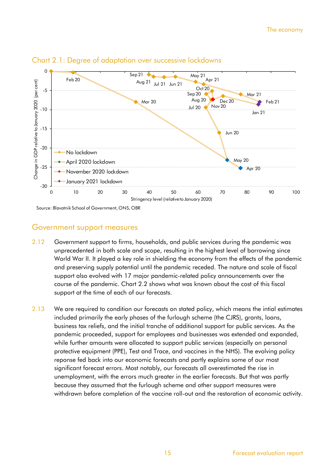

#### Chart 2.1: Degree of adaptation over successive lockdowns

Source: Blavatnik School of Government, ONS, OBR

#### Government support measures

- 2.12 Government support to firms, households, and public services during the pandemic was unprecedented in both scale and scope, resulting in the highest level of borrowing since World War II. It played a key role in shielding the economy from the effects of the pandemic and preserving supply potential until the pandemic receded. The nature and scale of fiscal support also evolved with 17 major pandemic-related policy announcements over the course of the pandemic. Chart 2.2 shows what was known about the cost of this fiscal support at the time of each of our forecasts.
- 2.13 We are required to condition our forecasts on stated policy, which means the intial estimates included primarily the early phases of the furlough scheme (the CJRS), grants, loans, business tax reliefs, and the initial tranche of additional support for public services. As the pandemic proceeded, support for employees and businesses was extended and expanded, while further amounts were allocated to support public services (especially on personal protective equipment (PPE), Test and Trace, and vaccines in the NHS). The evolving policy reponse fed back into our economic forecasts and partly explains some of our most significant forecast errors. Most notably, our forecasts all overestimated the rise in unemployment, with the errors much greater in the earlier forecasts. But that was partly because they assumed that the furlough scheme and other support measures were withdrawn before completion of the vaccine roll-out and the restoration of economic activity.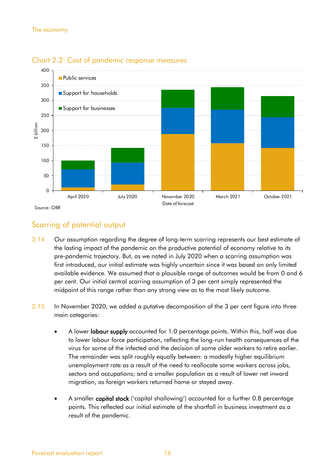

#### Chart 2.2: Cost of pandemic response measures

### Scarring of potential output

- 2.14 Our assumption regarding the degree of long-term scarring represents our best estimate of the lasting impact of the pandemic on the productive potential of economy relative to its pre-pandemic trajectory. But, as we noted in July 2020 when a scarring assumption was first introduced, our initial estimate was highly uncertain since it was based on only limited available evidence. We assumed that a plausible range of outcomes would be from 0 and 6 per cent. Our initial central scarring assumption of 3 per cent simply represented the midpoint of this range rather than any strong view as to the most likely outcome.
- 2.15 In November 2020, we added a putative decomposition of the 3 per cent figure into three main categories:
	- A lower **labour supply** accounted for 1.0 percentage points. Within this, half was due to lower labour force participation, reflecting the long-run health consequences of the virus for some of the infected and the decision of some older workers to retire earlier. The remainder was split roughly equally between: a modestly higher equilibrium unemployment rate as a result of the need to reallocate some workers across jobs, sectors and occupations; and a smaller population as a result of lower net inward migration, as foreign workers returned home or stayed away.
	- A smaller capital stock ('capital shallowing') accounted for a further 0.8 percentage points. This reflected our initial estimate of the shortfall in business investment as a result of the pandemic.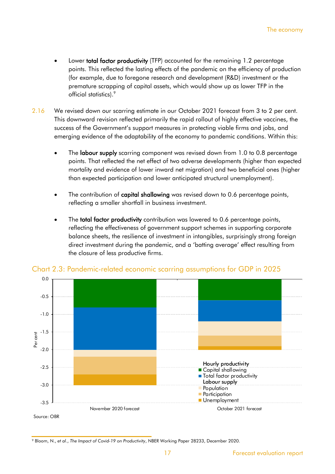- Lower **total factor productivity** (TFP) accounted for the remaining 1.2 percentage points. This reflected the lasting effects of the pandemic on the efficiency of production (for example, due to foregone research and development (R&D) investment or the premature scrapping of capital assets, which would show up as lower TFP in the official statistics). 9
- 2.16 We revised down our scarring estimate in our October 2021 forecast from 3 to 2 per cent. This downward revision reflected primarily the rapid rollout of highly effective vaccines, the success of the Government's support measures in protecting viable firms and jobs, and emerging evidence of the adaptability of the economy to pandemic conditions. Within this:
	- The labour supply scarring component was revised down from 1.0 to 0.8 percentage points. That reflected the net effect of two adverse developments (higher than expected mortality and evidence of lower inward net migration) and two beneficial ones (higher than expected participation and lower anticipated structural unemployment).
	- The contribution of capital shallowing was revised down to 0.6 percentage points, reflecting a smaller shortfall in business investment.
	- The **total factor productivity** contribution was lowered to 0.6 percentage points, reflecting the effectiveness of government support schemes in supporting corporate balance sheets, the resilience of investment in intangibles, surprisingly strong foreign direct investment during the pandemic, and a 'batting average' effect resulting from the closure of less productive firms.



Chart 2.3: Pandemic-related economic scarring assumptions for GDP in 2025

<sup>9</sup> Bloom, N., *et al*., *The Impact of Covid-19 on Productivity*, NBER Working Paper 28233, December 2020.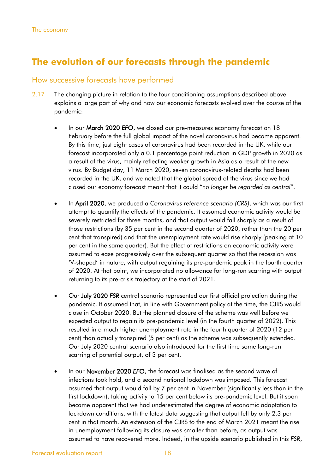## **The evolution of our forecasts through the pandemic**

#### How successive forecasts have performed

- 2.17 The changing picture in relation to the four conditioning assumptions described above explains a large part of why and how our economic forecasts evolved over the course of the pandemic:
	- In our March 2020 *EFO*, we closed our pre-measures economy forecast on 18 February before the full global impact of the novel coronavirus had become apparent. By this time, just eight cases of coronavirus had been recorded in the UK, while our forecast incorporated only a 0.1 percentage point reduction in GDP growth in 2020 as a result of the virus, mainly reflecting weaker growth in Asia as a result of the new virus. By Budget day, 11 March 2020, seven coronavirus-related deaths had been recorded in the UK, and we noted that the global spread of the virus since we had closed our economy forecast meant that it could "*no longer be regarded as central*".
	- In April 2020, we produced a *Coronavirus reference scenario (CRS)*, which was our first attempt to quantify the effects of the pandemic. It assumed economic activity would be severely restricted for three months, and that output would fall sharply as a result of those restrictions (by 35 per cent in the second quarter of 2020, rather than the 20 per cent that transpired) and that the unemployment rate would rise sharply (peaking at 10 per cent in the same quarter). But the effect of restrictions on economic activity were assumed to ease progressively over the subsequent quarter so that the recession was 'V-shaped' in nature, with output regaining its pre-pandemic peak in the fourth quarter of 2020. At that point, we incorporated no allowance for long-run scarring with output returning to its pre-crisis trajectory at the start of 2021.
	- Our July 2020 *FSR* central scenario represented our first official projection during the pandemic. It assumed that, in line with Government policy at the time, the CJRS would close in October 2020. But the planned closure of the scheme was well before we expected output to regain its pre-pandemic level (in the fourth quarter of 2022). This resulted in a much higher unemployment rate in the fourth quarter of 2020 (12 per cent) than actually transpired (5 per cent) as the scheme was subsequently extended. Our July 2020 central scenario also introduced for the first time some long-run scarring of potential output, of 3 per cent.
	- In our November 2020 *EFO*, the forecast was finalised as the second wave of infections took hold, and a second national lockdown was imposed. This forecast assumed that output would fall by 7 per cent in November (significantly less than in the first lockdown), taking activity to 15 per cent below its pre-pandemic level. But it soon became apparent that we had underestimated the degree of economic adaptation to lockdown conditions, with the latest data suggesting that output fell by only 2.3 per cent in that month. An extension of the CJRS to the end of March 2021 meant the rise in unemployment following its closure was smaller than before, as output was assumed to have recovered more. Indeed, in the upside scenario published in this *FSR*,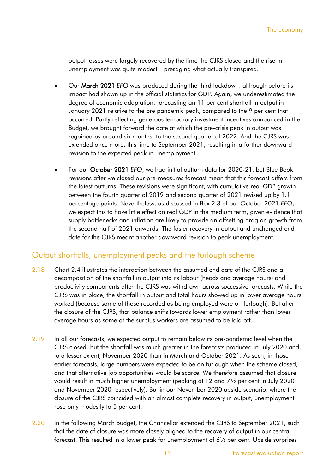output losses were largely recovered by the time the CJRS closed and the rise in unemployment was quite modest – presaging what actually transpired.

- Our March 2021 *EFO* was produced during the third lockdown, although before its impact had shown up in the official statistics for GDP. Again, we underestimated the degree of economic adaptation, forecasting an 11 per cent shortfall in output in January 2021 relative to the pre pandemic peak, compared to the 9 per cent that occurred. Partly reflecting generous temporary investment incentives announced in the Budget, we brought forward the date at which the pre-crisis peak in output was regained by around six months, to the second quarter of 2022. And the CJRS was extended once more, this time to September 2021, resulting in a further downward revision to the expected peak in unemployment.
- For our October 2021 *EFO*, we had initial outturn data for 2020-21, but Blue Book revisions after we closed our pre-measures forecast mean that this forecast differs from the latest outturns. These revisions were significant, with cumulative real GDP growth between the fourth quarter of 2019 and second quarter of 2021 revised up by 1.1 percentage points. Nevertheless, as discussed in Box 2.3 of our October 2021 *EFO*, we expect this to have little effect on real GDP in the medium term, given evidence that supply bottlenecks and inflation are likely to provide an offsetting drag on growth from the second half of 2021 onwards. The faster recovery in output and unchanged end date for the CJRS meant another downward revision to peak unemployment.

### Output shortfalls, unemployment peaks and the furlough scheme

- 2.18 Chart 2.4 illustrates the interaction between the assumed end date of the CJRS and a decomposition of the shortfall in output into its labour (heads and average hours) and productivity components after the CJRS was withdrawn across successive forecasts. While the CJRS was in place, the shortfall in output and total hours showed up in lower average hours worked (because some of those recorded as being employed were on furlough). But after the closure of the CJRS, that balance shifts towards lower employment rather than lower average hours as some of the surplus workers are assumed to be laid off.
- 2.19 In all our forecasts, we expected output to remain below its pre-pandemic level when the CJRS closed, but the shortfall was much greater in the forecasts produced in July 2020 and, to a lesser extent, November 2020 than in March and October 2021. As such, in those earlier forecasts, large numbers were expected to be on furlough when the scheme closed, and that alternative job opportunities would be scarce. We therefore assumed that closure would result in much higher unemployment (peaking at 12 and 7½ per cent in July 2020 and November 2020 respectively). But in our November 2020 upside scenario, where the closure of the CJRS coincided with an almost complete recovery in output, unemployment rose only modestly to 5 per cent.
- 2.20 In the following March Budget, the Chancellor extended the CJRS to September 2021, such that the date of closure was more closely aligned to the recovery of output in our central forecast. This resulted in a lower peak for unemployment of 6½ per cent. Upside surprises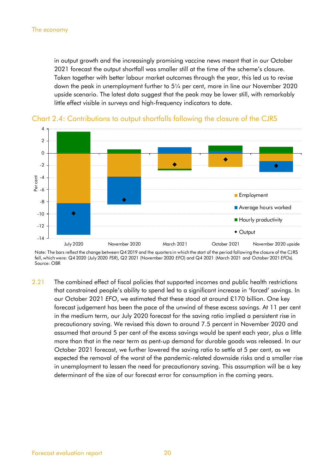in output growth and the increasingly promising vaccine news meant that in our October 2021 forecast the output shortfall was smaller still at the time of the scheme's closure. Taken together with better labour market outcomes through the year, this led us to revise down the peak in unemployment further to 5¼ per cent, more in line our November 2020 upside scenario. The latest data suggest that the peak may be lower still, with remarkably little effect visible in surveys and high-frequency indicators to date.





Note: The bars reflect the change between Q4 2019 and the quarters in which the start of the period following the closure of the CJRS fell, which were: Q4 2020 (July 2020 *FSR*), Q2 2021 (November 2020 *EFO*) and Q4 2021 (March 2021 and October 2021 *EFO*s). Source: OBR

2.21 The combined effect of fiscal policies that supported incomes and public health restrictions that constrained people's ability to spend led to a significant increase in 'forced' savings. In our October 2021 *EFO*, we estimated that these stood at around £170 billion. One key forecast judgement has been the pace of the unwind of these excess savings. At 11 per cent in the medium term, our July 2020 forecast for the saving ratio implied a persistent rise in precautionary saving. We revised this down to around 7.5 percent in November 2020 and assumed that around 5 per cent of the excess savings would be spent each year, plus a little more than that in the near term as pent-up demand for durable goods was released. In our October 2021 forecast, we further lowered the saving ratio to settle at 5 per cent, as we expected the removal of the worst of the pandemic-related downside risks and a smaller rise in unemployment to lessen the need for precautionary saving. This assumption will be a key determinant of the size of our forecast error for consumption in the coming years.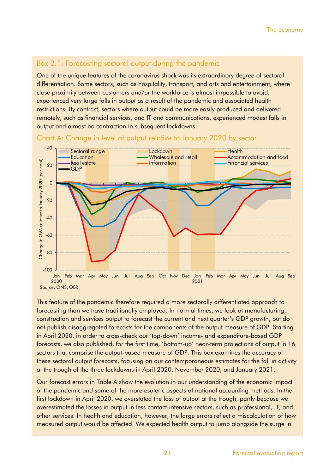### Box 2.1: Forecasting sectoral output during the pandemic

One of the unique features of the coronavirus shock was its extraordinary degree of sectoral differentiation. Some sectors, such as hospitality, transport, and arts and entertainment, where close proximity between customers and/or the workforce is almost impossible to avoid, experienced very large falls in output as a result of the pandemic and associated health restrictions. By contrast, sectors where output could be more easily produced and delivered remotely, such as financial services, and IT and communications, experienced modest falls in output and almost no contraction in subsequent lockdowns.



Chart A: Change in level of output relative to January 2020 by sector

This feature of the pandemic therefore required a more sectorally differentiated approach to forecasting than we have traditionally employed. In normal times, we look at manufacturing, construction and services output to forecast the current and next quarter's GDP growth, but do not publish disaggregated forecasts for the components of the output measure of GDP. Starting in April 2020, in order to cross-check our 'top-down' income- and expenditure-based GDP forecasts, we also published, for the first time, 'bottom-up' near-term projections of output in 16 sectors that comprise the output-based measure of GDP. This box examines the accuracy of these sectoral output forecasts, focusing on our contemporaneous estimates for the fall in activity at the trough of the three lockdowns in April 2020, November 2020, and January 2021.

Our forecast errors in Table A show the evolution in our understanding of the economic impact of the pandemic and some of the more esoteric aspects of national accounting methods. In the first lockdown in April 2020, we overstated the loss of output at the trough, partly because we overestimated the losses in output in less contact-intensive sectors, such as professional, IT, and other services. In health and education, however, the large errors reflect a miscalculation of how measured output would be affected. We expected health output to jump alongside the surge in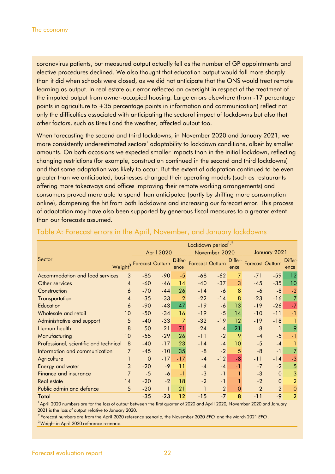coronavirus patients, but measured output actually fell as the number of GP appointments and elective procedures declined. We also thought that education output would fall more sharply than it did when schools were closed, as we did not anticipate that the ONS would treat remote learning as output. In real estate our error reflected an oversight in respect of the treatment of the imputed output from owner-occupied housing. Large errors elsewhere (from -17 percentage points in agriculture to +35 percentage points in information and communication) reflect not only the difficulties associated with anticipating the sectoral impact of lockdowns but also that other factors, such as Brexit and the weather, affected output too.

When forecasting the second and third lockdowns, in November 2020 and January 2021, we more consistently underestimated sectors' adaptability to lockdown conditions, albeit by smaller amounts. On both occasions we expected smaller impacts than in the initial lockdown, reflecting changing restrictions (for example, construction continued in the second and third lockdowns) and that some adaptation was likely to occur. But the extent of adaptation continued to be even greater than we anticipated, businesses changed their operating models (such as restaurants offering more takeaways and offices improving their remote working arrangements) and consumers proved more able to spend than anticipated (partly by shifting more consumption online), dampening the hit from both lockdowns and increasing our forecast error. This process of adaptation may have also been supported by generous fiscal measures to a greater extent than our forecasts assumed.

|                                        |                | Lockdown period <sup>1,2</sup>       |       |                |                  |                |                |                         |                |                |
|----------------------------------------|----------------|--------------------------------------|-------|----------------|------------------|----------------|----------------|-------------------------|----------------|----------------|
|                                        | April 2020     |                                      |       | November 2020  |                  |                | January 2021   |                         |                |                |
| Sector                                 |                | Weight <sup>3</sup> Forecast Outturn |       | Differ-        | Forecast Outturn |                | Differ-        | <b>Forecast Outturn</b> |                | Differ-        |
|                                        |                |                                      |       | ence           |                  |                | ence           |                         |                | ence           |
| Accommodation and food services        | 3              | $-85$                                | $-90$ | $-5$           | $-68$            | $-62$          | $\overline{7}$ | $-71$                   | $-59$          | 12             |
| Other services                         | 4              | $-60$                                | $-46$ | 14             | $-40$            | $-37$          | 3              | $-45$                   | $-35$          | 10             |
| Construction                           | 6              | $-70$                                | $-44$ | 26             | $-14$            | $-6$           | 8              | -6                      | $-8$           | $-2$           |
| Transportation                         | 4              | $-35$                                | $-33$ | $\overline{2}$ | $-22$            | $-14$          | 8              | $-23$                   | $-16$          | $\overline{7}$ |
| Education                              | 6              | $-90$                                | $-43$ | 47             | $-19$            | $-6$           | 13             | $-19$                   | $-26$          | $-7$           |
| Wholesale and retail                   | 10             | $-50$                                | $-34$ | 16             | $-19$            | $-5$           | 14             | $-10$                   | $-11$          | $-1$           |
| Administrative and support             | 5              | $-40$                                | $-33$ | 7              | $-32$            | $-19$          | 12             | $-19$                   | $-18$          |                |
| Human health                           | 8              | 50                                   | $-21$ | $-71$          | $-24$            | $-4$           | 21             | $-8$                    |                | 9              |
| Manufacturing                          | 10             | $-55$                                | $-29$ | 26             | $-11$            | $-2$           | 9              | $-4$                    | $-5$           | $-1$           |
| Professional, scientific and technical | 8              | $-40$                                | $-17$ | 23             | $-14$            | $-4$           | 10             | $-5$                    | $-4$           |                |
| Information and communication          | 7              | $-45$                                | $-10$ | 35             | $-8$             | $-2$           | 5              | $-8$                    | $-1$           | $\overline{7}$ |
| Agriculture                            |                | $\mathbf 0$                          | $-17$ | $-17$          | $-4$             | $-12$          | $-8$           | $-11$                   | $-14$          | $-3$           |
| <b>Energy and water</b>                | 3              | $-20$                                | $-9$  | 11             | $-4$             | $-4$           | $-1$           | $-7$                    | $-2$           | 5              |
| <b>Finance and insurance</b>           | $\overline{7}$ | $-5$                                 | $-6$  | $-1$           | $-3$             | $-1$           |                | $-3$                    | $\Omega$       | 3              |
| <b>Real estate</b>                     | 14             | $-20$                                | $-2$  | 18             | $-2$             | $-1$           |                | $-2$                    | $\Omega$       | $\overline{2}$ |
| Public admin and defence               | 5              | $-20$                                |       | 21             | 1                | $\overline{2}$ | $\mathbf{0}$   | $\overline{2}$          | $\overline{2}$ | $\theta$       |
| Total                                  |                | $-35$                                | $-23$ | 12             | $-15$            | $-7$           | 8              | $-11$                   | $-9$           | $\overline{2}$ |

#### Table A: Forecast errors in the April, November, and January lockdowns

<sup>1</sup> April 2020 numbers are for the loss of output between the first quarter of 2020 and April 2020, November 2020 and January 2021 is the loss of output relative to January 2020.

<sup>2</sup>Forecast numbers are from the April 2020 reference scenario, the November 2020 *EFO* and the March 2021 *EFO* .

<sup>3</sup>Weight in April 2020 reference scenario.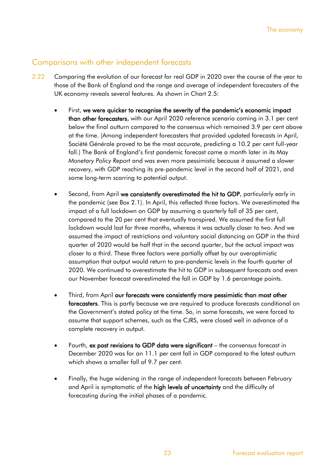### Comparisons with other independent forecasts

- 2.22 Comparing the evolution of our forecast for real GDP in 2020 over the course of the year to those of the Bank of England and the range and average of independent forecasters of the UK economy reveals several features. As shown in Chart 2.5:
	- First, we were quicker to recognise the severity of the pandemic's economic impact than other forecasters, with our April 2020 reference scenario coming in 3.1 per cent below the final outturn compared to the consensus which remained 3.9 per cent above at the time. (Among independent forecasters that provided updated forecasts in April, Société Générale proved to be the most accurate, predicting a 10.2 per cent full-year fall.) The Bank of England's first pandemic forecast came a month later in its May *Monetary Policy Report* and was even more pessimistic because it assumed a slower recovery, with GDP reaching its pre-pandemic level in the second half of 2021, and some long-term scarring to potential output.
	- Second, from April we consistently overestimated the hit to GDP, particularly early in the pandemic (see Box 2.1). In April, this reflected three factors. We overestimated the impact of a full lockdown on GDP by assuming a quarterly fall of 35 per cent, compared to the 20 per cent that eventually transpired. We assumed the first full lockdown would last for three months, whereas it was actually closer to two. And we assumed the impact of restrictions and voluntary social distancing on GDP in the third quarter of 2020 would be half that in the second quarter, but the actual impact was closer to a third. These three factors were partially offset by our overoptimistic assumption that output would return to pre-pandemic levels in the fourth quarter of 2020. We continued to overestimate the hit to GDP in subsequent forecasts and even our November forecast overestimated the fall in GDP by 1.6 percentage points.
	- Third, from April our forecasts were consistently more pessimistic than most other forecasters. This is partly because we are required to produce forecasts conditional on the Government's stated policy at the time. So, in some forecasts, we were forced to assume that support schemes, such as the CJRS, were closed well in advance of a complete recovery in output.
	- Fourth, ex post revisions to GDP data were significant the consensus forecast in December 2020 was for an 11.1 per cent fall in GDP compared to the latest outturn which shows a smaller fall of 9.7 per cent.
	- Finally, the huge widening in the range of independent forecasts between February and April is symptomatic of the high levels of uncertainty and the difficulty of forecasting during the initial phases of a pandemic.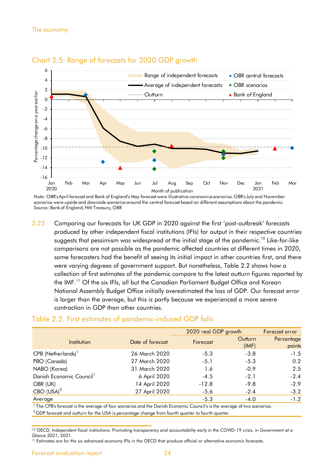



Note: OBR's April forecast and Bank of England's May forecast were illustrative coronavirus scenarios. OBR's July and November scenarios were upside and downside scenarios around the central forecast based on different assumptions about the pandemic. Source: Bankof England, HM Treasury, OBR

2.23 Comparing our forecasts for UK GDP in 2020 against the first 'post-outbreak' forecasts produced by other independent fiscal institutions (IFIs) for output in their respective countries suggests that pessimism was widespread at the initial stage of the pandemic.<sup>10</sup> Like-for-like comparisons are not possible as the pandemic affected countries at different times in 2020, some forecasters had the benefit of seeing its initial impact in other countries first, and there were varying degrees of government support. But nonetheless, Table 2.2 shows how a collection of first estimates of the pandemic compare to the latest outturn figures reported by the IMF.<sup>11</sup> Of the six IFIs, all but the Canadian Parliament Budget Office and Korean National Assembly Budget Office initially overestimated the loss of GDP. Our forecast error is larger than the average, but this is partly because we experienced a more severe contraction in GDP than other countries.

#### Table 2.2: First estimates of pandemic-induced GDP falls

|                                      |                  | 2020 real GDP growth |                  | Forecast error       |
|--------------------------------------|------------------|----------------------|------------------|----------------------|
| Institution                          | Date of forecast | Forecast             | Outturn<br>(IMF) | Percentage<br>points |
| CPB (Netherlands) <sup>1</sup>       | 26 March 2020    | $-5.3$               | $-3.8$           | $-1.5$               |
| PBO (Canada)                         | 27 March 2020    | $-5.1$               | $-5.3$           | 0.2                  |
| NABO (Korea)                         | 31 March 2020    | 1.6                  | $-0.9$           | 2.5                  |
| Danish Economic Council <sup>1</sup> | 6 April 2020     | $-4.5$               | $-2.1$           | $-2.4$               |
| OBR (UK)                             | 14 April 2020    | $-12.8$              | $-9.8$           | $-2.9$               |
| $CBO (USA)^2$                        | 27 April 2020    | $-5.6$               | $-2.4$           | $-3.2$               |
| Average                              |                  | $-5.3$               | $-4.0$           | $-1.2$               |

<sup>1</sup> The CPB's forecast is the average of four scenarios and the Danish Economic Council's is the average of two scenarios.

 $2$  GDP forecast and outturn for the USA is percentage change from fourth quarter to fourth quarter.

<sup>10</sup> OECD, Independent fiscal institutions: Promoting transparency and accountability early in the COVID-19 crisis, in *Government at a Glance 2021*, 2021.

<sup>&</sup>lt;sup>11</sup> Estimates are for the six advanced-economy IFIs in the OECD that produce official or alternative economic forecasts.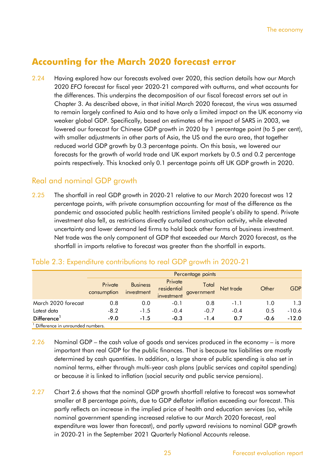## **Accounting for the March 2020 forecast error**

2.24 Having explored how our forecasts evolved over 2020, this section details how our March 2020 *EFO* forecast for fiscal year 2020-21 compared with outturns, and what accounts for the differences. This underpins the decomposition of our fiscal forecast errors set out in Chapter 3. As described above, in that initial March 2020 forecast, the virus was assumed to remain largely confined to Asia and to have only a limited impact on the UK economy via weaker global GDP. Specifically, based on estimates of the impact of SARS in 2003, we lowered our forecast for Chinese GDP growth in 2020 by 1 percentage point (to 5 per cent), with smaller adjustments in other parts of Asia, the US and the euro area, that together reduced world GDP growth by 0.3 percentage points. On this basis, we lowered our forecasts for the growth of world trade and UK export markets by 0.5 and 0.2 percentage points respectively. This knocked only 0.1 percentage points off UK GDP growth in 2020.

### Real and nominal GDP growth

2.25 The shortfall in real GDP growth in 2020-21 relative to our March 2020 forecast was 12 percentage points, with private consumption accounting for most of the difference as the pandemic and associated public health restrictions limited people's ability to spend. Private investment also fell, as restrictions directly curtailed construction activity, while elevated uncertainty and lower demand led firms to hold back other forms of business investment. Net trade was the only component of GDP that exceeded our March 2020 forecast, as the shortfall in imports relative to forecast was greater than the shortfall in exports.

|                                  |                        | Percentage points             |                                      |                     |           |        |            |  |  |  |  |
|----------------------------------|------------------------|-------------------------------|--------------------------------------|---------------------|-----------|--------|------------|--|--|--|--|
|                                  | Private<br>consumption | <b>Business</b><br>investment | Private<br>residential<br>investment | Total<br>government | Net trade | Other  | <b>GDP</b> |  |  |  |  |
| March 2020 forecast              | 0.8                    | 0.0                           | $-0.1$                               | 0.8                 | $-1.1$    | 1.0    | 1.3        |  |  |  |  |
| Latest data                      | $-8.2$                 | $-1.5$                        | $-0.4$                               | $-0.7$              | $-0.4$    | 0.5    | $-10.6$    |  |  |  |  |
| Difference <sup>1</sup>          | $-9.0$                 | $-1.5$                        | $-0.3$                               | $-1.4$              | 0.7       | $-0.6$ | $-12.0$    |  |  |  |  |
| Difference in unrounded numbers. |                        |                               |                                      |                     |           |        |            |  |  |  |  |

#### Table 2.3: Expenditure contributions to real GDP growth in 2020-21

2.26 Nominal GDP – the cash value of goods and services produced in the economy – is more important than real GDP for the public finances. That is because tax liabilities are mostly determined by cash quantities. In addition, a large share of public spending is also set in nominal terms, either through multi-year cash plans (public services and capital spending) or because it is linked to inflation (social security and public service pensions).

2.27 Chart 2.6 shows that the nominal GDP growth shortfall relative to forecast was somewhat smaller at 8 percentage points, due to GDP deflator inflation exceeding our forecast. This partly reflects an increase in the implied price of health and education services (so, while nominal government spending increased relative to our March 2020 forecast, real expenditure was lower than forecast), and partly upward revisions to nominal GDP growth in 2020-21 in the September 2021 Quarterly National Accounts release.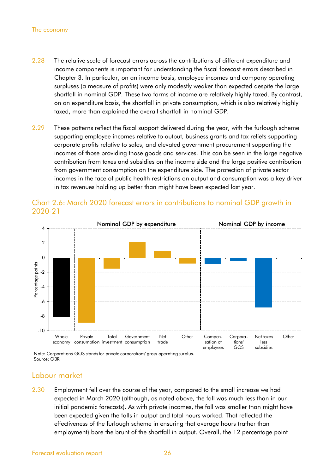#### The economy

- 2.28 The relative scale of forecast errors across the contributions of different expenditure and income components is important for understanding the fiscal forecast errors described in Chapter 3. In particular, on an income basis, employee incomes and company operating surpluses (a measure of profits) were only modestly weaker than expected despite the large shortfall in nominal GDP. These two forms of income are relatively highly taxed. By contrast, on an expenditure basis, the shortfall in private consumption, which is also relatively highly taxed, more than explained the overall shortfall in nominal GDP.
- 2.29 These patterns reflect the fiscal support delivered during the year, with the furlough scheme supporting employee incomes relative to output, business grants and tax reliefs supporting corporate profits relative to sales, and elevated government procurement supporting the incomes of those providing those goods and services. This can be seen in the large negative contribution from taxes and subsidies on the income side and the large positive contribution from government consumption on the expenditure side. The protection of private sector incomes in the face of public health restrictions on output and consumption was a key driver in tax revenues holding up better than might have been expected last year.



#### Chart 2.6: March 2020 forecast errors in contributions to nominal GDP growth in 2020-21

Note: Corporations' GOS stands for private corporations' gross operating surplus. Source: OBR

#### Labour market

2.30 Employment fell over the course of the year, compared to the small increase we had expected in March 2020 (although, as noted above, the fall was much less than in our initial pandemic forecasts). As with private incomes, the fall was smaller than might have been expected given the falls in output and total hours worked. That reflected the effectiveness of the furlough scheme in ensuring that average hours (rather than employment) bore the brunt of the shortfall in output. Overall, the 12 percentage point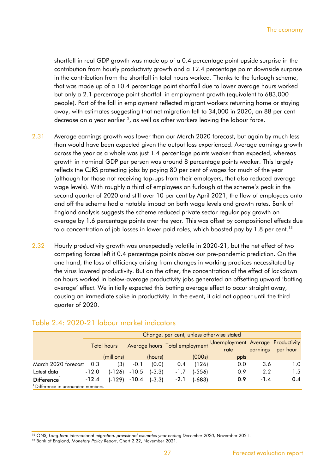shortfall in real GDP growth was made up of a 0.4 percentage point upside surprise in the contribution from hourly productivity growth and a 12.4 percentage point downside surprise in the contribution from the shortfall in total hours worked. Thanks to the furlough scheme, that was made up of a 10.4 percentage point shortfall due to lower average hours worked but only a 2.1 percentage point shortfall in employment growth (equivalent to 683,000 people). Part of the fall in employment reflected migrant workers returning home or staying away, with estimates suggesting that net migration fell to 34,000 in 2020, an 88 per cent decrease on a year earlier<sup>12</sup>, as well as other workers leaving the labour force.

- 2.31 Average earnings growth was lower than our March 2020 forecast, but again by much less than would have been expected given the output loss experienced. Average earnings growth across the year as a whole was just 1.4 percentage points weaker than expected, whereas growth in nominal GDP per person was around 8 percentage points weaker. This largely reflects the CJRS protecting jobs by paying 80 per cent of wages for much of the year (although for those not receiving top-ups from their employers, that also reduced average wage levels). With roughly a third of employees on furlough at the scheme's peak in the second quarter of 2020 and still over 10 per cent by April 2021, the flow of employees onto and off the scheme had a notable impact on both wage levels and growth rates. Bank of England analysis suggests the scheme reduced private sector regular pay growth on average by 1.6 percentage points over the year. This was offset by compositional effects due to a concentration of job losses in lower paid roles, which boosted pay by 1.8 per cent. $^{\rm 13}$
- 2.32 Hourly productivity growth was unexpectedly volatile in 2020-21, but the net effect of two competing forces left it 0.4 percentage points above our pre-pandemic prediction. On the one hand, the loss of efficiency arising from changes in working practices necessitated by the virus lowered productivity. But on the other, the concentration of the effect of lockdown on hours worked in below-average productivity jobs generated an offsetting upward 'batting average' effect. We initially expected this batting average effect to occur straight away, causing an immediate spike in productivity. In the event, it did not appear until the third quarter of 2020.

|                                               |                    | Change, per cent, unless otherwise stated |         |          |                                |        |                                           |          |          |  |  |
|-----------------------------------------------|--------------------|-------------------------------------------|---------|----------|--------------------------------|--------|-------------------------------------------|----------|----------|--|--|
|                                               | <b>Total hours</b> |                                           |         |          | Average hours Total employment |        | Unemployment Average Productivity<br>rate | earnings | per hour |  |  |
|                                               |                    | (millions)                                |         | (hours)  |                                | (000s) | ppts                                      |          |          |  |  |
| March 2020 forecast                           | 0.3                | (3)                                       | $-0.1$  | (0.0)    | 0.4                            | (126)  | 0.0                                       | 3.6      | 1.0      |  |  |
| Latest data                                   | $-12.0$            | $(-126)$                                  | $-10.5$ | $(-3.3)$ | $-1.7$                         | (-556) | 0.9                                       | 2.2      | 1.5      |  |  |
| Difference <sup>1</sup>                       | $-12.4$            | (-129)                                    | $-10.4$ | $(-3.3)$ | $-2.1$                         | (-683) | 0.9                                       | $-1.4$   | 0.4      |  |  |
| <sup>1</sup> Difference in unrounded numbers. |                    |                                           |         |          |                                |        |                                           |          |          |  |  |

#### Table 2.4: 2020-21 labour market indicators

<sup>&</sup>lt;sup>12</sup> ONS, Long-term international migration, provisional estimates year ending December 2020, November 2021.

<sup>13</sup> Bank of England, *Monetary Policy Report*, Chart 2.22, November 2021.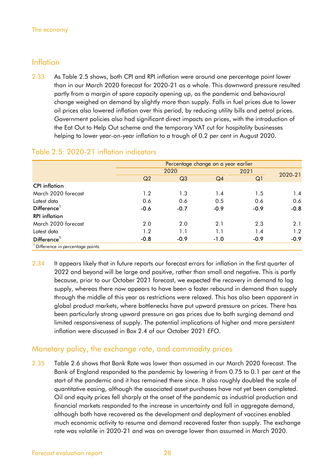### Inflation

2.33 As Table 2.5 shows, both CPI and RPI inflation were around one percentage point lower than in our March 2020 forecast for 2020-21 as a whole. This downward pressure resulted partly from a margin of spare capacity opening up, as the pandemic and behavioural change weighed on demand by slightly more than supply. Falls in fuel prices due to lower oil prices also lowered inflation over this period, by reducing utility bills and petrol prices. Government policies also had significant direct impacts on prices, with the introduction of the Eat Out to Help Out scheme and the temporary VAT cut for hospitality businesses helping to lower year-on-year inflation to a trough of 0.2 per cent in August 2020.

|                                               |                | Percentage change on a year earlier |                |        |         |  |  |
|-----------------------------------------------|----------------|-------------------------------------|----------------|--------|---------|--|--|
|                                               |                | 2020                                |                |        | 2020-21 |  |  |
|                                               | Q <sub>2</sub> | Q <sub>3</sub>                      | Q <sub>4</sub> | Q1     |         |  |  |
| <b>CPI</b> inflation                          |                |                                     |                |        |         |  |  |
| March 2020 forecast                           | 1.2            | 1.3                                 | 1.4            | 1.5    | 1.4     |  |  |
| Latest data                                   | 0.6            | 0.6                                 | 0.5            | 0.6    | 0.6     |  |  |
| Difference <sup>1</sup>                       | $-0.6$         | $-0.7$                              | $-0.9$         | $-0.9$ | $-0.8$  |  |  |
| <b>RPI</b> inflation                          |                |                                     |                |        |         |  |  |
| March 2020 forecast                           | 2.0            | 2.0                                 | 2.1            | 2.3    | 2.1     |  |  |
| Latest data                                   | 1.2            | 1.1                                 | 1.1            | 1.4    | 1.2     |  |  |
| Difference <sup>1</sup>                       | $-0.8$         | $-0.9$                              | $-1.0$         | $-0.9$ | $-0.9$  |  |  |
| <sup>1</sup> Difference in percentage points. |                |                                     |                |        |         |  |  |

#### Table 2.5: 2020-21 inflation indicators

2.34 It appears likely that in future reports our forecast errors for inflation in the first quarter of 2022 and beyond will be large and positive, rather than small and negative. This is partly because, prior to our October 2021 forecast, we expected the recovery in demand to lag supply, whereas there now appears to have been a faster rebound in demand than supply through the middle of this year as restrictions were relaxed. This has also been apparent in global product markets, where bottlenecks have put upward pressure on prices. There has been particularly strong upward pressure on gas prices due to both surging demand and limited responsiveness of supply. The potential implications of higher and more persistent inflation were discussed in Box 2.4 of our October 2021 *EFO*.

### Monetary policy, the exchange rate, and commodity prices

2.35 Table 2.6 shows that Bank Rate was lower than assumed in our March 2020 forecast. The Bank of England responded to the pandemic by lowering it from 0.75 to 0.1 per cent at the start of the pandemic and it has remained there since. It also roughly doubled the scale of quantitative easing, although the associated asset purchases have not yet been completed. Oil and equity prices fell sharply at the onset of the pandemic as industrial production and financial markets responded to the increase in uncertainty and fall in aggregate demand, although both have recovered as the development and deployment of vaccines enabled much economic activity to resume and demand recovered faster than supply. The exchange rate was volatile in 2020-21 and was on average lower than assumed in March 2020.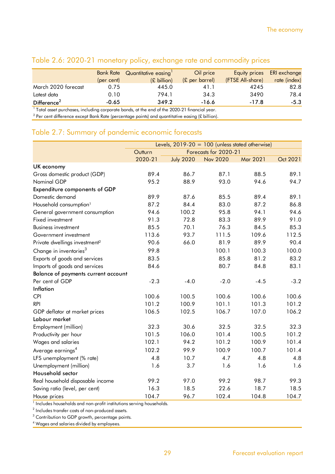|                         |            | Bank Rate Quantitative easing | Oil price                |                  | Equity prices ERI exchange |
|-------------------------|------------|-------------------------------|--------------------------|------------------|----------------------------|
|                         | (per cent) | $(E\text{ billion})$          | $(E \text{ per barrel})$ | (FTSE All-share) | rate (index)               |
| March 2020 forecast     | 0.75       | 445.0                         | 41.1                     | 4245             | 82.8                       |
| Latest data             | 0.10       | 794.1                         | 34.3                     | 3490             | 78.4                       |
| Difference <sup>2</sup> | $-0.65$    | 349.2                         | $-16.6$                  | $-17.8$          | $-5.3$                     |

### Table 2.6: 2020-21 monetary policy, exchange rate and commodity prices

 $^{\text{1}}$  Total asset purchases, including corporate bonds, at the end of the 2020-21 financial year.

 $^2$  Per cent difference except Bank Rate (percentage points) and quantitative easing (£ billion).

### Table 2.7: Summary of pandemic economic forecasts

|                                           | Levels, $2019-20 = 100$ (unless stated otherwise) |                  |                       |          |          |
|-------------------------------------------|---------------------------------------------------|------------------|-----------------------|----------|----------|
|                                           | Outturn                                           |                  | Forecasts for 2020-21 |          |          |
|                                           | 2020-21                                           | <b>July 2020</b> | <b>Nov 2020</b>       | Mar 2021 | Oct 2021 |
| UK economy                                |                                                   |                  |                       |          |          |
| Gross domestic product (GDP)              | 89.4                                              | 86.7             | 87.1                  | 88.5     | 89.1     |
| Nominal GDP                               | 95.2                                              | 88.9             | 93.0                  | 94.6     | 94.7     |
| <b>Expenditure components of GDP</b>      |                                                   |                  |                       |          |          |
| Domestic demand                           | 89.9                                              | 87.6             | 85.5                  | 89.4     | 89.1     |
| Household consumption <sup>1</sup>        | 87.2                                              | 84.4             | 83.0                  | 87.2     | 86.8     |
| General government consumption            | 94.6                                              | 100.2            | 95.8                  | 94.1     | 94.6     |
| Fixed investment                          | 91.3                                              | 72.8             | 83.3                  | 89.9     | 91.0     |
| <b>Business investment</b>                | 85.5                                              | 70.1             | 76.3                  | 84.5     | 85.3     |
| Government investment                     | 113.6                                             | 93.7             | 111.5                 | 109.6    | 112.5    |
| Private dwellings investment <sup>2</sup> | 90.6                                              | 66.0             | 81.9                  | 89.9     | 90.4     |
| Change in inventories <sup>3</sup>        | 99.8                                              |                  | 100.1                 | 100.3    | 100.0    |
| Exports of goods and services             | 83.5                                              |                  | 85.8                  | 81.2     | 83.2     |
| Imports of goods and services             | 84.6                                              |                  | 80.7                  | 84.8     | 83.1     |
| Balance of payments current account       |                                                   |                  |                       |          |          |
| Per cent of GDP                           | $-2.3$                                            | $-4.0$           | $-2.0$                | $-4.5$   | $-3.2$   |
| Inflation                                 |                                                   |                  |                       |          |          |
| <b>CPI</b>                                | 100.6                                             | 100.5            | 100.6                 | 100.6    | 100.6    |
| <b>RPI</b>                                | 101.2                                             | 100.9            | 101.1                 | 101.3    | 101.2    |
| GDP deflator at market prices             | 106.5                                             | 102.5            | 106.7                 | 107.0    | 106.2    |
| Labour market                             |                                                   |                  |                       |          |          |
| Employment (million)                      | 32.3                                              | 30.6             | 32.5                  | 32.5     | 32.3     |
| Productivity per hour                     | 101.5                                             | 106.0            | 101.4                 | 100.5    | 101.2    |
| Wages and salaries                        | 102.1                                             | 94.2             | 101.2                 | 100.9    | 101.4    |
| Average earnings <sup>4</sup>             | 102.2                                             | 99.9             | 100.9                 | 100.7    | 101.4    |
| LFS unemployment (% rate)                 | 4.8                                               | 10.7             | 4.7                   | 4.8      | 4.8      |
| Unemployment (million)                    | 1.6                                               | 3.7              | 1.6                   | 1.6      | 1.6      |
| Household sector                          |                                                   |                  |                       |          |          |
| Real household disposable income          | 99.2                                              | 97.0             | 99.2                  | 98.7     | 99.3     |
| Saving ratio (level, per cent)            | 16.3                                              | 18.5             | 22.6                  | 18.7     | 18.5     |
| House prices                              | 104.7                                             | 96.7             | 102.4                 | 104.8    | 104.7    |

<sup>1</sup> Includes households and non-profit institutions serving households.

 $2$  Includes transfer costs of non-produced assets.

 $3$  Contribution to GDP growth, percentage points.

<sup>4</sup> Wages and salaries divided by employees.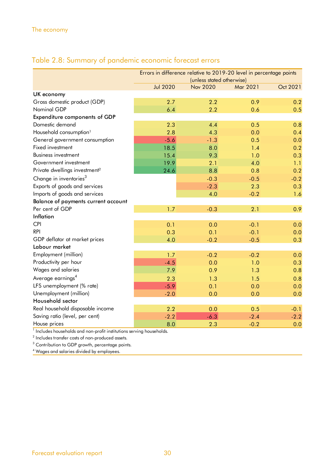## Table 2.8: Summary of pandemic economic forecast errors

|                                           | Errors in difference relative to 2019-20 level in percentage points |                           |          |          |  |  |  |
|-------------------------------------------|---------------------------------------------------------------------|---------------------------|----------|----------|--|--|--|
|                                           |                                                                     | (unless stated otherwise) |          |          |  |  |  |
|                                           | <b>Jul 2020</b>                                                     | <b>Nov 2020</b>           | Mar 2021 | Oct 2021 |  |  |  |
| UK economy                                |                                                                     |                           |          |          |  |  |  |
| Gross domestic product (GDP)              | 2.7                                                                 | 2.2                       | 0.9      | 0.2      |  |  |  |
| Nominal GDP                               | 6.4                                                                 | 2.2                       | 0.6      | 0.5      |  |  |  |
| Expenditure components of GDP             |                                                                     |                           |          |          |  |  |  |
| Domestic demand                           | 2.3                                                                 | 4.4                       | 0.5      | 0.8      |  |  |  |
| Household consumption <sup>1</sup>        | 2.8                                                                 | 4.3                       | 0.0      | 0.4      |  |  |  |
| General government consumption            | $-5.6$                                                              | $-1.3$                    | 0.5      | 0.0      |  |  |  |
| Fixed investment                          | 18.5                                                                | 8.0                       | 1.4      | 0.2      |  |  |  |
| <b>Business investment</b>                | 15.4                                                                | 9.3                       | 1.0      | 0.3      |  |  |  |
| Government investment                     | 19.9                                                                | 2.1                       | 4.0      | 1.1      |  |  |  |
| Private dwellings investment <sup>2</sup> | 24.6                                                                | 8.8                       | 0.8      | 0.2      |  |  |  |
| Change in inventories <sup>3</sup>        |                                                                     | $-0.3$                    | $-0.5$   | $-0.2$   |  |  |  |
| Exports of goods and services             |                                                                     | $-2.3$                    | 2.3      | 0.3      |  |  |  |
| Imports of goods and services             |                                                                     | 4.0                       | $-0.2$   | 1.6      |  |  |  |
| Balance of payments current account       |                                                                     |                           |          |          |  |  |  |
| Per cent of GDP                           | 1.7                                                                 | $-0.3$                    | 2.1      | 0.9      |  |  |  |
| Inflation                                 |                                                                     |                           |          |          |  |  |  |
| <b>CPI</b>                                | 0.1                                                                 | 0.0                       | $-0.1$   | 0.0      |  |  |  |
| <b>RPI</b>                                | 0.3                                                                 | 0.1                       | $-0.1$   | 0.0      |  |  |  |
| GDP deflator at market prices             | 4.0                                                                 | $-0.2$                    | $-0.5$   | 0.3      |  |  |  |
| Labour market                             |                                                                     |                           |          |          |  |  |  |
| Employment (million)                      | 1.7                                                                 | $-0.2$                    | $-0.2$   | 0.0      |  |  |  |
| Productivity per hour                     | $-4.5$                                                              | 0.0                       | 1.0      | 0.3      |  |  |  |
| Wages and salaries                        | 7.9                                                                 | 0.9                       | 1.3      | 0.8      |  |  |  |
| Average earnings <sup>4</sup>             | 2.3                                                                 | 1.3                       | 1.5      | 0.8      |  |  |  |
| LFS unemployment (% rate)                 | $-5.9$                                                              | 0.1                       | 0.0      | 0.0      |  |  |  |
| Unemployment (million)                    | $-2.0$                                                              | 0.0                       | 0.0      | 0.0      |  |  |  |
| Household sector                          |                                                                     |                           |          |          |  |  |  |
| Real household disposable income          | 2.2                                                                 | 0.0                       | 0.5      | $-0.1$   |  |  |  |
| Saving ratio (level, per cent)            | $-2.2$                                                              | $-6.3$                    | $-2.4$   | $-2.2$   |  |  |  |
| House prices                              | 8.0                                                                 | 2.3                       | $-0.2$   | 0.0      |  |  |  |
|                                           |                                                                     |                           |          |          |  |  |  |

<sup>1</sup> Includes households and non-profit institutions serving households.

 $2$  Includes transfer costs of non-produced assets.

 $3$  Contribution to GDP growth, percentage points.

4 Wages and salaries divided by employees.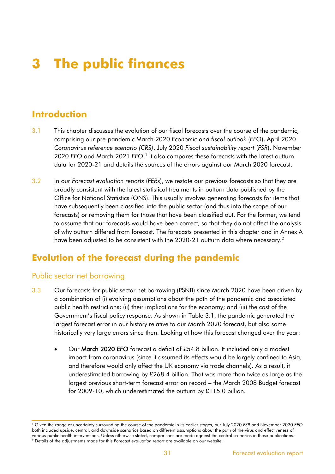# **3 The public finances**

## **Introduction**

- 3.1 This chapter discusses the evolution of our fiscal forecasts over the course of the pandemic, comprising our pre-pandemic March 2020 *Economic and fiscal outlook* (*EFO*), April 2020 *Coronavirus reference scenario (CRS)*, July 2020 *Fiscal sustainability report* (*FSR*), November 2020 EFO and March 2021 EFO.<sup>1</sup> It also compares these forecasts with the latest outturn data for 2020-21 and details the sources of the errors against our March 2020 forecast.
- 3.2 In our *Forecast evaluation reports* (*FER*s), we restate our previous forecasts so that they are broadly consistent with the latest statistical treatments in outturn data published by the Office for National Statistics (ONS). This usually involves generating forecasts for items that have subsequently been classified into the public sector (and thus into the scope of our forecasts) or removing them for those that have been classified out. For the former, we tend to assume that our forecasts would have been correct, so that they do not affect the analysis of why outturn differed from forecast. The forecasts presented in this chapter and in Annex A have been adjusted to be consistent with the 2020-21 outturn data where necessary.<sup>2</sup>

## **Evolution of the forecast during the pandemic**

### Public sector net borrowing

- 3.3 Our forecasts for public sector net borrowing (PSNB) since March 2020 have been driven by a combination of (i) evolving assumptions about the path of the pandemic and associated public health restrictions; (ii) their implications for the economy; and (iii) the cost of the Government's fiscal policy response. As shown in Table 3.1, the pandemic generated the largest forecast error in our history relative to our March 2020 forecast, but also some historically very large errors since then. Looking at how this forecast changed over the year:
	- Our March 2020 *EFO* forecast a deficit of £54.8 billion. It included only a modest impact from coronavirus (since it assumed its effects would be largely confined to Asia, and therefore would only affect the UK economy via trade channels). As a result, it underestimated borrowing by £268.4 billion. That was more than twice as large as the largest previous short-term forecast error on record – the March 2008 Budget forecast for 2009-10, which underestimated the outturn by £115.0 billion.

<sup>1</sup> Given the range of uncertainty surrounding the course of the pandemic in its earlier stages, our July 2020 *FSR* and November 2020 *EFO* both included upside, central, and downside scenarios based on different assumptions about the path of the virus and effectiveness of various public health interventions. Unless otherwise stated, comparisons are made against the central scenarios in these publications. <sup>2</sup> Details of the adjustments made for this *Forecast evaluation report* are available on our website.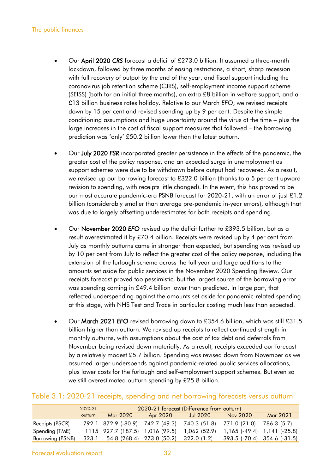- Our April 2020 *CRS* forecast a deficit of £273.0 billion. It assumed a three-month lockdown, followed by three months of easing restrictions, a short, sharp recession with full recovery of output by the end of the year, and fiscal support including the coronavirus job retention scheme (CJRS), self-employment income support scheme (SEISS) (both for an initial three months), an extra £8 billion in welfare support, and a £13 billion business rates holiday. Relative to our March *EFO*, we revised receipts down by 15 per cent and revised spending up by 9 per cent. Despite the simple conditioning assumptions and huge uncertainty around the virus at the time – plus the large increases in the cost of fiscal support measures that followed – the borrowing prediction was 'only' £50.2 billion lower than the latest outturn.
- Our July 2020 *FSR* incorporated greater persistence in the effects of the pandemic, the greater cost of the policy response, and an expected surge in unemployment as support schemes were due to be withdrawn before output had recovered. As a result, we revised up our borrowing forecast to £322.0 billion (thanks to a 5 per cent upward revision to spending, with receipts little changed). In the event, this has proved to be our most accurate pandemic-era PSNB forecast for 2020-21, with an error of just £1.2 billion (considerably smaller than average pre-pandemic in-year errors), although that was due to largely offsetting underestimates for both receipts and spending.
- Our November 2020 *EFO* revised up the deficit further to £393.5 billion, but as a result overestimated it by £70.4 billion. Receipts were revised up by 4 per cent from July as monthly outturns came in stronger than expected, but spending was revised up by 10 per cent from July to reflect the greater cost of the policy response, including the extension of the furlough scheme across the full year and large additions to the amounts set aside for public services in the November 2020 Spending Review. Our receipts forecast proved too pessimistic, but the largest source of the borrowing error was spending coming in £49.4 billion lower than predicted. In large part, that reflected underspending against the amounts set aside for pandemic-related spending at this stage, with NHS Test and Trace in particular costing much less than expected.
- Our March 2021 *EFO* revised borrowing down to £354.6 billion, which was still £31.5 billion higher than outturn. We revised up receipts to reflect continued strength in monthly outturns, with assumptions about the cost of tax debt and deferrals from November being revised down materially. As a result, receipts exceeded our forecast by a relatively modest £5.7 billion. Spending was revised down from November as we assumed larger underspends against pandemic-related public services allocations, plus lower costs for the furlough and self-employment support schemes. But even so we still overestimated outturn spending by £25.8 billion.

## Table 3.1: 2020-21 receipts, spending and net borrowing forecasts versus outturn

| TODIE 5.1: ZUZU-Z FTeceipis, spending and her portowing forecasis versus outfurn |         |                                 |                           |                                            |                                 |             |
|----------------------------------------------------------------------------------|---------|---------------------------------|---------------------------|--------------------------------------------|---------------------------------|-------------|
|                                                                                  | 2020-21 |                                 |                           | 2020-21 forecast (Difference from outturn) |                                 |             |
|                                                                                  | outturn | Mar 2020                        | Apr 2020                  | Jul 2020                                   | Nov 2020                        | Mar 2021    |
| Receipts (PSCR)                                                                  |         | 792.1 872.9 (-80.9)             | 742.7 (49.3)              | 740.3 (51.8)                               | 771.0 (21.0)                    | 786.3 (5.7) |
| Spending (TME)                                                                   |         | 1115 927.7 (187.5) 1,016 (99.5) |                           | 1,062(52.9)                                | $1,165$ (-49.4) $1,141$ (-25.8) |             |
| Borrowing (PSNB)                                                                 | 323.1   |                                 | 54.8 (268.4) 273.0 (50.2) | 322.0(1.2)                                 | 393.5 (-70.4) 354.6 (-31.5)     |             |
|                                                                                  |         |                                 |                           |                                            |                                 |             |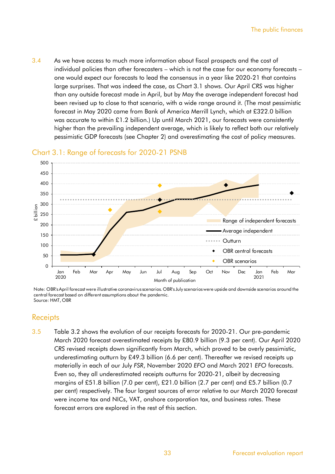3.4 As we have access to much more information about fiscal prospects and the cost of individual policies than other forecasters – which is not the case for our economy forecasts – one would expect our forecasts to lead the consensus in a year like 2020-21 that contains large surprises. That was indeed the case, as Chart 3.1 shows. Our April *CRS* was higher than any outside forecast made in April, but by May the average independent forecast had been revised up to close to that scenario, with a wide range around it. (The most pessimistic forecast in May 2020 came from Bank of America Merrill Lynch, which at £322.0 billion was accurate to within £1.2 billion.) Up until March 2021, our forecasts were consistently higher than the prevailing independent average, which is likely to reflect both our relatively pessimistic GDP forecasts (see Chapter 2) and overestimating the cost of policy measures.

## Chart 3.1: Range of forecasts for 2020-21 PSNB



Note: OBR's April forecast were illustrative coronavirus scenarios. OBR's July scenarios were upside and downside scenarios around the central forecast based on different assumptions about the pandemic. Source: HMT, OBR

## **Receipts**

3.5 Table 3.2 shows the evolution of our receipts forecasts for 2020-21. Our pre-pandemic March 2020 forecast overestimated receipts by £80.9 billion (9.3 per cent). Our April 2020 *CRS* revised receipts down significantly from March, which proved to be overly pessimistic, underestimating outturn by £49.3 billion (6.6 per cent). Thereafter we revised receipts up materially in each of our July *FSR*, November 2020 *EFO* and March 2021 *EFO* forecasts. Even so, they all underestimated receipts outturns for 2020-21, albeit by decreasing margins of £51.8 billion (7.0 per cent), £21.0 billion (2.7 per cent) and £5.7 billion (0.7 per cent) respectively. The four largest sources of error relative to our March 2020 forecast were income tax and NICs, VAT, onshore corporation tax, and business rates. These forecast errors are explored in the rest of this section.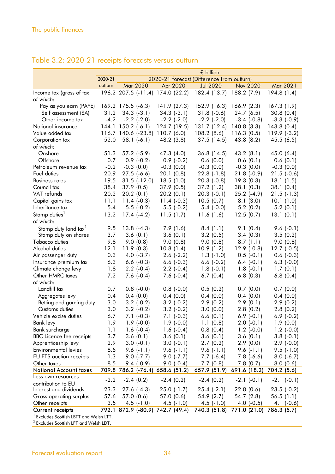|                                                    |         |                      |                     |                                  | £ billion                                  |                  |                   |
|----------------------------------------------------|---------|----------------------|---------------------|----------------------------------|--------------------------------------------|------------------|-------------------|
|                                                    | 2020-21 |                      |                     |                                  | 2020-21 forecast (Difference from outturn) |                  |                   |
|                                                    | outturn |                      | Mar 2020            | Apr 2020                         | <b>Jul 2020</b>                            | Nov 2020         | Mar 2021          |
| Income tax (gross of tax                           |         |                      |                     | 196.2 207.5 (-11.4) 174.0 (22.2) | 182.4 (13.7) 188.2 (7.9)                   |                  | 194.8(1.4)        |
| of which:                                          |         |                      |                     |                                  |                                            |                  |                   |
| Pay as you earn (PAYE)                             |         | $169.2$ 175.5 (-6.3) |                     | 141.9 (27.3)                     | 152.9 (16.3) 166.9 (2.3)                   |                  | 167.3(1.9)        |
| Self assessment (SA)                               | 31.2    | $34.3(-3.1)$         |                     | $34.3(-3.1)$                     | $31.8(-0.6)$                               | 24.7(6.5)        | 30.8(0.4)         |
| Other income tax                                   | $-4.2$  | $-2.2$ $(-2.0)$      |                     | $-2.2$ $(-2.0)$                  | $-2.2$ $(-2.0)$                            | $-3.4$ $(-0.8)$  | $-3.3$ $(-0.9)$   |
| National insurance                                 |         | 144.1 150.2 $(-6.1)$ |                     | 124.7 (19.5)                     | 131.7 (12.4) 140.8 (3.3)                   |                  | 143.8(0.4)        |
| Value added tax                                    |         |                      |                     | 116.7 140.6 (-23.8) 110.7 (6.0)  | 108.2(8.6)                                 | 116.3(0.5)       | $119.9$ (-3.2)    |
| Corporation tax                                    | 52.0    |                      | $58.1(-6.1)$        | 48.2 (3.8)                       | 37.5(14.5)                                 | 43.8(8.2)        | 45.5(6.5)         |
| of which:                                          |         |                      |                     |                                  |                                            |                  |                   |
| Onshore                                            | 51.3    |                      | $57.2$ ( $-5.9$ )   | 47.3 (4.0)                       | 36.8(14.5)                                 | 43.2(8.1)        | 45.0(6.4)         |
| Offshore                                           | 0.7     |                      | $0.9$ (-0.2)        | $0.9$ (-0.2)                     | 0.6(0.0)                                   | 0.6(0.1)         | 0.6(0.1)          |
| Petroleum revenue tax                              | $-0.2$  |                      | $-0.3(0.0)$         | $-0.3(0.0)$                      | $-0.3(0.0)$                                | $-0.3(0.0)$      | $-0.3(0.0)$       |
| Fuel duties                                        | 20.9    |                      | $27.5$ $(-6.6)$     | 20.1(0.8)                        | $22.8$ (-1.8)                              | $21.8(-0.9)$     | $21.5$ (-0.6)     |
| <b>Business rates</b>                              | 19.5    |                      | $31.5$ ( $-12.0$ )  | 18.5(1.0)                        | $20.3$ (-0.8)                              | 19.3(0.3)        | 18.1(1.5)         |
| Council tax                                        | 38.4    | 37.9(0.5)            |                     | 37.9(0.5)                        | 37.2(1.2)                                  | 38.1(0.3)        | 38.1(0.4)         |
| VAT refunds                                        | 20.2    | 20.2(0.1)            |                     | 20.2(0.1)                        | $20.3$ (-0.1)                              | $25.2$ $(-4.9)$  | $21.5$ (-1.3)     |
| Capital gains tax                                  | 11.1    |                      | $11.4$ (-0.3)       | $11.4 (-0.3)$                    | 10.5(0.7)                                  | 8.1(3.0)         | 10.1(1.0)         |
| Inheritance tax                                    | 5.4     |                      | $5.5$ (-0.2)        | $5.5$ (-0.2)                     | $5.4$ (-0.0)                               | 5.2(0.2)         | 5.2(0.1)          |
| Stamp duties <sup>1</sup>                          | 13.2    |                      | $17.4(-4.2)$        | 11.5(1.7)                        | 11.6(1.6)                                  | 12.5(0.7)        | 13.1(0.1)         |
| of which:                                          |         |                      |                     |                                  |                                            |                  |                   |
| Stamp duty land tax <sup>1</sup>                   | 9.5     |                      | $13.8(-4.3)$        | 7.9(1.6)                         | 8.4(1.1)                                   | 9.1(0.4)         | $9.6(-0.1)$       |
| Stamp duty on shares                               | 3.7     |                      | 3.6(0.1)            | 3.6(0.1)                         | 3.2(0.5)                                   | 3.4(0.3)         | 3.5(0.2)          |
| Tobacco duties                                     | 9.8     |                      | 9.0(0.8)            | 9.0(0.8)                         | 9.0(0.8)                                   | 8.7(1.1)         | 9.0(0.8)          |
| Alcohol duties                                     | 12.1    | 11.9(0.3)            |                     | 10.8(1.4)                        | 10.9(1.2)                                  | $12.9$ (-0.8)    | $12.7$ ( $-0.5$ ) |
| Air passenger duty                                 | 0.3     |                      | $4.0$ $(-3.7)$      | $2.6$ $(-2.2)$                   | $1.3$ (-1.0)                               | $0.5$ (-0.1)     | $0.6$ ( $-0.3$ )  |
| Insurance premium tax                              | 6.3     |                      | $6.6$ $(-0.3)$      | $6.6$ ( $-0.3$ )                 | $6.6$ $(-0.2)$                             | $6.4$ ( $-0.1$ ) | $6.3$ $(-0.0)$    |
| Climate change levy                                | 1.8     |                      | $2.2$ (-0.4)        | $2.2$ (-0.4)                     | $1.8(-0.1)$                                | $1.8(-0.1)$      | 1.7(0.1)          |
| Other HMRC taxes                                   | 7.2     |                      | $7.6(-0.4)$         | $7.6(-0.4)$                      | 6.7(0.4)                                   | 6.8(0.3)         | 6.8(0.4)          |
| of which:                                          |         |                      |                     |                                  |                                            |                  |                   |
| Landfill tax                                       | 0.7     |                      | $0.8$ (-0.0)        | $0.8$ (-0.0)                     | 0.5(0.2)                                   | 0.7(0.0)         | 0.7(0.0)          |
| Aggregates levy                                    | 0.4     |                      | 0.4(0.0)            | 0.4(0.0)                         | 0.4(0.0)                                   | 0.4(0.0)         | 0.4(0.0)          |
| Betting and gaming duty                            | 3.0     |                      | $3.2$ (-0.2)        | $3.2$ (-0.2)                     | 2.9(0.2)                                   | 2.9(0.1)         | 2.9(0.2)          |
| Customs duties                                     | 3.0     |                      | $3.2$ (-0.2)        | $3.2$ ( $-0.2$ )                 | 3.0(0.0)                                   | 2.8(0.2)         | 2.8(0.2)          |
| Vehicle excise duties                              | 6.7     |                      | $7.1 (-0.3)$        | $7.1$ $(-0.3)$                   | 6.6(0.1)                                   | $6.9$ $(-0.1)$   | $6.9$ $(-0.2)$    |
| Bank levy                                          | 1.9     |                      | $1.9$ (-0.0)        | $1.9$ (-0.0)                     | 1.1(0.8)                                   | $2.0$ (-0.1)     | 1.9(0.0)          |
| Bank surcharge                                     | 1.1     |                      | $1.6(-0.4)$         | $1.6(-0.4)$                      | 0.8(0.4)                                   | $1.2$ (-0.0)     | $1.2$ (-0.0)      |
| <b>BBC</b> Licence fee receipts                    | 3.7     |                      | 3.6(0.1)            | 3.6(0.1)                         | 3.6(0.1)                                   | 3.6(0.1)         | $3.8(-0.1)$       |
| Apprenticeship levy                                | 2.9     |                      | $3.0$ ( $-0.1$ )    | $3.0(-0.1)$                      | 2.7(0.2)                                   | 2.9(0.0)         | $2.9$ (-0.0)      |
| Environmental levies                               | 8.5     |                      | $9.6(-1.1)$         | $9.6(-1.1)$                      | $9.6(-1.1)$                                | $9.6(-1.1)$      | $9.5$ $(-1.0)$    |
| <b>EU ETS</b> auction receipts                     | 1.3     |                      | $9.0$ $(-7.7)$      | $9.0$ $(-7.7)$                   | $7.7$ $(-6.4)$                             | $7.8$ $(-6.6)$   | $8.0$ (-6.7)      |
| Other taxes                                        | 8.5     |                      | $9.4 (-0.9)$        | $9.0 (-0.4)$                     | 7.7(0.8)                                   | 7.8(0.7)         | 8.0(0.6)          |
| <b>National Account taxes</b>                      |         |                      | 709.8 786.2 (-76.4) | 658.6 (51.2)                     | 657.9 (51.9)                               | 691.6 (18.2)     | 704.2 (5.6)       |
| Less own resources                                 |         |                      |                     |                                  |                                            |                  |                   |
| contribution to EU                                 | $-2.2$  |                      | $-2.4(0.2)$         | $-2.4(0.2)$                      | $-2.4(0.2)$                                | $-2.1$ $(-0.1)$  | $-2.1$ $(-0.1)$   |
| Interest and dividends                             | 23.3    |                      | $27.6(-4.3)$        | $25.0$ (-1.7)                    | $25.4$ $(-2.1)$                            | 22.8(0.6)        | $23.5$ (-0.2)     |
| Gross operating surplus                            | 57.6    | 57.0 (0.6)           |                     | 57.0 (0.6)                       | 54.9 (2.7)                                 | 54.7 (2.8)       | 56.5(1.1)         |
| Other receipts                                     | 3.5     |                      | $4.5$ $(-1.0)$      | $4.5$ (-1.0)                     | $4.5$ (-1.0)                               | 4.0 $(-0.5)$     | 4.1 $(-0.6)$      |
| <b>Current receipts</b>                            |         |                      | 792.1 872.9 (-80.9) | 742.7 (49.4)                     | 740.3 (51.8)                               | 771.0 (21.0)     | 786.3 (5.7)       |
| <sup>1</sup> Excludes Scottish LBTT and Welsh LTT. |         |                      |                     |                                  |                                            |                  |                   |

## Table 3.2: 2020-21 receipts forecasts versus outturn

2 Excludes Scottish LFT and Welsh LDT.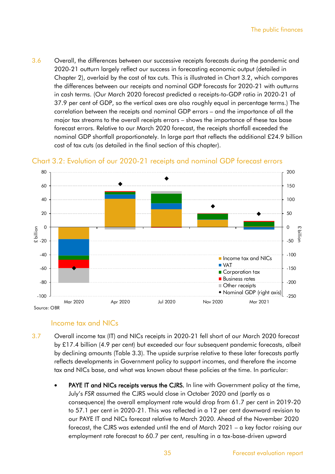3.6 Overall, the differences between our successive receipts forecasts during the pandemic and 2020-21 outturn largely reflect our success in forecasting economic output (detailed in Chapter 2), overlaid by the cost of tax cuts. This is illustrated in Chart 3.2, which compares the differences between our receipts and nominal GDP forecasts for 2020-21 with outturns in cash terms. (Our March 2020 forecast predicted a receipts-to-GDP ratio in 2020-21 of 37.9 per cent of GDP, so the vertical axes are also roughly equal in percentage terms.) The correlation between the receipts and nominal GDP errors – and the importance of all the major tax streams to the overall receipts errors – shows the importance of these tax base forecast errors. Relative to our March 2020 forecast, the receipts shortfall exceeded the nominal GDP shortfall proportionately. In large part that reflects the additional £24.9 billion cost of tax cuts (as detailed in the final section of this chapter).





## Income tax and NICs

- 3.7 Overall income tax (IT) and NICs receipts in 2020-21 fell short of our March 2020 forecast by £17.4 billion (4.9 per cent) but exceeded our four subsequent pandemic forecasts, albeit by declining amounts (Table 3.3). The upside surprise relative to these later forecasts partly reflects developments in Government policy to support incomes, and therefore the income tax and NICs base, and what was known about these policies at the time. In particular:
	- **PAYE IT and NICs receipts versus the CJRS.** In line with Government policy at the time, July's *FSR* assumed the CJRS would close in October 2020 and (partly as a consequence) the overall employment rate would drop from 61.7 per cent in 2019-20 to 57.1 per cent in 2020-21. This was reflected in a 12 per cent downward revision to our PAYE IT and NICs forecast relative to March 2020. Ahead of the November 2020 forecast, the CJRS was extended until the end of March 2021 – a key factor raising our employment rate forecast to 60.7 per cent, resulting in a tax-base-driven upward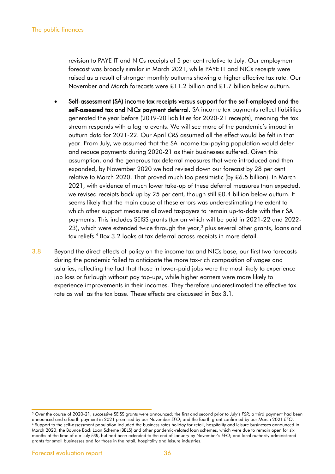revision to PAYE IT and NICs receipts of 5 per cent relative to July. Our employment forecast was broadly similar in March 2021, while PAYE IT and NICs receipts were raised as a result of stronger monthly outturns showing a higher effective tax rate. Our November and March forecasts were £11.2 billion and £1.7 billion below outturn.

- Self-assessment (SA) income tax receipts versus support for the self-employed and the self-assessed tax and NICs payment deferral. SA income tax payments reflect liabilities generated the year before (2019-20 liabilities for 2020-21 receipts), meaning the tax stream responds with a lag to events. We will see more of the pandemic's impact in outturn data for 2021-22. Our April *CRS* assumed all the effect would be felt in that year. From July, we assumed that the SA income tax-paying population would defer and reduce payments during 2020-21 as their businesses suffered. Given this assumption, and the generous tax deferral measures that were introduced and then expanded, by November 2020 we had revised down our forecast by 28 per cent relative to March 2020. That proved much too pessimistic (by £6.5 billion). In March 2021, with evidence of much lower take-up of these deferral measures than expected, we revised receipts back up by 25 per cent, though still £0.4 billion below outturn. It seems likely that the main cause of these errors was underestimating the extent to which other support measures allowed taxpayers to remain up-to-date with their SA payments. This includes SEISS grants (tax on which will be paid in 2021-22 and 2022- 23), which were extended twice through the year, $3$  plus several other grants, loans and tax reliefs.<sup>4</sup> Box 3.2 looks at tax deferral across receipts in more detail.
- 3.8 Beyond the direct effects of policy on the income tax and NICs base, our first two forecasts during the pandemic failed to anticipate the more tax-rich composition of wages and salaries, reflecting the fact that those in lower-paid jobs were the most likely to experience job loss or furlough without pay top-ups, while higher earners were more likely to experience improvements in their incomes. They therefore underestimated the effective tax rate as well as the tax base. These effects are discussed in Box 3.1.

<sup>3</sup> Over the course of 2020-21, successive SEISS grants were announced: the first and second prior to July's *FSR*; a third payment had been announced and a fourth payment in 2021 promised by our November *EFO*; and the fourth grant confirmed by our March 2021 *EFO*. <sup>4</sup> Support to the self-assessment population included the business rates holiday for retail, hospitality and leisure businesses announced in March 2020; the Bounce Back Loan Scheme (BBLS) and other pandemic-related loan schemes, which were due to remain open for six months at the time of our July *FSR*, but had been extended to the end of January by November's *EFO*; and local authority administered grants for small businesses and for those in the retail, hospitality and leisure industries.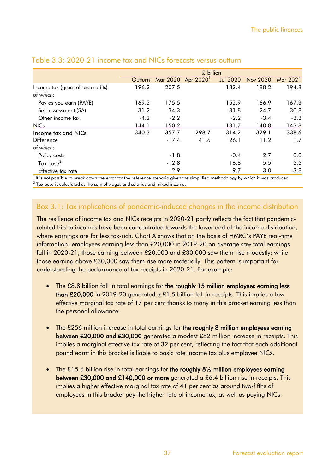| Table 3.3: 2020-21 income tax and NICs forecasts versus outturn |         |         |                                |                 |          |          |  |  |  |  |  |
|-----------------------------------------------------------------|---------|---------|--------------------------------|-----------------|----------|----------|--|--|--|--|--|
|                                                                 |         |         | £ billion                      |                 |          |          |  |  |  |  |  |
|                                                                 | Outturn |         | Mar 2020 Apr 2020 <sup>1</sup> | <b>Jul 2020</b> | Nov 2020 | Mar 2021 |  |  |  |  |  |
| Income tax (gross of tax credits)<br>of which:                  | 196.2   | 207.5   |                                | 182.4           | 188.2    | 194.8    |  |  |  |  |  |
| Pay as you earn (PAYE)                                          | 169.2   | 175.5   |                                | 152.9           | 166.9    | 167.3    |  |  |  |  |  |
| Self assessment (SA)                                            | 31.2    | 34.3    |                                | 31.8            | 24.7     | 30.8     |  |  |  |  |  |
| Other income tax                                                | $-4.2$  | $-2.2$  |                                | $-2.2$          | $-3.4$   | $-3.3$   |  |  |  |  |  |
| <b>NICs</b>                                                     | 144.1   | 150.2   |                                | 131.7           | 140.8    | 143.8    |  |  |  |  |  |
| Income tax and NICs                                             | 340.3   | 357.7   | 298.7                          | 314.2           | 329.1    | 338.6    |  |  |  |  |  |
| <b>Difference</b>                                               |         | $-17.4$ | 41.6                           | 26.1            | 11.2     | 1.7      |  |  |  |  |  |
| of which:                                                       |         |         |                                |                 |          |          |  |  |  |  |  |
| Policy costs                                                    |         | $-1.8$  |                                | $-0.4$          | 2.7      | 0.0      |  |  |  |  |  |
| Tax base $^2$                                                   |         | $-12.8$ |                                | 16.8            | 5.5      | 5.5      |  |  |  |  |  |
| Effective tax rate                                              |         | $-2.9$  |                                | 9.7             | 3.0      | $-3.8$   |  |  |  |  |  |

<sup>1</sup> It is not possible to break down the error for the reference scenario given the simplified methodology by which it was produced.  $^{\rm 2}$  Tax base is calculated as the sum of wages and salaries and mixed income.

## Box 3.1: Tax implications of pandemic-induced changes in the income distribution

The resilience of income tax and NICs receipts in 2020-21 partly reflects the fact that pandemicrelated hits to incomes have been concentrated towards the lower end of the income distribution, where earnings are far less tax-rich. Chart A shows that on the basis of HMRC's PAYE real-time information: employees earning less than £20,000 in 2019-20 on average saw total earnings fall in 2020-21; those earning between £20,000 and £30,000 saw them rise modestly; while those earning above £30,000 saw them rise more materially. This pattern is important for understanding the performance of tax receipts in 2020-21. For example:

- The £8.8 billion fall in total earnings for the roughly 15 million employees earning less **than £20,000** in 2019-20 generated a £1.5 billion fall in receipts. This implies a low effective marginal tax rate of 17 per cent thanks to many in this bracket earning less than the personal allowance.
- The £256 million increase in total earnings for the roughly 8 million employees earning between £20,000 and £30,000 generated a modest £82 million increase in receipts. This implies a marginal effective tax rate of 32 per cent, reflecting the fact that each additional pound earnt in this bracket is liable to basic rate income tax plus employee NICs.
- The £15.6 billion rise in total earnings for the roughly 81/2 million employees earning between £30,000 and £140,000 or more generated a £6.4 billion rise in receipts. This implies a higher effective marginal tax rate of 41 per cent as around two-fifths of employees in this bracket pay the higher rate of income tax, as well as paying NICs.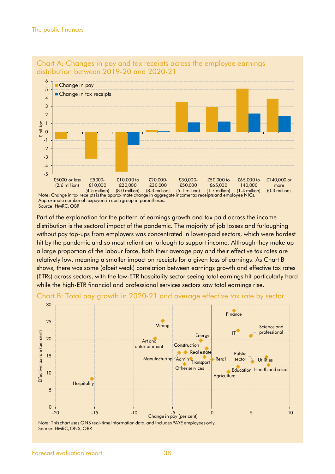



Source: HMRC, OBR

Part of the explanation for the pattern of earnings growth and tax paid across the income distribution is the sectoral impact of the pandemic. The majority of job losses and furloughing without pay top-ups from employers was concentrated in lower-paid sectors, which were hardest hit by the pandemic and so most reliant on furlough to support income. Although they make up a large proportion of the labour force, both their average pay and their effective tax rates are relatively low, meaning a smaller impact on receipts for a given loss of earnings. As Chart B shows, there was some (albeit weak) correlation between earnings growth and effective tax rates (ETRs) across sectors, with the low-ETR hospitality sector seeing total earnings hit particularly hard while the high-ETR financial and professional services sectors saw total earnings rise.



#### Chart B: Total pay growth in 2020-21 and average effective tax rate by sector

Note: This chart uses ONS real-time information data, and includes PAYE employees only. Source: HMRC, ONS, OBR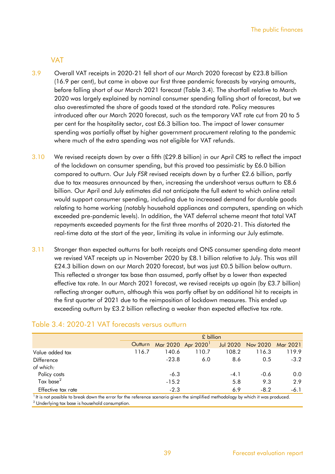#### VAT

- 3.9 Overall VAT receipts in 2020-21 fell short of our March 2020 forecast by £23.8 billion (16.9 per cent), but came in above our first three pandemic forecasts by varying amounts, before falling short of our March 2021 forecast (Table 3.4). The shortfall relative to March 2020 was largely explained by nominal consumer spending falling short of forecast, but we also overestimated the share of goods taxed at the standard rate. Policy measures introduced after our March 2020 forecast, such as the temporary VAT rate cut from 20 to 5 per cent for the hospitality sector, cost £6.3 billion too. The impact of lower consumer spending was partially offset by higher government procurement relating to the pandemic where much of the extra spending was not eligible for VAT refunds.
- 3.10 We revised receipts down by over a fifth (£29.8 billion) in our April *CRS* to reflect the impact of the lockdown on consumer spending, but this proved too pessimistic by £6.0 billion compared to outturn. Our July *FSR* revised receipts down by a further £2.6 billion, partly due to tax measures announced by then, increasing the undershoot versus outturn to £8.6 billion. Our April and July estimates did not anticipate the full extent to which online retail would support consumer spending, including due to increased demand for durable goods relating to home working (notably household appliances and computers, spending on which exceeded pre-pandemic levels). In addition, the VAT deferral scheme meant that total VAT repayments exceeded payments for the first three months of 2020-21. This distorted the real-time data at the start of the year, limiting its value in informing our July estimate.
- 3.11 Stronger than expected outturns for both receipts and ONS consumer spending data meant we revised VAT receipts up in November 2020 by £8.1 billion relative to July. This was still £24.3 billion down on our March 2020 forecast, but was just £0.5 billion below outturn. This reflected a stronger tax base than assumed, partly offset by a lower than expected effective tax rate. In our March 2021 forecast, we revised receipts up again (by £3.7 billion) reflecting stronger outturn, although this was partly offset by an additional hit to receipts in the first quarter of 2021 due to the reimposition of lockdown measures. This ended up exceeding outturn by £3.2 billion reflecting a weaker than expected effective tax rate.

|                    | Table 3.4: 2020-21 VAT forecasts versus outturn |         | $£$ billion       |                 |          |          |
|--------------------|-------------------------------------------------|---------|-------------------|-----------------|----------|----------|
|                    | Outturn                                         |         | Mar 2020 Apr 2020 | <b>Jul 2020</b> | Nov 2020 | Mar 2021 |
| Value added tax    | 116.7                                           | 140.6   | 110.7             | 108.2           | 116.3    | 119.9    |
| <b>Difference</b>  |                                                 | $-23.8$ | 6.0               | 8.6             | 0.5      | $-3.2$   |
| of which:          |                                                 |         |                   |                 |          |          |
| Policy costs       |                                                 | $-6.3$  |                   | $-4.1$          | $-0.6$   | 0.0      |
| Tax base $^2$      |                                                 | $-15.2$ |                   | 5.8             | 9.3      | 2.9      |
| Effective tax rate |                                                 | $-2.3$  |                   | 6.9             | $-8.2$   | $-6.1$   |

 $^2$  Underlying tax base is household consumption.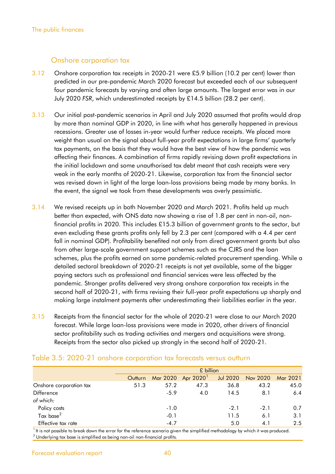#### Onshore corporation tax

- 3.12 Onshore corporation tax receipts in 2020-21 were £5.9 billion (10.2 per cent) lower than predicted in our pre-pandemic March 2020 forecast but exceeded each of our subsequent four pandemic forecasts by varying and often large amounts. The largest error was in our July 2020 *FSR*, which underestimated receipts by £14.5 billion (28.2 per cent).
- 3.13 Our initial post-pandemic scenarios in April and July 2020 assumed that profits would drop by more than nominal GDP in 2020, in line with what has generally happened in previous recessions. Greater use of losses in-year would further reduce receipts. We placed more weight than usual on the signal about full-year profit expectations in large firms' quarterly tax payments, on the basis that they would have the best view of how the pandemic was affecting their finances. A combination of firms rapidly revising down profit expectations in the initial lockdown and some unauthorised tax debt meant that cash receipts were very weak in the early months of 2020-21. Likewise, corporation tax from the financial sector was revised down in light of the large loan-loss provisions being made by many banks. In the event, the signal we took from these developments was overly pessimistic.
- 3.14 We revised receipts up in both November 2020 and March 2021. Profits held up much better than expected, with ONS data now showing a rise of 1.8 per cent in non-oil, nonfinancial profits in 2020. This includes £15.3 billion of government grants to the sector, but even excluding these grants profits only fell by 2.3 per cent (compared with a 4.4 per cent fall in nominal GDP). Profitability benefited not only from direct government grants but also from other large-scale government support schemes such as the CJRS and the loan schemes, plus the profits earned on some pandemic-related procurement spending. While a detailed sectoral breakdown of 2020-21 receipts is not yet available, some of the bigger paying sectors such as professional and financial services were less affected by the pandemic. Stronger profits delivered very strong onshore corporation tax receipts in the second half of 2020-21, with firms revising their full-year profit expectations up sharply and making large instalment payments after underestimating their liabilities earlier in the year.
- 3.15 Receipts from the financial sector for the whole of 2020-21 were close to our March 2020 forecast. While large loan-loss provisions were made in 2020, other drivers of financial sector profitability such as trading activities and mergers and acquisitions were strong. Receipts from the sector also picked up strongly in the second half of 2020-21.

|                         |         | £ billion |                   |                 |          |          |  |  |  |  |  |  |
|-------------------------|---------|-----------|-------------------|-----------------|----------|----------|--|--|--|--|--|--|
|                         | Outturn |           | Mar 2020 Apr 2020 | <b>Jul 2020</b> | Nov 2020 | Mar 2021 |  |  |  |  |  |  |
| Onshore corporation tax | 51.3    | 57.2      | 47.3              | 36.8            | 43.2     | 45.0     |  |  |  |  |  |  |
| <b>Difference</b>       |         | $-5.9$    | 4.0               | 14.5            | 8.1      | 6.4      |  |  |  |  |  |  |
| of which:               |         |           |                   |                 |          |          |  |  |  |  |  |  |
| Policy costs            |         | $-1.0$    |                   | $-2.1$          | $-2.1$   | 0.7      |  |  |  |  |  |  |
| Tax base $^2$           |         | $-0.1$    |                   | 11.5            | 6.1      | 3.1      |  |  |  |  |  |  |
| Effective tax rate      |         | $-4.7$    |                   | 5.0             | 4.1      | 2.5      |  |  |  |  |  |  |

 $^2$  Underlying tax base is simplified as being non-oil non-financial profits.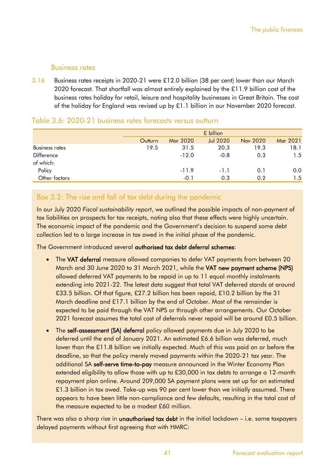## Business rates

3.16 Business rates receipts in 2020-21 were £12.0 billion (38 per cent) lower than our March 2020 forecast. That shortfall was almost entirely explained by the £11.9 billion cost of the business rates holiday for retail, leisure and hospitality businesses in Great Britain. The cost of the holiday for England was revised up by £1.1 billion in our November 2020 forecast.

|                       |         | £ billion |                 |          |          |  |  |  |  |  |  |  |
|-----------------------|---------|-----------|-----------------|----------|----------|--|--|--|--|--|--|--|
|                       | Outturn | Mar 2020  | <b>Jul 2020</b> | Nov 2020 | Mar 2021 |  |  |  |  |  |  |  |
| <b>Business rates</b> | 19.5    | 31.5      | 20.3            | 19.3     | 18.1     |  |  |  |  |  |  |  |
| Difference            |         | $-12.0$   | $-0.8$          | 0.3      | 1.5      |  |  |  |  |  |  |  |
| of which:             |         |           |                 |          |          |  |  |  |  |  |  |  |
| Policy                |         | $-11.9$   | $-1.1$          | 0.1      | 0.0      |  |  |  |  |  |  |  |
| Other factors         |         | $-0.1$    | 0.3             | 0.2      | 1.5      |  |  |  |  |  |  |  |

## Table 3.6: 2020-21 business rates forecasts versus outturn

## Box 3.2: The rise and fall of tax debt during the pandemic

In our July 2020 *Fiscal sustainability report*, we outlined the possible impacts of non-payment of tax liabilities on prospects for tax receipts, noting also that these effects were highly uncertain. The economic impact of the pandemic and the Government's decision to suspend some debt collection led to a large increase in tax owed in the initial phase of the pandemic.

The Government introduced several authorised tax debt deferral schemes:

- The VAT deferral measure allowed companies to defer VAT payments from between 20 March and 30 June 2020 to 31 March 2021, while the VAT new payment scheme (NPS) allowed deferred VAT payments to be repaid in up to 11 equal monthly instalments extending into 2021-22. The latest data suggest that total VAT deferred stands at around £33.5 billion. Of that figure, £27.2 billion has been repaid, £10.2 billion by the 31 March deadline and £17.1 billion by the end of October. Most of the remainder is expected to be paid through the VAT NPS or through other arrangements. Our October 2021 forecast assumes the total cost of deferrals never repaid will be around £0.5 billion.
- The self-assessment (SA) deferral policy allowed payments due in July 2020 to be deferred until the end of January 2021. An estimated £6.6 billion was deferred, much lower than the £11.8 billion we initially expected. Much of this was paid on or before the deadline, so that the policy merely moved payments within the 2020-21 tax year. The additional SA self-serve time-to-pay measure announced in the Winter Economy Plan extended eligibility to allow those with up to £30,000 in tax debts to arrange a 12-month repayment plan online. Around 209,000 SA payment plans were set up for an estimated £1.3 billion in tax owed. Take-up was 90 per cent lower than we initially assumed. There appears to have been little non-compliance and few defaults, resulting in the total cost of the measure expected to be a modest £60 million.

There was also a sharp rise in **unauthorised tax debt** in the initial lockdown  $-$  i.e. some taxpayers delayed payments without first agreeing that with HMRC: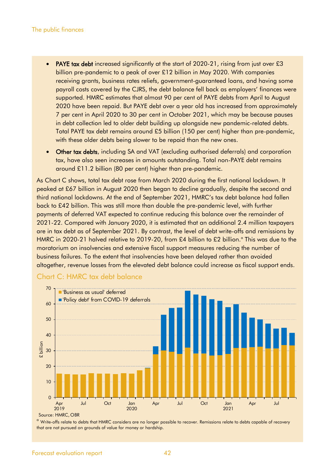- **PAYE tax debt** increased significantly at the start of 2020-21, rising from just over £3 billion pre-pandemic to a peak of over £12 billion in May 2020. With companies receiving grants, business rates reliefs, government-guaranteed loans, and having some payroll costs covered by the CJRS, the debt balance fell back as employers' finances were supported. HMRC estimates that almost 90 per cent of PAYE debts from April to August 2020 have been repaid. But PAYE debt over a year old has increased from approximately 7 per cent in April 2020 to 30 per cent in October 2021, which may be because pauses in debt collection led to older debt building up alongside new pandemic-related debts. Total PAYE tax debt remains around £5 billion (150 per cent) higher than pre-pandemic, with these older debts being slower to be repaid than the new ones.
- **Other tax debts, including SA and VAT (excluding authorised deferrals) and corporation** tax, have also seen increases in amounts outstanding. Total non-PAYE debt remains around £11.2 billion (80 per cent) higher than pre-pandemic.

As Chart C shows, total tax debt rose from March 2020 during the first national lockdown. It peaked at £67 billion in August 2020 then began to decline gradually, despite the second and third national lockdowns. At the end of September 2021, HMRC's tax debt balance had fallen back to £42 billion. This was still more than double the pre-pandemic level, with further payments of deferred VAT expected to continue reducing this balance over the remainder of 2021-22. Compared with January 2020, it is estimated that an additional 2.4 million taxpayers are in tax debt as of September 2021. By contrast, the level of debt write-offs and remissions by HMRC in 2020-21 halved relative to 2019-20, from  $£4$  billion to  $£2$  billion. $°$  This was due to the moratorium on insolvencies and extensive fiscal support measures reducing the number of business failures. To the extent that insolvencies have been delayed rather than avoided altogether, revenue losses from the elevated debt balance could increase as fiscal support ends.



#### Chart C: HMRC tax debt balance

<sup>a</sup> Write-offs relate to debts that HMRC considers are no longer possible to recover. Remissions relate to debts capable of recovery that are not pursued on grounds of value for money or hardship.

Source: HMRC, OBR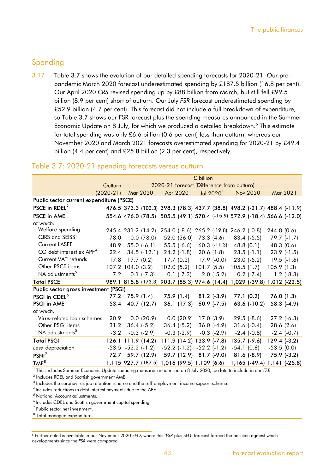## Spending

3.17 Table 3.7 shows the evolution of our detailed spending forecasts for 2020-21. Our prepandemic March 2020 forecast underestimated spending by £187.5 billion (16.8 per cent). Our April 2020 *CRS* revised spending up by £88 billion from March, but still fell £99.5 billion (8.9 per cent) short of outturn. Our July *FSR* forecast underestimated spending by £52.9 billion (4.7 per cent). This forecast did not include a full breakdown of expenditure, so Table 3.7 shows our FSR forecast plus the spending measures announced in the Summer Economic Update on 8 July, for which we produced a detailed breakdown.<sup>5</sup> This estimate for total spending was only £6.6 billion (0.6 per cent) less than outturn, whereas our November 2020 and March 2021 forecasts overestimated spending for 2020-21 by £49.4 billion (4.4 per cent) and £25.8 billion (2.3 per cent), respectively.

#### Table 3.7: 2020-21 spending forecasts versus outturn

|                                          |             | £ billion            |                                              |  |                  |                         |                                            |              |                                                                           |                |                 |
|------------------------------------------|-------------|----------------------|----------------------------------------------|--|------------------|-------------------------|--------------------------------------------|--------------|---------------------------------------------------------------------------|----------------|-----------------|
|                                          | Outturn     |                      |                                              |  |                  |                         | 2020-21 forecast (Difference from outturn) |              |                                                                           |                |                 |
|                                          | $(2020-21)$ | Mar 2020             |                                              |  | Apr 2020         |                         | Jul $20201$                                |              | <b>Nov 2020</b>                                                           |                | Mar 2021        |
| Public sector current expenditure (PSCE) |             |                      |                                              |  |                  |                         |                                            |              |                                                                           |                |                 |
| PSCE in RDEL <sup>2</sup>                |             |                      |                                              |  |                  |                         |                                            |              | 476.5 373.3 (103.3) 398.3 (78.3) 437.7 (38.8) 498.2 (-21.7) 488.4 (-11.9) |                |                 |
| <b>PSCE in AME</b>                       |             |                      |                                              |  |                  |                         |                                            |              | 554.6 476.0 (78.5) 505.5 (49.1) 570.4 (-15.9) 572.9 (-18.4) 566.6 (-12.0) |                |                 |
| of which:                                |             |                      |                                              |  |                  |                         |                                            |              |                                                                           |                |                 |
| Welfare spending                         |             |                      | 245.4 231.2 (14.2)                           |  |                  |                         | 254.0 (-8.6) 265.2 (-19.8) 246.2 (-0.8)    |              |                                                                           | 244.8(0.6)     |                 |
| CJRS and SEISS <sup>3</sup>              | 78.0        |                      | 0.0(78.0)                                    |  | 52.0(26.0)       |                         | 73.3 (4.6)                                 |              | $83.4$ (-5.5)                                                             |                | $79.7(-1.7)$    |
| <b>Current LASFE</b>                     | 48.9        |                      | $55.0(-6.1)$                                 |  | $55.5(-6.6)$     |                         | $60.3$ (-11.3)                             |              | 48.8 (0.1)                                                                | 48.3(0.6)      |                 |
| CG debt interest ex APF <sup>4</sup>     | 22.4        |                      | $34.5$ (-12.1) 24.2 (-1.8)                   |  |                  |                         | 20.6(1.8)                                  |              | $23.5$ (-1.1)                                                             |                | $23.9$ (-1.5)   |
| Current VAT refunds                      | 17.8        |                      | 17.7(0.2)                                    |  | 17.7(0.2)        |                         | $17.9$ (-0.0)                              |              | $23.0(-5.2)$                                                              |                | $19.5(-1.6)$    |
| Other PSCE items                         |             |                      | 107.2 104.0 (3.2)                            |  | 102.0(5.2)       | 101.7(5.5)              |                                            | 105.5(1.7)   |                                                                           | 105.9(1.3)     |                 |
| NA adjustments <sup>5</sup>              | $-7.2$      |                      | $0.1$ ( $-7.3$ )                             |  | $0.1$ (-7.3)     |                         | $-2.0$ $(-5.2)$                            |              | $0.2$ ( $-7.4$ )                                                          |                | $1.2$ (-8.3)    |
| <b>Total PSCE</b>                        |             |                      |                                              |  |                  |                         |                                            |              | 989.1 815.8 (173.3) 903.7 (85.3) 974.6 (14.4) 1,029 (-39.8) 1,012 (-22.5) |                |                 |
| Public sector gross investment (PSGI)    |             |                      |                                              |  |                  |                         |                                            |              |                                                                           |                |                 |
| PSGI in CDEL <sup>6</sup>                |             | 77.2 75.9 (1.4)      |                                              |  | 75.9 (1.4)       |                         | $81.2$ (-3.9)                              |              | 77.1 (0.2)                                                                |                | 76.0(1.3)       |
| PSGI in AME                              | 53.4        |                      | 40.7 (12.7)                                  |  | 36.1(17.3)       |                         | $60.9$ (-7.5)                              |              | $63.6$ (-10.2)                                                            |                | $58.3$ $(-4.9)$ |
| of which:                                |             |                      |                                              |  |                  |                         |                                            |              |                                                                           |                |                 |
| Virus-related loan schemes               | 20.9        |                      | 0.0(20.9)                                    |  | 0.0(20.9)        |                         | 17.0(3.9)                                  |              | $29.5$ (-8.6)                                                             |                | $27.2$ (-6.3)   |
| Other PSGI items                         | 31.2        |                      | $36.4$ ( $-5.2$ )                            |  | $36.4(-5.2)$     |                         | $36.0$ (-4.9)                              |              | $31.6(-0.4)$                                                              | 28.6(2.6)      |                 |
| NA adjustments <sup>5</sup>              | $-3.2$      |                      | $-0.3$ $(-2.9)$                              |  | $-0.3$ $(-2.9)$  |                         | $-0.3$ $(-2.9)$                            |              | $-2.4$ $(-0.8)$                                                           |                | $-2.4$ $(-0.7)$ |
| <b>Total PSGI</b>                        |             |                      | $126.1$ 111.9 (14.2)                         |  |                  |                         | 111.9 (14.2) 133.9 (-7.8)                  |              | $135.7$ (-9.6)                                                            | $129.4 (-3.2)$ |                 |
| Less depreciation                        |             | $-53.5 -52.2 (-1.2)$ |                                              |  | $-52.2$ $(-1.2)$ |                         | $-52.2$ $(-1.2)$                           | $-54.1(0.6)$ |                                                                           | $-53.5(0.0)$   |                 |
| PSNI <sup>7</sup>                        | 72.7        |                      | 59.7 (12.9)                                  |  |                  | 59.7 (12.9) 81.7 (-9.0) |                                            |              | $81.6$ (-8.9)                                                             |                | $75.9$ $(-3.2)$ |
| TME <sup>8</sup>                         |             |                      | 1,115 927.7 (187.5) 1,016 (99.5) 1,109 (6.6) |  |                  |                         |                                            |              | 1,165 (-49.4) 1,141 (-25.8)                                               |                |                 |

1 This includes Summer Economic Update spending measures announced on 8 July 2020, too late to include in our *FSR* .

 $^2$  Includes RDEL and Scottish government AME.

 $^{\rm 3}$  Includes the coronavirus job retention scheme and the self-employment income support scheme.

<sup>4</sup> Includes reductions in debt interest payments due to the APF.

<sup>5</sup> National Account adjustments.

 $6$ Includes CDEL and Scottish government capital spending.

 $7$  Public sector net investment.

 $^8$  Total managed expenditure.

<sup>5</sup> Further detail is available in our November 2020 *EFO*, where this '*FSR* plus SEU' forecast formed the baseline against which developments since the *FSR* were compared.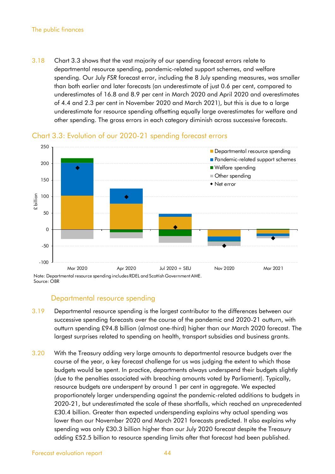#### The public finances

3.18 Chart 3.3 shows that the vast majority of our spending forecast errors relate to departmental resource spending, pandemic-related support schemes, and welfare spending. Our July *FSR* forecast error, including the 8 July spending measures, was smaller than both earlier and later forecasts (an underestimate of just 0.6 per cent, compared to underestimates of 16.8 and 8.9 per cent in March 2020 and April 2020 and overestimates of 4.4 and 2.3 per cent in November 2020 and March 2021), but this is due to a large underestimate for resource spending offsetting equally large overestimates for welfare and other spending. The gross errors in each category diminish across successive forecasts.



## Chart 3.3: Evolution of our 2020-21 spending forecast errors

#### Departmental resource spending

- 3.19 Departmental resource spending is the largest contributor to the differences between our successive spending forecasts over the course of the pandemic and 2020-21 outturn, with outturn spending £94.8 billion (almost one-third) higher than our March 2020 forecast. The largest surprises related to spending on health, transport subsidies and business grants.
- 3.20 With the Treasury adding very large amounts to departmental resource budgets over the course of the year, a key forecast challenge for us was judging the extent to which those budgets would be spent. In practice, departments always underspend their budgets slightly (due to the penalties associated with breaching amounts voted by Parliament). Typically, resource budgets are underspent by around 1 per cent in aggregate. We expected proportionately larger underspending against the pandemic-related additions to budgets in 2020-21, but underestimated the scale of these shortfalls, which reached an unprecedented £30.4 billion. Greater than expected underspending explains why actual spending was lower than our November 2020 and March 2021 forecasts predicted. It also explains why spending was only £30.3 billion higher than our July 2020 forecast despite the Treasury adding £52.5 billion to resource spending limits after that forecast had been published.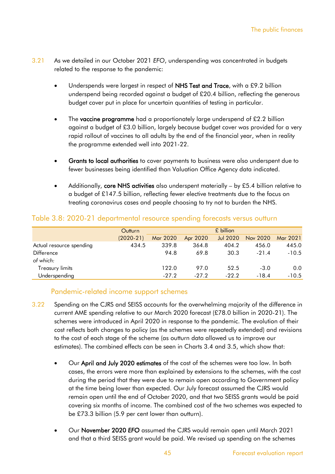- 3.21 As we detailed in our October 2021 *EFO*, underspending was concentrated in budgets related to the response to the pandemic:
	- Underspends were largest in respect of NHS Test and Trace, with a £9.2 billion underspend being recorded against a budget of £20.4 billion, reflecting the generous budget cover put in place for uncertain quantities of testing in particular.
	- The vaccine programme had a proportionately large underspend of £2.2 billion against a budget of £3.0 billion, largely because budget cover was provided for a very rapid rollout of vaccines to all adults by the end of the financial year, when in reality the programme extended well into 2021-22.
	- Grants to local authorities to cover payments to business were also underspent due to fewer businesses being identified than Valuation Office Agency data indicated.
	- Additionally, core NHS activities also underspent materially by £5.4 billion relative to a budget of £147.5 billion, reflecting fewer elective treatments due to the focus on treating coronavirus cases and people choosing to try not to burden the NHS.

|                          | Outturn     |          |          | £ billion       |          |          |
|--------------------------|-------------|----------|----------|-----------------|----------|----------|
|                          | $(2020-21)$ | Mar 2020 | Apr 2020 | <b>Jul 2020</b> | Nov 2020 | Mar 2021 |
| Actual resource spending | 434.5       | 339.8    | 364.8    | 404.2           | 456.0    | 445.0    |
| <b>Difference</b>        |             | 94.8     | 69.8     | 30.3            | $-21.4$  | $-10.5$  |
| of which:                |             |          |          |                 |          |          |
| Treasury limits          |             | 122.0    | 97.0     | 52.5            | $-3.0$   | 0.0      |
| Underspending            |             | $-27.2$  | $-27.2$  | $-22.2$         | $-18.4$  | $-10.5$  |

## Table 3.8: 2020-21 departmental resource spending forecasts versus outturn

## Pandemic-related income support schemes

- 3.22 Spending on the CJRS and SEISS accounts for the overwhelming majority of the difference in current AME spending relative to our March 2020 forecast (£78.0 billion in 2020-21). The schemes were introduced in April 2020 in response to the pandemic. The evolution of their cost reflects both changes to policy (as the schemes were repeatedly extended) and revisions to the cost of each stage of the scheme (as outturn data allowed us to improve our estimates). The combined effects can be seen in Charts 3.4 and 3.5, which show that:
	- Our April and July 2020 estimates of the cost of the schemes were too low. In both cases, the errors were more than explained by extensions to the schemes, with the cost during the period that they were due to remain open according to Government policy at the time being lower than expected. Our July forecast assumed the CJRS would remain open until the end of October 2020, and that two SEISS grants would be paid covering six months of income. The combined cost of the two schemes was expected to be £73.3 billion (5.9 per cent lower than outturn).
	- Our November 2020 *EFO* assumed the CJRS would remain open until March 2021 and that a third SEISS grant would be paid. We revised up spending on the schemes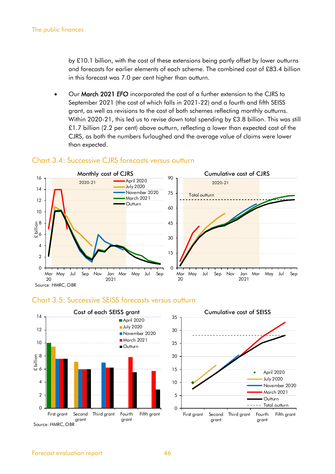by £10.1 billion, with the cost of these extensions being partly offset by lower outturns and forecasts for earlier elements of each scheme. The combined cost of £83.4 billion in this forecast was 7.0 per cent higher than outturn.

• Our March 2021 *EFO* incorporated the cost of a further extension to the CJRS to September 2021 (the cost of which falls in 2021-22) and a fourth and fifth SEISS grant, as well as revisions to the cost of both schemes reflecting monthly outturns. Within 2020-21, this led us to revise down total spending by £3.8 billion. This was still £1.7 billion (2.2 per cent) above outturn, reflecting a lower than expected cost of the CJRS, as both the numbers furloughed and the average value of claims were lower than expected.



## Chart 3.4: Successive CJRS forecasts versus outturn





Fifth grant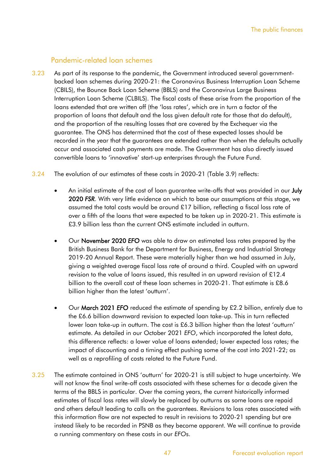#### Pandemic-related loan schemes

- 3.23 As part of its response to the pandemic, the Government introduced several governmentbacked loan schemes during 2020-21: the Coronavirus Business Interruption Loan Scheme (CBILS), the Bounce Back Loan Scheme (BBLS) and the Coronavirus Large Business Interruption Loan Scheme (CLBILS). The fiscal costs of these arise from the proportion of the loans extended that are written off (the 'loss rates', which are in turn a factor of the proportion of loans that default and the loss given default rate for those that do default), and the proportion of the resulting losses that are covered by the Exchequer via the guarantee. The ONS has determined that the cost of these expected losses should be recorded in the year that the guarantees are extended rather than when the defaults actually occur and associated cash payments are made. The Government has also directly issued convertible loans to 'innovative' start-up enterprises through the Future Fund.
- 3.24 The evolution of our estimates of these costs in 2020-21 (Table 3.9) reflects:
	- An initial estimate of the cost of loan guarantee write-offs that was provided in our **July** 2020 *FSR*. With very little evidence on which to base our assumptions at this stage, we assumed the total costs would be around £17 billion, reflecting a fiscal loss rate of over a fifth of the loans that were expected to be taken up in 2020-21. This estimate is £3.9 billion less than the current ONS estimate included in outturn.
	- Our November 2020 *EFO* was able to draw on estimated loss rates prepared by the British Business Bank for the Department for Business, Energy and Industrial Strategy 2019-20 Annual Report. These were materially higher than we had assumed in July, giving a weighted average fiscal loss rate of around a third. Coupled with an upward revision to the value of loans issued, this resulted in an upward revision of £12.4 billion to the overall cost of these loan schemes in 2020-21. That estimate is £8.6 billion higher than the latest 'outturn'.
	- Our March 2021 *EFO* reduced the estimate of spending by £2.2 billion, entirely due to the £6.6 billion downward revision to expected loan take-up. This in turn reflected lower loan take-up in outturn. The cost is £6.3 billion higher than the latest 'outturn' estimate. As detailed in our October 2021 *EFO*, which incorporated the latest data, this difference reflects: a lower value of loans extended; lower expected loss rates; the impact of discounting and a timing effect pushing some of the cost into 2021-22; as well as a reprofiling of costs related to the Future Fund.
- 3.25 The estimate contained in ONS 'outturn' for 2020-21 is still subject to huge uncertainty. We will not know the final write-off costs associated with these schemes for a decade given the terms of the BBLS in particular. Over the coming years, the current historically informed estimates of fiscal loss rates will slowly be replaced by outturns as some loans are repaid and others default leading to calls on the guarantees. Revisions to loss rates associated with this information flow are not expected to result in revisions to 2020-21 spending but are instead likely to be recorded in PSNB as they become apparent. We will continue to provide a running commentary on these costs in our *EFO*s.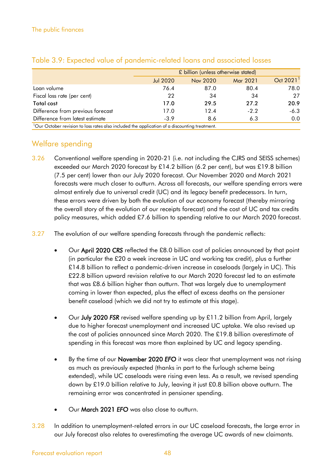|                                                                                                           |                 | £ billion (unless otherwise stated) |          |                       |
|-----------------------------------------------------------------------------------------------------------|-----------------|-------------------------------------|----------|-----------------------|
|                                                                                                           | <b>Jul 2020</b> | Nov 2020                            | Mar 2021 | Oct 2021 <sup>1</sup> |
| Loan volume                                                                                               | 76.4            | 87.0                                | 80.4     | 78.0                  |
| Fiscal loss rate (per cent)                                                                               | 22              | 34                                  | 34       | 27                    |
| Total cost                                                                                                | 17.0            | 29.5                                | 27.2     | 20.9                  |
| Difference from previous forecast                                                                         | 17.0            | 12.4                                | $-2.2$   | $-6.3$                |
| Difference from latest estimate                                                                           | $-3.9$          | 8.6                                 | 6.3      | 0.0                   |
| <sup>1</sup> Our October revision to loss rates also included the application of a discounting treatment. |                 |                                     |          |                       |

## Table 3.9: Expected value of pandemic-related loans and associated losses

Welfare spending

- 3.26 Conventional welfare spending in 2020-21 (i.e. not including the CJRS and SEISS schemes) exceeded our March 2020 forecast by £14.2 billion (6.2 per cent), but was £19.8 billion (7.5 per cent) lower than our July 2020 forecast. Our November 2020 and March 2021 forecasts were much closer to outturn. Across all forecasts, our welfare spending errors were almost entirely due to universal credit (UC) and its legacy benefit predecessors. In turn, these errors were driven by both the evolution of our economy forecast (thereby mirroring the overall story of the evolution of our receipts forecast) and the cost of UC and tax credits policy measures, which added £7.6 billion to spending relative to our March 2020 forecast.
- 3.27 The evolution of our welfare spending forecasts through the pandemic reflects:
	- Our April 2020 *CRS* reflected the £8.0 billion cost of policies announced by that point (in particular the £20 a week increase in UC and working tax credit), plus a further £14.8 billion to reflect a pandemic-driven increase in caseloads (largely in UC). This £22.8 billion upward revision relative to our March 2020 forecast led to an estimate that was £8.6 billion higher than outturn. That was largely due to unemployment coming in lower than expected, plus the effect of excess deaths on the pensioner benefit caseload (which we did not try to estimate at this stage).
	- Our July 2020 *FSR* revised welfare spending up by £11.2 billion from April, largely due to higher forecast unemployment and increased UC uptake. We also revised up the cost of policies announced since March 2020. The £19.8 billion overestimate of spending in this forecast was more than explained by UC and legacy spending.
	- By the time of our November 2020 *EFO* it was clear that unemployment was not rising as much as previously expected (thanks in part to the furlough scheme being extended), while UC caseloads were rising even less. As a result, we revised spending down by £19.0 billion relative to July, leaving it just £0.8 billion above outturn. The remaining error was concentrated in pensioner spending.
	- Our March 2021 *EFO* was also close to outturn.
- 3.28 In addition to unemployment-related errors in our UC caseload forecasts, the large error in our July forecast also relates to overestimating the average UC awards of new claimants.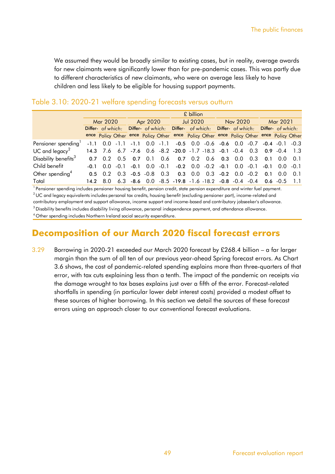We assumed they would be broadly similar to existing cases, but in reality, average awards for new claimants were significantly lower than for pre-pandemic cases. This was partly due to different characteristics of new claimants, who were on average less likely to have children and less likely to be eligible for housing support payments.

|                                  |                               | £ billion       |     |                               |                   |          |                                                                                           |                 |          |  |                                     |        |                   |                           |  |
|----------------------------------|-------------------------------|-----------------|-----|-------------------------------|-------------------|----------|-------------------------------------------------------------------------------------------|-----------------|----------|--|-------------------------------------|--------|-------------------|---------------------------|--|
|                                  | Mar 2020<br>Differ- of which: |                 |     | Apr 2020                      |                   | Jul 2020 |                                                                                           |                 | Nov 2020 |  | Mar 2021                            |        |                   |                           |  |
|                                  |                               |                 |     |                               | Differ- of which: |          | Differ- of which: Differ- of which: Differ- of which:                                     |                 |          |  |                                     |        |                   |                           |  |
|                                  |                               |                 |     |                               |                   |          | ence Policy Other ence Policy Other ence Policy Other ence Policy Other ence Policy Other |                 |          |  |                                     |        |                   |                           |  |
| Pensioner spending'              |                               |                 |     |                               |                   |          | $-1.1$ 0.0 $-1.1$ -1.1 0.0 $-1.1$ -0.5 0.0 $-0.6$ -0.6 0.0 $-0.7$ -0.4 $-0.1$ -0.3        |                 |          |  |                                     |        |                   |                           |  |
| UC and $legacy2$                 |                               |                 |     |                               |                   |          | 14.3 7.6 6.7 -7.6 0.6 -8.2 -20.0 -1.7 -18.3 -0.1 -0.4 0.3 0.9 -0.4 1.3                    |                 |          |  |                                     |        |                   |                           |  |
| Disability benefits <sup>3</sup> |                               |                 |     | $0.7$ $0.2$ $0.5$ $0.7$ $0.1$ |                   |          | $0.6$ 0.7 0.2 0.6 0.3 0.0                                                                 |                 |          |  |                                     |        | $0.3$ 0.1 0.0 0.1 |                           |  |
| Child benefit                    | $-0.1$                        | 0.0             |     | $-0.1 - 0.1$                  | 0.0               | $-0.1$   |                                                                                           |                 |          |  | $-0.2$ 0.0 $-0.2$ $-0.1$ 0.0 $-0.1$ |        |                   | $-0.1$ 0.0 $-0.1$         |  |
| Other spending <sup>4</sup>      |                               | $0.5 \quad 0.2$ | 0.3 |                               | $-0.5 - 0.8$      | 0.3      |                                                                                           | $0.3 \quad 0.0$ |          |  | $0.3$ -0.2 0.0                      | $-0.2$ |                   | $0.1 \quad 0.0 \quad 0.1$ |  |
| Total                            | 14.2                          | -8.0            | 6.3 |                               |                   |          | $-8.6$ 0.0 $-8.5$ $-19.8$ $-1.6$ $-18.2$ $-0.8$ $-0.4$ $-0.4$                             |                 |          |  |                                     |        |                   | $0.6 - 0.5$               |  |

## Table 3.10: 2020-21 welfare spending forecasts versus outturn

<sup>2</sup> UC and legacy equivalents includes personal tax credits, housing benefit (excluding pensioner part), income-related and contributory employment and support allowance, income support and income-based and contributory jobseeker's allowance. <sup>1</sup> Pensioner spending includes pensioner housing benefit, pension credit, state pension expenditure and winter fuel payment.

<sup>3</sup> Disability benefits includes disability living allowance, personal independence payment, and attendance allowance.

<sup>4</sup> Other spending includes Northern Ireland social security expenditure.

## **Decomposition of our March 2020 fiscal forecast errors**

3.29 Borrowing in 2020-21 exceeded our March 2020 forecast by £268.4 billion – a far larger margin than the sum of all ten of our previous year-ahead Spring forecast errors. As Chart 3.6 shows, the cost of pandemic-related spending explains more than three-quarters of that error, with tax cuts explaining less than a tenth. The impact of the pandemic on receipts via the damage wrought to tax bases explains just over a fifth of the error. Forecast-related shortfalls in spending (in particular lower debt interest costs) provided a modest offset to these sources of higher borrowing. In this section we detail the sources of these forecast errors using an approach closer to our conventional forecast evaluations.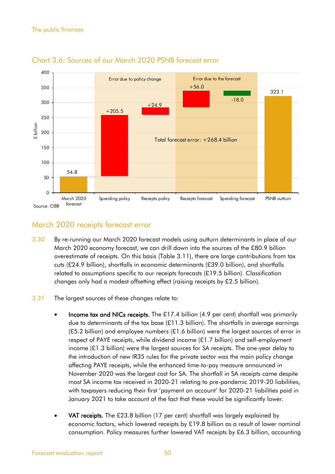

## Chart 3.6: Sources of our March 2020 PSNB forecast error

## March 2020 receipts forecast error

- 3.30 By re-running our March 2020 forecast models using outturn determinants in place of our March 2020 economy forecast, we can drill down into the sources of the £80.9 billion overestimate of receipts. On this basis (Table 3.11), there are large contributions from tax cuts (£24.9 billion), shortfalls in economic determinants (£39.0 billion), and shortfalls related to assumptions specific to our receipts forecasts (£19.5 billion). Classification changes only had a modest offsetting effect (raising receipts by £2.5 billion).
- 3.31 The largest sources of these changes relate to:
	- Income tax and NICs receipts. The £17.4 billion (4.9 per cent) shortfall was primarily due to determinants of the tax base (£11.3 billion). The shortfalls in average earnings  $(E5.2$  billion) and employee numbers  $(E1.6$  billion) were the largest sources of error in respect of PAYE receipts, while dividend income (£1.7 billion) and self-employment income (£1.3 billion) were the largest sources for SA receipts. The one-year delay to the introduction of new IR35 rules for the private sector was the main policy change affecting PAYE receipts, while the enhanced time-to-pay measure announced in November 2020 was the largest cost for SA. The shortfall in SA receipts came despite most SA income tax received in 2020-21 relating to pre-pandemic 2019-20 liabilities, with taxpayers reducing their first 'payment on account' for 2020-21 liabilities paid in January 2021 to take account of the fact that these would be significantly lower.
	- VAT receipts. The £23.8 billion (17 per cent) shortfall was largely explained by economic factors, which lowered receipts by £19.8 billion as a result of lower nominal consumption. Policy measures further lowered VAT receipts by £6.3 billion, accounting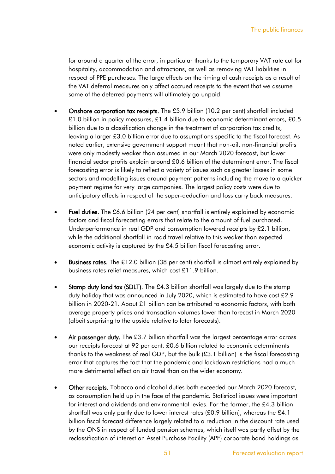for around a quarter of the error, in particular thanks to the temporary VAT rate cut for hospitality, accommodation and attractions, as well as removing VAT liabilities in respect of PPE purchases. The large effects on the timing of cash receipts as a result of the VAT deferral measures only affect accrued receipts to the extent that we assume some of the deferred payments will ultimately go unpaid.

- Onshore corporation tax receipts. The £5.9 billion (10.2 per cent) shortfall included £1.0 billion in policy measures, £1.4 billion due to economic determinant errors, £0.5 billion due to a classification change in the treatment of corporation tax credits, leaving a larger £3.0 billion error due to assumptions specific to the fiscal forecast. As noted earlier, extensive government support meant that non-oil, non-financial profits were only modestly weaker than assumed in our March 2020 forecast, but lower financial sector profits explain around £0.6 billion of the determinant error. The fiscal forecasting error is likely to reflect a variety of issues such as greater losses in some sectors and modelling issues around payment patterns including the move to a quicker payment regime for very large companies. The largest policy costs were due to anticipatory effects in respect of the super-deduction and loss carry back measures.
- Fuel duties. The £6.6 billion (24 per cent) shortfall is entirely explained by economic factors and fiscal forecasting errors that relate to the amount of fuel purchased. Underperformance in real GDP and consumption lowered receipts by £2.1 billion, while the additional shortfall in road travel relative to this weaker than expected economic activity is captured by the £4.5 billion fiscal forecasting error.
- Business rates. The £12.0 billion (38 per cent) shortfall is almost entirely explained by business rates relief measures, which cost £11.9 billion.
- **Stamp duty land tax (SDLT).** The £4.3 billion shortfall was largely due to the stamp duty holiday that was announced in July 2020, which is estimated to have cost £2.9 billion in 2020-21. About £1 billion can be attributed to economic factors, with both average property prices and transaction volumes lower than forecast in March 2020 (albeit surprising to the upside relative to later forecasts).
- Air passenger duty. The £3.7 billion shortfall was the largest percentage error across our receipts forecast at 92 per cent. £0.6 billion related to economic determinants thanks to the weakness of real GDP, but the bulk (£3.1 billion) is the fiscal forecasting error that captures the fact that the pandemic and lockdown restrictions had a much more detrimental effect on air travel than on the wider economy.
- Other receipts. Tobacco and alcohol duties both exceeded our March 2020 forecast, as consumption held up in the face of the pandemic. Statistical issues were important for interest and dividends and environmental levies. For the former, the £4.3 billion shortfall was only partly due to lower interest rates (£0.9 billion), whereas the £4.1 billion fiscal forecast difference largely related to a reduction in the discount rate used by the ONS in respect of funded pension schemes, which itself was partly offset by the reclassification of interest on Asset Purchase Facility (APF) corporate bond holdings as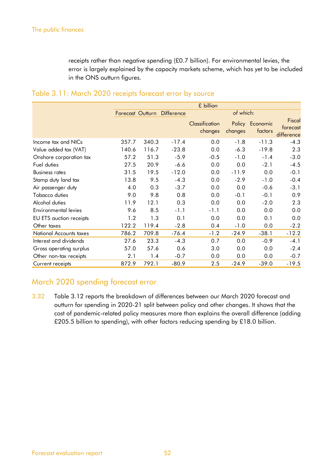receipts rather than negative spending (£0.7 billion). For environmental levies, the error is largely explained by the capacity markets scheme, which has yet to be included in the ONS outturn figures.

|                         |                         |       |                   | £ billion                 |                   |                     |                                  |
|-------------------------|-------------------------|-------|-------------------|---------------------------|-------------------|---------------------|----------------------------------|
|                         | <b>Forecast Outturn</b> |       | <b>Difference</b> |                           | of which:         |                     |                                  |
|                         |                         |       |                   | Classification<br>changes | Policy<br>changes | Economic<br>factors | Fiscal<br>forecast<br>difference |
| Income tax and NICs     | 357.7                   | 340.3 | $-17.4$           | 0.0                       | $-1.8$            | $-11.3$             | $-4.3$                           |
| Value added tax (VAT)   | 140.6                   | 116.7 | $-23.8$           | 0.0                       | $-6.3$            | $-19.8$             | 2.3                              |
| Onshore corporation tax | 57.2                    | 51.3  | $-5.9$            | $-0.5$                    | $-1.0$            | $-1.4$              | $-3.0$                           |
| Fuel duties             | 27.5                    | 20.9  | $-6.6$            | 0.0                       | 0.0               | $-2.1$              | $-4.5$                           |
| <b>Business rates</b>   | 31.5                    | 19.5  | $-12.0$           | 0.0                       | $-11.9$           | 0.0                 | $-0.1$                           |
| Stamp duty land tax     | 13.8                    | 9.5   | $-4.3$            | 0.0                       | $-2.9$            | $-1.0$              | $-0.4$                           |
| Air passenger duty      | 4.0                     | 0.3   | $-3.7$            | 0.0                       | 0.0               | $-0.6$              | $-3.1$                           |
| Tobacco duties          | 9.0                     | 9.8   | 0.8               | 0.0                       | $-0.1$            | $-0.1$              | 0.9                              |
| Alcohol duties          | 11.9                    | 12.1  | 0.3               | 0.0                       | 0.0               | $-2.0$              | 2.3                              |
| Environmental levies    | 9.6                     | 8.5   | $-1.1$            | $-1.1$                    | 0.0               | 0.0                 | 0.0                              |
| EU ETS auction receipts | 1.2                     | 1.3   | 0.1               | 0.0                       | 0.0               | 0.1                 | 0.0                              |
| Other taxes             | 122.2                   | 119.4 | $-2.8$            | 0.4                       | $-1.0$            | 0.0                 | $-2.2$                           |
| National Accounts taxes | 786.2                   | 709.8 | $-76.4$           | $-1.2$                    | $-24.9$           | $-38.1$             | $-12.2$                          |
| Interest and dividends  | 27.6                    | 23.3  | $-4.3$            | 0.7                       | 0.0               | $-0.9$              | $-4.1$                           |
| Gross operating surplus | 57.0                    | 57.6  | 0.6               | 3.0                       | 0.0               | 0.0                 | $-2.4$                           |
| Other non-tax receipts  | 2.1                     | 1.4   | $-0.7$            | 0.0                       | 0.0               | 0.0                 | $-0.7$                           |
| Current receipts        | 872.9                   | 792.1 | $-80.9$           | 2.5                       | $-24.9$           | $-39.0$             | $-19.5$                          |
|                         |                         |       |                   |                           |                   |                     |                                  |

## Table 3.11: March 2020 receipts forecast error by source

## March 2020 spending forecast error

3.32 Table 3.12 reports the breakdown of differences between our March 2020 forecast and outturn for spending in 2020-21 split between policy and other changes. It shows that the cost of pandemic-related policy measures more than explains the overall difference (adding £205.5 billion to spending), with other factors reducing spending by £18.0 billion.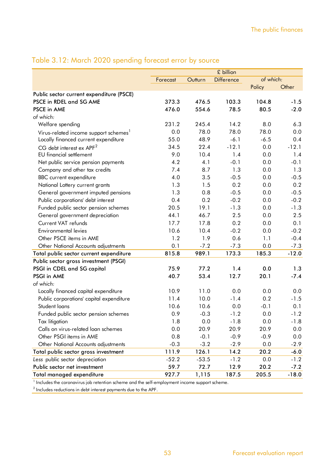|                                                   |          |         | £ billion         |           |         |
|---------------------------------------------------|----------|---------|-------------------|-----------|---------|
|                                                   | Forecast | Outturn | <b>Difference</b> | of which: |         |
|                                                   |          |         |                   | Policy    | Other   |
| Public sector current expenditure (PSCE)          |          |         |                   |           |         |
| PSCE in RDEL and SG AME                           | 373.3    | 476.5   | 103.3             | 104.8     | $-1.5$  |
| <b>PSCE in AME</b>                                | 476.0    | 554.6   | 78.5              | 80.5      | $-2.0$  |
| of which:                                         |          |         |                   |           |         |
| Welfare spending                                  | 231.2    | 245.4   | 14.2              | 8.0       | 6.3     |
| Virus-related income support schemes <sup>1</sup> | 0.0      | 78.0    | 78.0              | 78.0      | 0.0     |
| Locally financed current expenditure              | 55.0     | 48.9    | $-6.1$            | $-6.5$    | 0.4     |
| $CG$ debt interest ex $APF2$                      | 34.5     | 22.4    | $-12.1$           | 0.0       | $-12.1$ |
| <b>EU</b> financial settlement                    | 9.0      | 10.4    | 1.4               | 0.0       | 1.4     |
| Net public service pension payments               | 4.2      | 4.1     | $-0.1$            | 0.0       | $-0.1$  |
| Company and other tax credits                     | 7.4      | 8.7     | 1.3               | 0.0       | 1.3     |
| <b>BBC</b> current expenditure                    | 4.0      | 3.5     | $-0.5$            | 0.0       | $-0.5$  |
| National Lottery current grants                   | 1.3      | 1.5     | 0.2               | 0.0       | 0.2     |
| General government imputed pensions               | 1.3      | 0.8     | $-0.5$            | 0.0       | $-0.5$  |
| Public corporations' debt interest                | 0.4      | 0.2     | $-0.2$            | 0.0       | $-0.2$  |
| Funded public sector pension schemes              | 20.5     | 19.1    | $-1.3$            | 0.0       | $-1.3$  |
| General government depreciation                   | 44.1     | 46.7    | 2.5               | 0.0       | 2.5     |
| Current VAT refunds                               | 17.7     | 17.8    | 0.2               | 0.0       | 0.1     |
| <b>Environmental levies</b>                       | 10.6     | 10.4    | $-0.2$            | 0.0       | $-0.2$  |
| Other PSCE items in AME                           | 1.2      | 1.9     | 0.6               | 1.1       | $-0.4$  |
| Other National Accounts adjustments               | 0.1      | $-7.2$  | $-7.3$            | 0.0       | $-7.3$  |
| Total public sector current expenditure           | 815.8    | 989.1   | 173.3             | 185.3     | $-12.0$ |
| Public sector gross investment (PSGI)             |          |         |                   |           |         |
| PSGI in CDEL and SG capital                       | 75.9     | 77.2    | 1.4               | 0.0       | 1.3     |
| PSGI in AME                                       | 40.7     | 53.4    | 12.7              | 20.1      | $-7.4$  |
| of which:                                         |          |         |                   |           |         |
| Locally financed capital expenditure              | 10.9     | 11.0    | 0.0               | 0.0       | 0.0     |
| Public corporations' capital expenditure          | 11.4     | 10.0    | $-1.4$            | 0.2       | $-1.5$  |
| Student loans                                     | 10.6     | 10.6    | 0.0               | $-0.1$    | 0.1     |
| Funded public sector pension schemes              | 0.9      | $-0.3$  | $-1.2$            | 0.0       | $-1.2$  |
| Tax litigation                                    | 1.8      | 0.0     | $-1.8$            | 0.0       | $-1.8$  |
| Calls on virus-related loan schemes               | 0.0      | 20.9    | 20.9              | 20.9      | 0.0     |
| Other PSGI items in AME                           | 0.8      | $-0.1$  | $-0.9$            | $-0.9$    | 0.0     |
| Other National Accounts adjustments               | $-0.3$   | $-3.2$  | $-2.9$            | 0.0       | $-2.9$  |
| Total public sector gross investment              | 111.9    | 126.1   | 14.2              | 20.2      | $-6.0$  |
| Less public sector depreciation                   | $-52.2$  | $-53.5$ | $-1.2$            | 0.0       | $-1.2$  |
| Public sector net investment                      | 59.7     | 72.7    | 12.9              | 20.2      | $-7.2$  |
| Total managed expenditure                         | 927.7    | 1,115   | 187.5             | 205.5     | $-18.0$ |

## Table 3.12: March 2020 spending forecast error by source

<sup>1</sup> Includes the coronavirus job retention scheme and the self-employment income support scheme.

 $^{\rm 2}$  Includes reductions in debt interest payments due to the APF.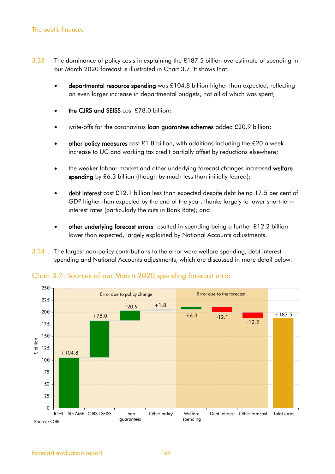- 3.33 The dominance of policy costs in explaining the £187.5 billion overestimate of spending in our March 2020 forecast is illustrated in Chart 3.7. It shows that:
	- departmental resource spending was £104.8 billion higher than expected, reflecting an even larger increase in departmental budgets, not all of which was spent;
	- the CJRS and SEISS cost £78.0 billion;
	- write-offs for the coronavirus loan guarantee schemes added £20.9 billion;
	- other policy measures cost £1.8 billion, with additions including the £20 a week increase to UC and working tax credit partially offset by reductions elsewhere;
	- the weaker labour market and other underlying forecast changes increased welfare spending by £6.3 billion (though by much less than initially feared);
	- debt interest cost £12.1 billion less than expected despite debt being 17.5 per cent of GDP higher than expected by the end of the year, thanks largely to lower short-term interest rates (particularly the cuts in Bank Rate); and
	- other underlying forecast errors resulted in spending being a further £12.2 billion lower than expected, largely explained by National Accounts adjustments.
- 3.34 The largest non-policy contributions to the error were welfare spending, debt interest spending and National Accounts adjustments, which are discussed in more detail below.



## Chart 3.7: Sources of our March 2020 spending forecast error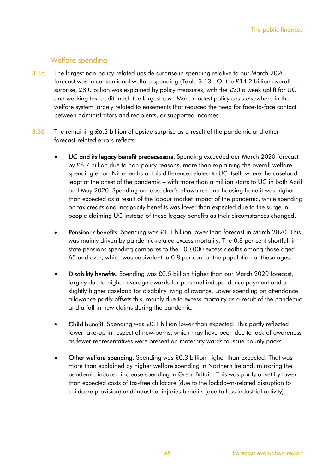## Welfare spending

- 3.35 The largest non-policy-related upside surprise in spending relative to our March 2020 forecast was in conventional welfare spending (Table 3.13). Of the £14.2 billion overall surprise, £8.0 billion was explained by policy measures, with the £20 a week uplift for UC and working tax credit much the largest cost. More modest policy costs elsewhere in the welfare system largely related to easements that reduced the need for face-to-face contact between administrators and recipients, or supported incomes.
- 3.36 The remaining £6.3 billion of upside surprise as a result of the pandemic and other forecast-related errors reflects:
	- UC and its legacy benefit predecessors. Spending exceeded our March 2020 forecast by £6.7 billion due to non-policy reasons, more than explaining the overall welfare spending error. Nine-tenths of this difference related to UC itself, where the caseload leapt at the onset of the pandemic – with more than a million starts to UC in both April and May 2020. Spending on jobseeker's allowance and housing benefit was higher than expected as a result of the labour market impact of the pandemic, while spending on tax credits and incapacity benefits was lower than expected due to the surge in people claiming UC instead of these legacy benefits as their circumstances changed.
	- Pensioner benefits. Spending was £1.1 billion lower than forecast in March 2020. This was mainly driven by pandemic-related excess mortality. The 0.8 per cent shortfall in state pensions spending compares to the 100,000 excess deaths among those aged 65 and over, which was equivalent to 0.8 per cent of the population of those ages.
	- Disability benefits. Spending was £0.5 billion higher than our March 2020 forecast, largely due to higher average awards for personal independence payment and a slightly higher caseload for disability living allowance. Lower spending on attendance allowance partly offsets this, mainly due to excess mortality as a result of the pandemic and a fall in new claims during the pandemic.
	- Child benefit. Spending was £0.1 billion lower than expected. This partly reflected lower take-up in respect of new-borns, which may have been due to lack of awareness as fewer representatives were present on maternity wards to issue bounty packs.
	- Other welfare spending. Spending was £0.3 billion higher than expected. That was more than explained by higher welfare spending in Northern Ireland, mirroring the pandemic-induced increase spending in Great Britain. This was partly offset by lower than expected costs of tax-free childcare (due to the lockdown-related disruption to childcare provision) and industrial injuries benefits (due to less industrial activity).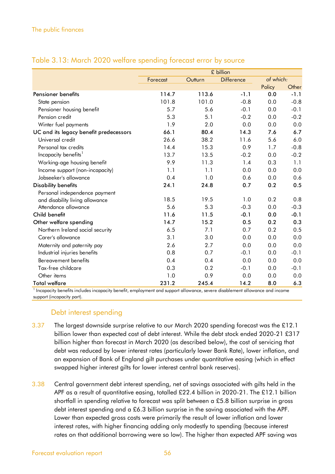| Forecast<br>114.7<br>101.8<br>5.7<br>5.3 | Outturn<br>113.6<br>101.0<br>5.6 | <b>Difference</b><br>$-1.1$<br>$-0.8$ | of which:<br>Policy<br>0.0<br>0.0 | $-1.1$                                                                                                                     |
|------------------------------------------|----------------------------------|---------------------------------------|-----------------------------------|----------------------------------------------------------------------------------------------------------------------------|
|                                          |                                  |                                       |                                   | Other                                                                                                                      |
|                                          |                                  |                                       |                                   |                                                                                                                            |
|                                          |                                  |                                       |                                   |                                                                                                                            |
|                                          |                                  |                                       |                                   | $-0.8$                                                                                                                     |
|                                          |                                  | $-0.1$                                | 0.0                               | $-0.1$                                                                                                                     |
|                                          | 5.1                              | $-0.2$                                | 0.0                               | $-0.2$                                                                                                                     |
|                                          | 2.0                              | 0.0                                   | 0.0                               | 0.0                                                                                                                        |
| 66.1                                     | 80.4                             | 14.3                                  | 7.6                               | 6.7                                                                                                                        |
| 26.6                                     | 38.2                             | 11.6                                  | 5.6                               | 6.0                                                                                                                        |
| 14.4                                     | 15.3                             | 0.9                                   | 1.7                               | $-0.8$                                                                                                                     |
| 13.7                                     | 13.5                             | $-0.2$                                | 0.0                               | $-0.2$                                                                                                                     |
| 9.9                                      | 11.3                             | 1.4                                   | 0.3                               | 1.1                                                                                                                        |
| 1.1                                      | 1.1                              | 0.0                                   | 0.0                               | 0.0                                                                                                                        |
| 0.4                                      | 1.0                              | 0.6                                   | 0.0                               | 0.6                                                                                                                        |
| 24.1                                     | 24.8                             | 0.7                                   | 0.2                               | 0.5                                                                                                                        |
|                                          |                                  |                                       |                                   |                                                                                                                            |
| 18.5                                     | 19.5                             | 1.0                                   | 0.2                               | 0.8                                                                                                                        |
| 5.6                                      | 5.3                              | $-0.3$                                | 0.0                               | $-0.3$                                                                                                                     |
| 11.6                                     | 11.5                             | $-0.1$                                | 0.0                               | $-0.1$                                                                                                                     |
| 14.7                                     | 15.2                             | 0.5                                   | 0.2                               | 0.3                                                                                                                        |
| 6.5                                      | 7.1                              | 0.7                                   | 0.2                               | 0.5                                                                                                                        |
| 3.1                                      | 3.0                              | 0.0                                   | 0.0                               | 0.0                                                                                                                        |
| 2.6                                      | 2.7                              | 0.0                                   | 0.0                               | 0.0                                                                                                                        |
| 0.8                                      | 0.7                              | $-0.1$                                | 0.0                               | $-0.1$                                                                                                                     |
| 0.4                                      | 0.4                              | 0.0                                   | 0.0                               | 0.0                                                                                                                        |
| 0.3                                      | 0.2                              | $-0.1$                                | 0.0                               | $-0.1$                                                                                                                     |
| 1.0                                      | 0.9                              | 0.0                                   | 0.0                               | 0.0                                                                                                                        |
| 231.2                                    | 245.4                            | 14.2                                  | 8.0                               | 6.3                                                                                                                        |
|                                          | 1.9                              |                                       |                                   | Incapacity benefits includes incapacity benefit, employment and support allowance, severe disablement allowance and income |

## Table 3.13: March 2020 welfare spending forecast error by source

support (incapacity part).

## Debt interest spending

- 3.37 The largest downside surprise relative to our March 2020 spending forecast was the £12.1 billion lower than expected cost of debt interest. While the debt stock ended 2020-21 £317 billion higher than forecast in March 2020 (as described below), the cost of servicing that debt was reduced by lower interest rates (particularly lower Bank Rate), lower inflation, and an expansion of Bank of England gilt purchases under quantitative easing (which in effect swapped higher interest gilts for lower interest central bank reserves).
- 3.38 Central government debt interest spending, net of savings associated with gilts held in the APF as a result of quantitative easing, totalled £22.4 billion in 2020-21. The £12.1 billion shortfall in spending relative to forecast was split between a £5.8 billion surprise in gross debt interest spending and a £6.3 billion surprise in the saving associated with the APF. Lower than expected gross costs were primarily the result of lower inflation and lower interest rates, with higher financing adding only modestly to spending (because interest rates on that additional borrowing were so low). The higher than expected APF saving was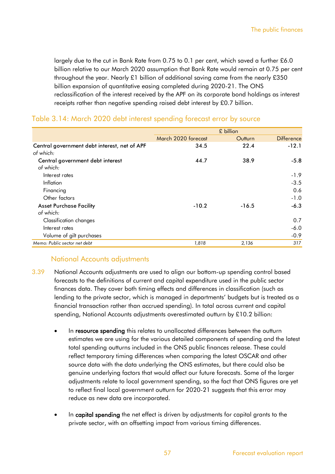largely due to the cut in Bank Rate from 0.75 to 0.1 per cent, which saved a further £6.0 billion relative to our March 2020 assumption that Bank Rate would remain at 0.75 per cent throughout the year. Nearly £1 billion of additional saving came from the nearly £350 billion expansion of quantitative easing completed during 2020-21. The ONS reclassification of the interest received by the APF on its corporate bond holdings as interest receipts rather than negative spending raised debt interest by £0.7 billion.

|                                              | £ billion           |         |                   |  |
|----------------------------------------------|---------------------|---------|-------------------|--|
|                                              | March 2020 forecast | Outturn | <b>Difference</b> |  |
| Central government debt interest, net of APF | 34.5                | 22.4    | $-12.1$           |  |
| of which:                                    |                     |         |                   |  |
| Central government debt interest             | 44.7                | 38.9    | $-5.8$            |  |
| of which:                                    |                     |         |                   |  |
| Interest rates                               |                     |         | $-1.9$            |  |
| Inflation                                    |                     |         | $-3.5$            |  |
| Financing                                    |                     |         | 0.6               |  |
| Other factors                                |                     |         | $-1.0$            |  |
| <b>Asset Purchase Facility</b>               | $-10.2$             | $-16.5$ | $-6.3$            |  |
| of which:                                    |                     |         |                   |  |
| <b>Classification changes</b>                |                     |         | 0.7               |  |
| Interest rates                               |                     |         | $-6.0$            |  |
| Volume of gilt purchases                     |                     |         | $-0.9$            |  |
| Memo: Public sector net debt                 | 1,818               | 2,136   | 317               |  |

#### Table 3.14: March 2020 debt interest spending forecast error by source

## National Accounts adjustments

- 3.39 National Accounts adjustments are used to align our bottom-up spending control based forecasts to the definitions of current and capital expenditure used in the public sector finances data. They cover both timing effects and differences in classification (such as lending to the private sector, which is managed in departments' budgets but is treated as a financial transaction rather than accrued spending). In total across current and capital spending, National Accounts adjustments overestimated outturn by £10.2 billion:
	- In resource spending this relates to unallocated differences between the outturn estimates we are using for the various detailed components of spending and the latest total spending outturns included in the ONS public finances release. These could reflect temporary timing differences when comparing the latest OSCAR and other source data with the data underlying the ONS estimates, but there could also be genuine underlying factors that would affect our future forecasts. Some of the larger adjustments relate to local government spending, so the fact that ONS figures are yet to reflect final local government outturn for 2020-21 suggests that this error may reduce as new data are incorporated.
	- In capital spending the net effect is driven by adjustments for capital grants to the private sector, with an offsetting impact from various timing differences.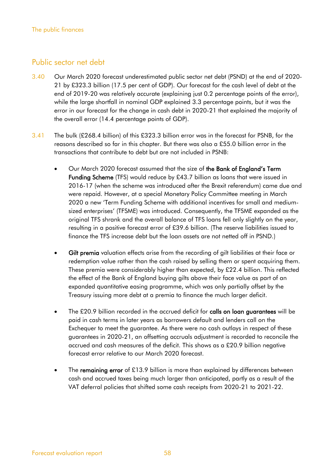## Public sector net debt

- 3.40 Our March 2020 forecast underestimated public sector net debt (PSND) at the end of 2020- 21 by £323.3 billion (17.5 per cent of GDP). Our forecast for the cash level of debt at the end of 2019-20 was relatively accurate (explaining just 0.2 percentage points of the error), while the large shortfall in nominal GDP explained 3.3 percentage points, but it was the error in our forecast for the change in cash debt in 2020-21 that explained the majority of the overall error (14.4 percentage points of GDP).
- 3.41 The bulk (£268.4 billion) of this £323.3 billion error was in the forecast for PSNB, for the reasons described so far in this chapter. But there was also a £55.0 billion error in the transactions that contribute to debt but are not included in PSNB:
	- Our March 2020 forecast assumed that the size of the Bank of England's Term Funding Scheme (TFS) would reduce by £43.7 billion as loans that were issued in 2016-17 (when the scheme was introduced after the Brexit referendum) came due and were repaid. However, at a special Monetary Policy Committee meeting in March 2020 a new 'Term Funding Scheme with additional incentives for small and mediumsized enterprises' (TFSME) was introduced. Consequently, the TFSME expanded as the original TFS shrank and the overall balance of TFS loans fell only slightly on the year, resulting in a positive forecast error of £39.6 billion. (The reserve liabilities issued to finance the TFS increase debt but the loan assets are not netted off in PSND.)
	- Gilt premia valuation effects arise from the recording of gilt liabilities at their face or redemption value rather than the cash raised by selling them or spent acquiring them. These premia were considerably higher than expected, by £22.4 billion. This reflected the effect of the Bank of England buying gilts above their face value as part of an expanded quantitative easing programme, which was only partially offset by the Treasury issuing more debt at a premia to finance the much larger deficit.
	- The £20.9 billion recorded in the accrued deficit for calls on loan guarantees will be paid in cash terms in later years as borrowers default and lenders call on the Exchequer to meet the guarantee. As there were no cash outlays in respect of these guarantees in 2020-21, an offsetting accruals adjustment is recorded to reconcile the accrued and cash measures of the deficit. This shows as a £20.9 billion negative forecast error relative to our March 2020 forecast.
	- The remaining error of £13.9 billion is more than explained by differences between cash and accrued taxes being much larger than anticipated, partly as a result of the VAT deferral policies that shifted some cash receipts from 2020-21 to 2021-22.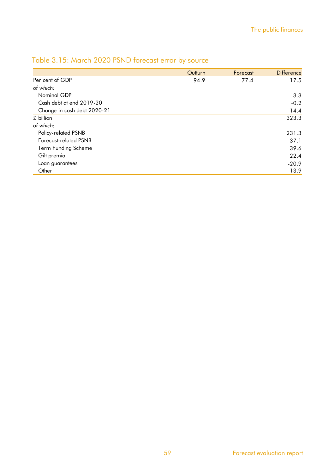|                             | Outturn | Forecast | <b>Difference</b> |
|-----------------------------|---------|----------|-------------------|
| Per cent of GDP             | 94.9    | 77.4     | 17.5              |
| of which:                   |         |          |                   |
| Nominal GDP                 |         |          | 3.3               |
| Cash debt at end 2019-20    |         |          | $-0.2$            |
| Change in cash debt 2020-21 |         |          | 14.4              |
| £ billion                   |         |          | 323.3             |
| of which:                   |         |          |                   |
| Policy-related PSNB         |         |          | 231.3             |
| Forecast-related PSNB       |         |          | 37.1              |
| Term Funding Scheme         |         |          | 39.6              |
| Gilt premia                 |         |          | 22.4              |
| Loan guarantees             |         |          | $-20.9$           |
| Other                       |         |          | 13.9              |

## Table 3.15: March 2020 PSND forecast error by source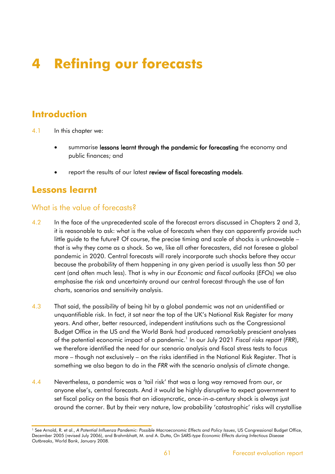# **4 Refining our forecasts**

## **Introduction**

- 4.1 In this chapter we:
	- summarise lessons learnt through the pandemic for forecasting the economy and public finances; and
	- report the results of our latest review of fiscal forecasting models.

## **Lessons learnt**

## What is the value of forecasts<sup>2</sup>

- 4.2 In the face of the unprecedented scale of the forecast errors discussed in Chapters 2 and 3, it is reasonable to ask: what is the value of forecasts when they can apparently provide such little guide to the future? Of course, the precise timing and scale of shocks is unknowable – that is why they come as a shock. So we, like all other forecasters, did not foresee a global pandemic in 2020. Central forecasts will rarely incorporate such shocks before they occur because the probability of them happening in any given period is usually less than 50 per cent (and often much less). That is why in our *Economic and fiscal outlooks* (*EFO*s) we also emphasise the risk and uncertainty around our central forecast through the use of fan charts, scenarios and sensitivity analysis.
- 4.3 That said, the possibility of being hit by a global pandemic was not an unidentified or unquantifiable risk. In fact, it sat near the top of the UK's National Risk Register for many years. And other, better resourced, independent institutions such as the Congressional Budget Office in the US and the World Bank had produced remarkably prescient analyses of the potential economic impact of a pandemic. 1 In our July 2021 *Fiscal risks report* (*FRR*), we therefore identified the need for our scenario analysis and fiscal stress tests to focus more – though not exclusively – on the risks identified in the National Risk Register. That is something we also began to do in the *FRR* with the scenario analysis of climate change.
- 4.4 Nevertheless, a pandemic was a 'tail risk' that was a long way removed from our, or anyone else's, central forecasts. And it would be highly disruptive to expect government to set fiscal policy on the basis that an idiosyncratic, once-in-a-century shock is always just around the corner. But by their very nature, low probability 'catastrophic' risks will crystallise

<sup>1</sup> See Arnold, R. et al., *A Potential Influenza Pandemic: Possible Macroeconomic Effects and Policy Issues*, US Congressional Budget Office, December 2005 (revised July 2006), and Brahmbhatt, M. and A. Dutta, *On SARS-type Economic Effects during Infectious Disease Outbreaks*, World Bank, January 2008.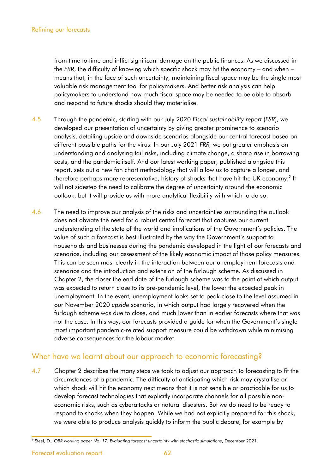from time to time and inflict significant damage on the public finances. As we discussed in the *FRR*, the difficulty of knowing which specific shock may hit the economy – and when – means that, in the face of such uncertainty, maintaining fiscal space may be the single most valuable risk management tool for policymakers. And better risk analysis can help policymakers to understand how much fiscal space may be needed to be able to absorb and respond to future shocks should they materialise.

- 4.5 Through the pandemic, starting with our July 2020 *Fiscal sustainability report* (*FSR*), we developed our presentation of uncertainty by giving greater prominence to scenario analysis, detailing upside and downside scenarios alongside our central forecast based on different possible paths for the virus. In our July 2021 *FRR,* we put greater emphasis on understanding and analysing tail risks, including climate change, a sharp rise in borrowing costs, and the pandemic itself. And our latest working paper, published alongside this report, sets out a new fan chart methodology that will allow us to capture a longer, and therefore perhaps more representative, history of shocks that have hit the UK economy. $^{2}$  It will not sidestep the need to calibrate the degree of uncertainty around the economic outlook, but it will provide us with more analytical flexibility with which to do so.
- 4.6 The need to improve our analysis of the risks and uncertainties surrounding the outlook does not obviate the need for a robust central forecast that captures our current understanding of the state of the world and implications of the Government's policies. The value of such a forecast is best illustrated by the way the Government's support to households and businesses during the pandemic developed in the light of our forecasts and scenarios, including our assessment of the likely economic impact of those policy measures. This can be seen most clearly in the interaction between our unemployment forecasts and scenarios and the introduction and extension of the furlough scheme. As discussed in Chapter 2, the closer the end date of the furlough scheme was to the point at which output was expected to return close to its pre-pandemic level, the lower the expected peak in unemployment. In the event, unemployment looks set to peak close to the level assumed in our November 2020 *upside* scenario, in which output had largely recovered when the furlough scheme was due to close, and much lower than in earlier forecasts where that was not the case. In this way, our forecasts provided a guide for when the Government's single most important pandemic-related support measure could be withdrawn while minimising adverse consequences for the labour market.

## What have we learnt about our approach to economic forecasting?

4.7 Chapter 2 describes the many steps we took to adjust our approach to forecasting to fit the circumstances of a pandemic. The difficulty of anticipating which risk may crystallise or which shock will hit the economy next means that it is not sensible or practicable for us to develop forecast technologies that explicitly incorporate channels for all possible noneconomic risks, such as cyberattacks or natural disasters. But we do need to be ready to respond to shocks when they happen. While we had not explicitly prepared for this shock, we were able to produce analysis quickly to inform the public debate, for example by

<sup>2</sup> Steel, D., *OBR working paper No. 17: Evaluating forecast uncertainty with stochastic simulations*, December 2021.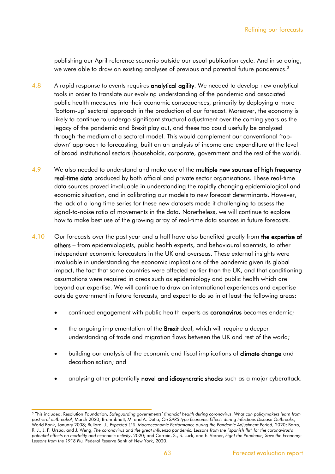publishing our April reference scenario outside our usual publication cycle. And in so doing, we were able to draw on existing analyses of previous and potential future pandemics. $^3$ 

- 4.8 A rapid response to events requires analytical agility. We needed to develop new analytical tools in order to translate our evolving understanding of the pandemic and associated public health measures into their economic consequences, primarily by deploying a more 'bottom-up' sectoral approach in the production of our forecast. Moreover, the economy is likely to continue to undergo significant structural adjustment over the coming years as the legacy of the pandemic and Brexit play out, and these too could usefully be analysed through the medium of a sectoral model. This would complement our conventional 'topdown' approach to forecasting, built on an analysis of income and expenditure at the level of broad institutional sectors (households, corporate, government and the rest of the world).
- 4.9 We also needed to understand and make use of the multiple new sources of high frequency real-time data produced by both official and private sector organisations. These real-time data sources proved invaluable in understanding the rapidly changing epidemiological and economic situation, and in calibrating our models to new forecast determinants. However, the lack of a long time series for these new datasets made it challenging to assess the signal-to-noise ratio of movements in the data. Nonetheless, we will continue to explore how to make best use of the growing array of real-time data sources in future forecasts.
- 4.10 Our forecasts over the past year and a half have also benefited greatly from the expertise of others – from epidemiologists, public health experts, and behavioural scientists, to other independent economic forecasters in the UK and overseas. These external insights were invaluable in understanding the economic implications of the pandemic given its global impact, the fact that some countries were affected earlier than the UK, and that conditioning assumptions were required in areas such as epidemiology and public health which are beyond our expertise. We will continue to draw on international experiences and expertise outside government in future forecasts, and expect to do so in at least the following areas:
	- continued engagement with public health experts as coronavirus becomes endemic;
	- the ongoing implementation of the **Brexit** deal, which will require a deeper understanding of trade and migration flows between the UK and rest of the world;
	- building our analysis of the economic and fiscal implications of **climate change** and decarbonisation; and
	- analysing other potentially novel and idiosyncratic shocks such as a major cyberattack.

<sup>3</sup> This included: Resolution Foundation, *Safeguarding governments' financial health during coronavirus: What can policymakers learn from past viral outbreaks?*, March 2020; Brahmbhatt, M. and A. Dutta, *On SARS-type Economic Effects during Infectious Disease Outbreaks*, World Bank, January 2008; Bullard, J., *Expected U.S. Macroeconomic Performance during the Pandemic Adjustment Period*, 2020; Barro, R. J., J. F. Ursúa, and J. Weng, *The coronavirus and the great influenza pandemic: Lessons from the "spanish flu" for the coronavirus's potential effects on mortality and economic activity*, 2020; and Correia, S., S. Luck, and E. Verner, *Fight the Pandemic, Save the Economy: Lessons from the 1918 Flu,* Federal Reserve Bank of New York, 2020.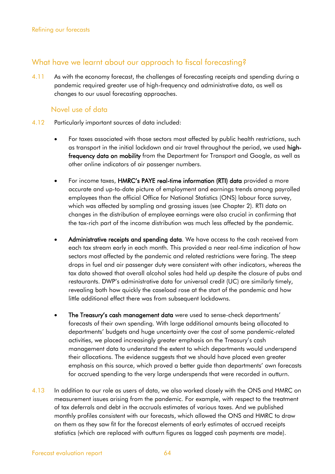## What have we learnt about our approach to fiscal forecasting?

4.11 As with the economy forecast, the challenges of forecasting receipts and spending during a pandemic required greater use of high-frequency and administrative data, as well as changes to our usual forecasting approaches.

## Novel use of data

- 4.12 Particularly important sources of data included:
	- For taxes associated with those sectors most affected by public health restrictions, such as transport in the initial lockdown and air travel throughout the period, we used highfrequency data on mobility from the Department for Transport and Google, as well as other online indicators of air passenger numbers.
	- For income taxes, HMRC's PAYE real-time information (RTI) data provided a more accurate and up-to-date picture of employment and earnings trends among payrolled employees than the official Office for National Statistics (ONS) labour force survey, which was affected by sampling and grossing issues (see Chapter 2). RTI data on changes in the distribution of employee earnings were also crucial in confirming that the tax-rich part of the income distribution was much less affected by the pandemic.
	- Administrative receipts and spending data. We have access to the cash received from each tax stream early in each month. This provided a near real-time indication of how sectors most affected by the pandemic and related restrictions were faring. The steep drops in fuel and air passenger duty were consistent with other indicators, whereas the tax data showed that overall alcohol sales had held up despite the closure of pubs and restaurants. DWP's administrative data for universal credit (UC) are similarly timely, revealing both how quickly the caseload rose at the start of the pandemic and how little additional effect there was from subsequent lockdowns.
	- The Treasury's cash management data were used to sense-check departments' forecasts of their own spending. With large additional amounts being allocated to departments' budgets and huge uncertainty over the cost of some pandemic-related activities, we placed increasingly greater emphasis on the Treasury's cash management data to understand the extent to which departments would underspend their allocations. The evidence suggests that we should have placed even greater emphasis on this source, which proved a better guide than departments' own forecasts for accrued spending to the very large underspends that were recorded in outturn.
- 4.13 In addition to our role as users of data, we also worked closely with the ONS and HMRC on measurement issues arising from the pandemic. For example, with respect to the treatment of tax deferrals and debt in the accruals estimates of various taxes. And we published monthly profiles consistent with our forecasts, which allowed the ONS and HMRC to draw on them as they saw fit for the forecast elements of early estimates of accrued receipts statistics (which are replaced with outturn figures as lagged cash payments are made).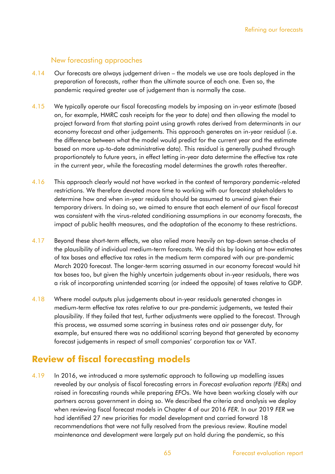## New forecasting approaches

- 4.14 Our forecasts are always judgement driven the models we use are tools deployed in the preparation of forecasts, rather than the ultimate source of each one. Even so, the pandemic required greater use of judgement than is normally the case.
- 4.15 We typically operate our fiscal forecasting models by imposing an in-year estimate (based on, for example, HMRC cash receipts for the year to date) and then allowing the model to project forward from that starting point using growth rates derived from determinants in our economy forecast and other judgements. This approach generates an in-year residual (i.e. the difference between what the model would predict for the current year and the estimate based on more up-to-date administrative data). This residual is generally pushed through proportionately to future years, in effect letting in-year data determine the effective tax rate in the current year, while the forecasting model determines the growth rates thereafter.
- 4.16 This approach clearly would not have worked in the context of temporary pandemic-related restrictions. We therefore devoted more time to working with our forecast stakeholders to determine how and when in-year residuals should be assumed to unwind given their temporary drivers. In doing so, we aimed to ensure that each element of our fiscal forecast was consistent with the virus-related conditioning assumptions in our economy forecasts, the impact of public health measures, and the adaptation of the economy to these restrictions.
- 4.17 Beyond these short-term effects, we also relied more heavily on top-down sense-checks of the plausibility of individual medium-term forecasts. We did this by looking at how estimates of tax bases and effective tax rates in the medium term compared with our pre-pandemic March 2020 forecast. The longer-term scarring assumed in our economy forecast would hit tax bases too, but given the highly uncertain judgements about in-year residuals, there was a risk of incorporating unintended scarring (or indeed the opposite) of taxes relative to GDP.
- 4.18 Where model outputs plus judgements about in-year residuals generated changes in medium-term effective tax rates relative to our pre-pandemic judgements, we tested their plausibility. If they failed that test, further adjustments were applied to the forecast. Through this process, we assumed some scarring in business rates and air passenger duty, for example, but ensured there was no additional scarring beyond that generated by economy forecast judgements in respect of small companies' corporation tax or VAT.

## **Review of fiscal forecasting models**

4.19 In 2016, we introduced a more systematic approach to following up modelling issues revealed by our analysis of fiscal forecasting errors in *Forecast evaluation reports* (*FER*s) and raised in forecasting rounds while preparing *EFO*s. We have been working closely with our partners across government in doing so. We described the criteria and analysis we deploy when reviewing fiscal forecast models in Chapter 4 of our 2016 *FER*. In our 2019 *FER* we had identified 27 new priorities for model development and carried forward 18 recommendations that were not fully resolved from the previous review. Routine model maintenance and development were largely put on hold during the pandemic, so this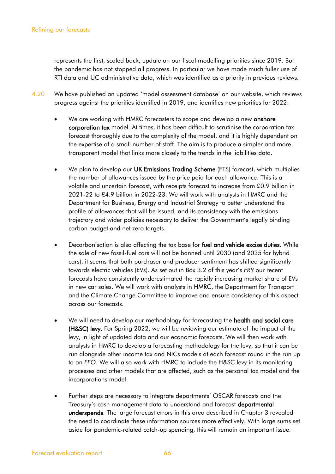represents the first, scaled back, update on our fiscal modelling priorities since 2019. But the pandemic has not stopped all progress. In particular we have made much fuller use of RTI data and UC administrative data, which was identified as a priority in previous reviews.

- 4.20 We have published an updated 'model assessment database' on our website, which reviews progress against the priorities identified in 2019, and identifies new priorities for 2022:
	- We are working with HMRC forecasters to scope and develop a new onshore corporation tax model. At times, it has been difficult to scrutinise the corporation tax forecast thoroughly due to the complexity of the model, and it is highly dependent on the expertise of a small number of staff. The aim is to produce a simpler and more transparent model that links more closely to the trends in the liabilities data.
	- We plan to develop our UK Emissions Trading Scheme (ETS) forecast, which multiplies the number of allowances issued by the price paid for each allowance. This is a volatile and uncertain forecast, with receipts forecast to increase from £0.9 billion in 2021-22 to £4.9 billion in 2022-23. We will work with analysts in HMRC and the Department for Business, Energy and Industrial Strategy to better understand the profile of allowances that will be issued, and its consistency with the emissions trajectory and wider policies necessary to deliver the Government's legally binding carbon budget and net zero targets.
	- Decarbonisation is also affecting the tax base for fuel and vehicle excise duties. While the sale of new fossil-fuel cars will not be banned until 2030 (and 2035 for hybrid cars), it seems that both purchaser and producer sentiment has shifted significantly towards electric vehicles (EVs). As set out in Box 3.2 of this year's *FRR* our recent forecasts have consistently underestimated the rapidly increasing market share of EVs in new car sales. We will work with analysts in HMRC, the Department for Transport and the Climate Change Committee to improve and ensure consistency of this aspect across our forecasts.
	- We will need to develop our methodology for forecasting the health and social care (H&SC) levy. For Spring 2022, we will be reviewing our estimate of the impact of the levy, in light of updated data and our economic forecasts. We will then work with analysts in HMRC to develop a forecasting methodology for the levy, so that it can be run alongside other income tax and NICs models at each forecast round in the run up to an *EFO*. We will also work with HMRC to include the H&SC levy in its monitoring processes and other models that are affected, such as the personal tax model and the incorporations model.
	- Further steps are necessary to integrate departments' OSCAR forecasts and the Treasury's cash management data to understand and forecast departmental underspends. The large forecast errors in this area described in Chapter 3 revealed the need to coordinate these information sources more effectively. With large sums set aside for pandemic-related catch-up spending, this will remain an important issue.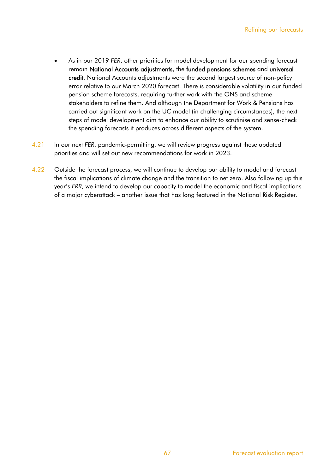- As in our 2019 *FER*, other priorities for model development for our spending forecast remain National Accounts adjustments, the funded pensions schemes and universal credit. National Accounts adjustments were the second largest source of non-policy error relative to our March 2020 forecast. There is considerable volatility in our funded pension scheme forecasts, requiring further work with the ONS and scheme stakeholders to refine them. And although the Department for Work & Pensions has carried out significant work on the UC model (in challenging circumstances), the next steps of model development aim to enhance our ability to scrutinise and sense-check the spending forecasts it produces across different aspects of the system.
- 4.21 In our next *FER*, pandemic-permitting, we will review progress against these updated priorities and will set out new recommendations for work in 2023.
- 4.22 Outside the forecast process, we will continue to develop our ability to model and forecast the fiscal implications of climate change and the transition to net zero. Also following up this year's *FRR*, we intend to develop our capacity to model the economic and fiscal implications of a major cyberattack – another issue that has long featured in the National Risk Register.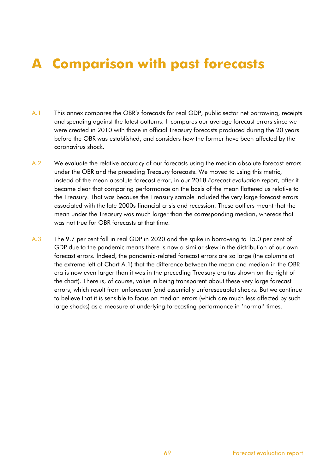# **A Comparison with past forecasts**

- A.1 This annex compares the OBR's forecasts for real GDP, public sector net borrowing, receipts and spending against the latest outturns. It compares our average forecast errors since we were created in 2010 with those in official Treasury forecasts produced during the 20 years before the OBR was established, and considers how the former have been affected by the coronavirus shock.
- A.2 We evaluate the relative accuracy of our forecasts using the median absolute forecast errors under the OBR and the preceding Treasury forecasts. We moved to using this metric, instead of the mean absolute forecast error, in our 2018 *Forecast evaluation report*, after it became clear that comparing performance on the basis of the mean flattered us relative to the Treasury. That was because the Treasury sample included the very large forecast errors associated with the late 2000s financial crisis and recession. These outliers meant that the mean under the Treasury was much larger than the corresponding median, whereas that was not true for OBR forecasts at that time.
- A.3 The 9.7 per cent fall in real GDP in 2020 and the spike in borrowing to 15.0 per cent of GDP due to the pandemic means there is now a similar skew in the distribution of our own forecast errors. Indeed, the pandemic-related forecast errors are so large (the columns at the extreme left of Chart A.1) that the difference between the mean and median in the OBR era is now even larger than it was in the preceding Treasury era (as shown on the right of the chart). There is, of course, value in being transparent about these very large forecast errors, which result from unforeseen (and essentially unforeseeable) shocks. But we continue to believe that it is sensible to focus on median errors (which are much less affected by such large shocks) as a measure of underlying forecasting performance in 'normal' times.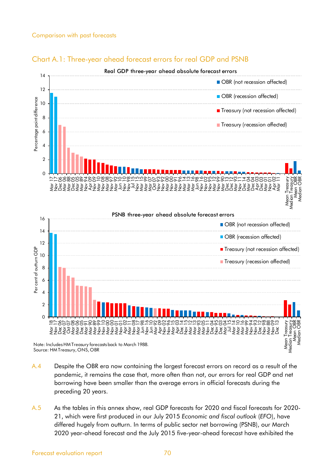

#### Chart A.1: Three-year ahead forecast errors for real GDP and PSNB



Note: Includes HM Treasury forecasts back to March 1988. Source: HM Treasury, ONS, OBR

- A.4 Despite the OBR era now containing the largest forecast errors on record as a result of the pandemic, it remains the case that, more often than not, our errors for real GDP and net borrowing have been smaller than the average errors in official forecasts during the preceding 20 years.
- A.5 As the tables in this annex show, real GDP forecasts for 2020 and fiscal forecasts for 2020- 21, which were first produced in our July 2015 *Economic and fiscal outlook* (*EFO*), have differed hugely from outturn. In terms of public sector net borrowing (PSNB), our March 2020 year-ahead forecast and the July 2015 five-year-ahead forecast have exhibited the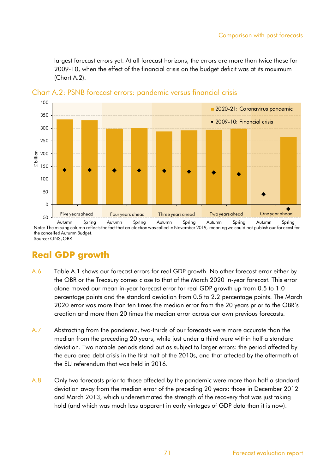largest forecast errors yet. At all forecast horizons, the errors are more than twice those for 2009-10, when the effect of the financial crisis on the budget deficit was at its maximum (Chart A.2).



Chart A.2: PSNB forecast errors: pandemic versus financial crisis

the cancelled Autumn Budget. Source: ONS, OBR

## **Real GDP growth**

- A.6 Table A.1 shows our forecast errors for real GDP growth. No other forecast error either by the OBR or the Treasury comes close to that of the March 2020 in-year forecast. This error alone moved our mean in-year forecast error for real GDP growth up from 0.5 to 1.0 percentage points and the standard deviation from 0.5 to 2.2 percentage points. The March 2020 error was more than ten times the median error from the 20 years prior to the OBR's creation and more than 20 times the median error across our own previous forecasts.
- A.7 Abstracting from the pandemic, two-thirds of our forecasts were more accurate than the median from the preceding 20 years, while just under a third were within half a standard deviation. Two notable periods stand out as subject to larger errors: the period affected by the euro area debt crisis in the first half of the 2010s, and that affected by the aftermath of the EU referendum that was held in 2016.
- A.8 Cnly two forecasts prior to those affected by the pandemic were more than half a standard deviation away from the median error of the preceding 20 years: those in December 2012 and March 2013, which underestimated the strength of the recovery that was just taking hold (and which was much less apparent in early vintages of GDP data than it is now).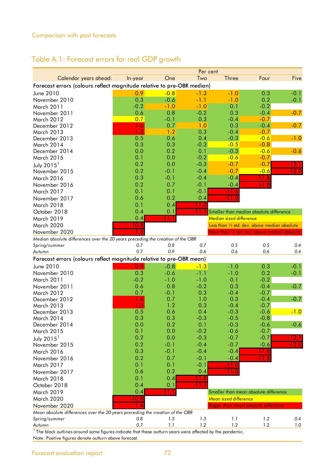## Table A.1: Forecast errors for real GDP growth

|                                                                                 |         |                  | Per cent   |                                               |         |         |
|---------------------------------------------------------------------------------|---------|------------------|------------|-----------------------------------------------|---------|---------|
| Calendar years ahead:                                                           | In-year | One              | Two        | Three                                         | Four    | Five    |
| Forecast errors (colours reflect magnitude relative to pre-OBR median)          |         |                  |            |                                               |         |         |
| June 2010                                                                       | 0.9     | $-0.8$           | $-1.3$     | $-1.0$                                        | 0.3     | $-0.1$  |
| November 2010                                                                   | 0.3     | $-0.6$           | $-1.1$     | $-1.0$                                        | 0.2     | $-0.1$  |
| March 2011                                                                      | $-0.2$  | $-1.0$           | $-1.0$     | 0.1                                           | $-0.2$  |         |
| November 2011                                                                   | 0.6     | 0.8              | $-0.2$     | 0.3                                           | $-0.4$  | $-0.7$  |
| March 2012                                                                      | 0.7     | $-0.1$           | 0.3        | $-0.4$                                        | $-0.7$  |         |
| December 2012                                                                   | 1.6     | 0.7              | 1.0        | 0.3                                           | $-0.4$  | $-0.7$  |
| March 2013                                                                      | 1.3     | 1.2              | 0.3        | $-0.4$                                        | $-0.7$  |         |
| December 2013                                                                   | 0.5     | 0.6              | 0.4        | $-0.3$                                        | $-0.6$  | $-1.0$  |
| March 2014                                                                      | 0.3     | 0.3              | $-0.3$     | $-0.5$                                        | $-0.8$  |         |
| December 2014                                                                   | 0.0     | 0.2              | 0.1        | $-0.3$                                        | $-0.6$  | $-0.6$  |
| March 2015                                                                      | 0.1     | 0.0              | $-0.2$     | $-0.6$                                        | $-0.7$  |         |
| July $20151$                                                                    | 0.2     | 0.0              | $-0.3$     | $-0.7$                                        | $-0.7$  | -12.1   |
| November 2015                                                                   | 0.2     | $-0.1$           | $-0.4$     | $-0.7$                                        | $-0.6$  | -12.0   |
| March 2016                                                                      | 0.3     | $-0.1$           | $-0.4$     | $-0.4$                                        | $-11.8$ |         |
| November 2016                                                                   | 0.2     | 0.7              | $-0.1$     | $-0.4$                                        | -11.8   |         |
| March 2017                                                                      | 0.1     | 0.1              | $-0.1$     | -11.6                                         |         |         |
| November 2017                                                                   | 0.6     | 0.2              | 0.4        |                                               |         |         |
| March 2018                                                                      | 0.1     | 0.4              | $-11.0$    |                                               |         |         |
| October 2018                                                                    | 0.4     | 0.1              | -11.1      | Smaller than median absolute difference       |         |         |
| March 2019                                                                      | 0.4     | <u> Time</u>     |            | Median sized difference                       |         |         |
| March 2020                                                                      | $-10.8$ |                  |            | Less than 1/2 std. dev. above median absolute |         |         |
| November 2020                                                                   |         |                  |            | More than 1/2 std. dev. above median absolute |         |         |
| Median absolute differences over the 20 years preceding the creation of the OBR | 0.7     | 0,8              |            | 0.5                                           | 0.5     | 0.4     |
| Spring/summer<br>Autumn                                                         | 0.7     | 0.9              | 0.7<br>0.6 | 0.6                                           | 0.6     | 0.4     |
| Forecast errors (colours reflect magnitude relative to pre-OBR mean)            |         |                  |            |                                               |         |         |
| June 2010                                                                       | 0.9     | $-0.8$           | $-1.3$     | $-1.0$                                        | 0.3     | $-0.1$  |
| November 2010                                                                   | 0.3     |                  | $-1.1$     | $-1.0$                                        | 0.2     |         |
| March 2011                                                                      | $-0.2$  | $-0.6$<br>$-1.0$ | $-1.0$     | 0.1                                           | $-0.2$  | $-0.1$  |
| November 2011                                                                   | 0.6     | 0.8              | $-0.2$     | 0.3                                           | $-0.4$  | $-0.7$  |
| March 2012                                                                      | 0.7     | $-0.1$           | 0.3        | $-0.4$                                        | $-0.7$  |         |
| December 2012                                                                   | 1.6     | 0.7              | 1.0        | 0.3                                           | $-0.4$  | $-0.7$  |
| March 2013                                                                      | 1.3     | 1.2              | 0.3        | $-0.4$                                        | $-0.7$  |         |
| December 2013                                                                   | 0.5     | 0.6              | 0.4        | $-0.3$                                        | $-0.6$  | $-1.0$  |
| March 2014                                                                      | 0.3     | 0.3              | $-0.3$     | $-0.5$                                        | $-0.8$  |         |
| December 2014                                                                   | 0.0     | 0.2              | 0.1        | $-0.3$                                        | $-0.6$  | $-0.6$  |
| <b>March 2015</b>                                                               | 0.1     | 0.0              | $-0.2$     | $-0.6$                                        | $-0.7$  |         |
| July $2015^1$                                                                   | 0.2     | 0.0              | $-0.3$     | $-0.7$                                        | $-0.7$  | $-12.1$ |
| November 2015                                                                   | 0.2     | $-0.1$           | $-0.4$     | $-0.7$                                        | $-0.6$  | $-12.0$ |
| March 2016                                                                      | 0.3     | $-0.1$           | $-0.4$     | $-0.4$                                        | $-11.8$ |         |
| November 2016                                                                   | 0.2     | 0.7              | $-0.1$     | $-0.4$                                        | $-11.8$ |         |
| March 2017                                                                      | 0.1     | 0.1              | $-0.1$     | $-11.6$                                       |         |         |
| November 2017                                                                   | 0.6     | 0.2              | 0.4        | $-11.0$                                       |         |         |
| March 2018                                                                      | 0.1     | 0.4              | $-11.0$    |                                               |         |         |
| October 2018                                                                    | 0.4     | 0.1              | $-11.1$    |                                               |         |         |
| March 2019                                                                      | 0.4     | -11.1            |            | Smaller than mean absolute difference         |         |         |
| March 2020                                                                      | $-10.8$ |                  |            | Mean sized difference                         |         |         |
| November 2020                                                                   | 1.6     |                  |            | Bigger than mean absolute difference          |         |         |
| Mean absolute differences over the 20 years preceding the creation of the OBR   |         |                  |            |                                               |         |         |
| Spring/summer                                                                   | 0.8     | 1.3              | 1.3        | 1.1                                           | 1.2     | 0.4     |
| Autumn                                                                          | 0.7     | 1.1              | 1.2        | 1.2                                           | 1.2     | 1.0     |

 $^{\rm 1}$  The black outlines around some figures indicate that these outturn years were affected by the pandemic. Note: Positive figures denote outturn above forecast.

Forecast evaluation report 72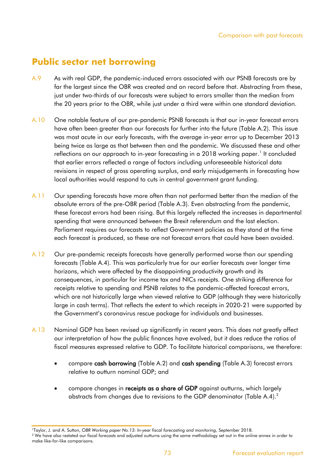## **Public sector net borrowing**

- A.9 As with real GDP, the pandemic-induced errors associated with our PSNB forecasts are by far the largest since the OBR was created and on record before that. Abstracting from these, just under two-thirds of our forecasts were subject to errors smaller than the median from the 20 years prior to the OBR, while just under a third were within one standard deviation.
- A.10 One notable feature of our pre-pandemic PSNB forecasts is that our in-year forecast errors have often been greater than our forecasts for further into the future (Table A.2). This issue was most acute in our early forecasts, with the average in-year error up to December 2013 being twice as large as that between then and the pandemic. We discussed these and other reflections on our approach to in-year forecasting in a 2018 working paper.<sup>1</sup> It concluded that earlier errors reflected a range of factors including unforeseeable historical data revisions in respect of gross operating surplus, and early misjudgements in forecasting how local authorities would respond to cuts in central government grant funding.
- A.11 Our spending forecasts have more often than not performed better than the median of the absolute errors of the pre-OBR period (Table A.3). Even abstracting from the pandemic, these forecast errors had been rising. But this largely reflected the increases in departmental spending that were announced between the Brexit referendum and the last election. Parliament requires our forecasts to reflect Government policies as they stand at the time each forecast is produced, so these are not forecast errors that could have been avoided.
- A.12 Our pre-pandemic receipts forecasts have generally performed worse than our spending forecasts (Table A.4). This was particularly true for our earlier forecasts over longer time horizons, which were affected by the disappointing productivity growth and its consequences, in particular for income tax and NICs receipts. One striking difference for receipts relative to spending and PSNB relates to the pandemic-affected forecast errors, which are not historically large when viewed relative to GDP (although they were historically large in cash terms). That reflects the extent to which receipts in 2020-21 were supported by the Government's coronavirus rescue package for individuals and businesses.
- A.13 Nominal GDP has been revised up significantly in recent years. This does not greatly affect our interpretation of how the public finances have evolved, but it does reduce the ratios of fiscal measures expressed relative to GDP. To facilitate historical comparisons, we therefore:
	- compare cash borrowing (Table A.2) and cash spending (Table A.3) forecast errors relative to outturn nominal GDP; and
	- compare changes in receipts as a share of GDP against outturns, which largely abstracts from changes due to revisions to the GDP denominator (Table A.4).<sup>2</sup>

<sup>1</sup>Taylor, J. and A. Sutton, *OBR Working paper No.13: In-year fiscal forecasting and monitoring*, September 2018.

<sup>&</sup>lt;sup>2</sup> We have also restated our fiscal forecasts and adjusted outturns using the same methodology set out in the online annex in order to make like-for-like comparisons.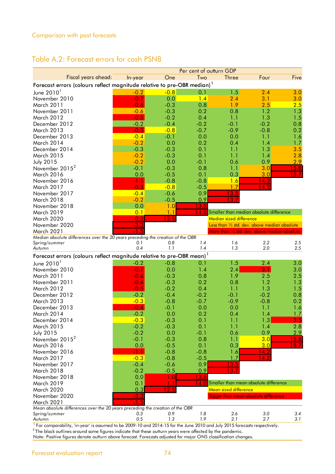#### Comparison with past forecasts

### Table A.2: Forecast errors for cash PSNB

|                                                                                     |         |                | Per cent of outturn GDP |                         |                                               |                   |
|-------------------------------------------------------------------------------------|---------|----------------|-------------------------|-------------------------|-----------------------------------------------|-------------------|
| Fiscal years ahead:                                                                 | In-year | One            | Two                     | <b>Three</b>            | Four                                          | Five              |
| Forecast errors (colours reflect magnitude relative to pre-OBR median) <sup>1</sup> |         |                |                         |                         |                                               |                   |
| June $20101$                                                                        | $-0.2$  | $-0.8$         | 0.1                     | 1.5                     | 2.4                                           | 3.0               |
| November 2010                                                                       | $-0.7$  | 0.0            | 1.4                     | 2.4                     | 3.1                                           | 3.0               |
| March 2011                                                                          | $-0.6$  | $-0.3$         | 0.8                     | 1.9                     | 2.5                                           | 2.5               |
| November 2011                                                                       | $-0.6$  | $-0.3$         | 0.2                     | 0.8                     | 1.2                                           | 1.3               |
| March 2012                                                                          | $-0.5$  | $-0.2$         | 0.4                     | 1.1                     | 1.3                                           | 1.5               |
| December 2012                                                                       | $-0.2$  | $-0.4$         | $-0.2$                  | $-0.1$                  | $-0.2$                                        | 0.8               |
| March 2013                                                                          | $-0.3$  | $-0.8$         | $-0.7$                  | $-0.9$                  | $-0.8$                                        | 0.2               |
| December 2013                                                                       | $-0.4$  | $-0.1$         | 0.0                     | 0.0                     | 1.1                                           | 1.6               |
| March 2014                                                                          | $-0.2$  | 0.0            | 0.2                     | 0.4                     | 1.4                                           | 1.7               |
| December 2014                                                                       | $-0.3$  | $-0.3$         | 0.1                     | 1.1                     | 1.3                                           | 3.5               |
| March 2015                                                                          | $-0.2$  | $-0.3$         | 0.1                     | 1.1                     | 1.4                                           | 2.8               |
| <b>July 2015</b>                                                                    | $-0.2$  | 0.0            | $-0.1$                  | 0.6                     | 0.9                                           | 2.9               |
| November 2015 <sup>2</sup>                                                          | $-0.1$  | $-0.3$         | 0.8                     | 1.1                     | 3.0                                           | 5.8               |
| March 2016                                                                          | 0.0     | $-0.5$         | 0.1                     | 0.3                     | 3.0                                           | 57                |
| November 2016                                                                       | $-1.1$  | $-0.8$         | $-0.8$                  | 1.6                     | 14.2                                          |                   |
| March 2017                                                                          | $-0.3$  | $-0.8$         | $-0.5$                  | 1.7                     | 14                                            |                   |
| November 2017                                                                       | $-0.4$  | $-0.6$         | 0.9                     | 13.5                    |                                               |                   |
| March 2018                                                                          | $-0.2$  | $-0.5$         | 0.9                     | 13.                     |                                               |                   |
| November 2018                                                                       | 0.0     | 1.0            | <u>13.8</u>             |                         |                                               |                   |
| March 2019                                                                          | 0.1     | 1 <sup>1</sup> | 14 O                    |                         | Smaller than median absolute difference       |                   |
| March 2020                                                                          | 0.3     | 2.5            |                         | Median sized difference |                                               |                   |
| November 2020                                                                       | $-3.3$  |                |                         |                         | Less than 1/2 std. dev. above median absolute |                   |
| March 2021                                                                          | ♦       |                |                         |                         | More than 1/2 std. dev. above median absolute |                   |
| Median absolute differences over the 20 years preceding the creation of the OBR     |         |                |                         |                         |                                               |                   |
| Spring/summer                                                                       | 0.1     | 0.8            | 1.4                     | 1.6                     | 2.2                                           | 2.5               |
| Autumn                                                                              | 0.4     | 1.1            | 1.4                     | 1.3                     | 2.0                                           | 2.5               |
| Forecast errors (colours reflect magnitude relative to pre-OBR mean) <sup>1</sup>   |         |                |                         |                         |                                               |                   |
| June $20101$                                                                        | $-0.2$  | $-0.8$         | 0.1                     | 1.5                     | 2.4                                           | 3.0               |
| November 2010                                                                       | $-0.7$  | 0.0            | 1.4                     | 2.4                     | 3.1                                           | 3.0               |
| March 2011                                                                          | $-0.6$  | $-0.3$         | 0.8                     | 1.9                     | 2.5                                           | 2.5               |
| November 2011                                                                       | $-0.6$  | $-0.3$         | 0.2                     | 0.8                     | 1.2                                           | 1.3               |
| March 2012                                                                          | $-0.5$  | $-0.2$         | 0.4                     | 1.1                     | 1.3                                           | 1.5               |
| December 2012                                                                       | $-0.2$  | $-0.4$         | $-0.2$                  | $-0.1$                  | $-0.2$                                        | 0.8               |
| March 2013                                                                          | $-0.3$  | $-0.8$         | $-0.7$                  | $-0.9$                  | $-0.8$                                        | 0.2               |
| December 2013                                                                       | $-0.4$  | $-0.1$         | 0.0                     | 0.0                     | 1.1                                           | 1.6               |
| March 2014                                                                          | $-0.2$  | 0.0            | 0.2                     | 0.4                     | 1.4                                           | 1.7               |
| December 2014                                                                       | $-0.3$  | $-0.3$         | 0.1                     | 1.1                     | 1.3                                           | 3.5               |
| <b>March 2015</b>                                                                   | $-0.2$  | $-0.3$         | 0.1                     | 1.1                     | 1.4                                           | 2.8               |
| <b>July 2015</b>                                                                    | $-0.2$  | 0.0            | $-0.1$                  | 0.6                     | 0.9                                           | 2.9               |
| November 2015 <sup>2</sup>                                                          | $-0.1$  | $-0.3$         | 0.8                     | 1.1                     | 3.0                                           | 15.8              |
| March 2016                                                                          | 0.0     | $-0.5$         | 0.1                     | 0.3                     | 3.0                                           | $\overline{15.7}$ |
| November 2016                                                                       | -1.1    | $-0.8$         | $-0.8$                  | 1.6                     | 14.2                                          |                   |
| <b>March 2017</b>                                                                   | $-0.3$  | $-0.8$         | $-0.5$                  | 1.7                     | $\overline{14.2}$                             |                   |
| November 2017                                                                       | $-0.4$  | $-0.6$         | 0.9                     | 13.5                    |                                               |                   |
| March 2018                                                                          | $-0.2$  | $-0.5$         | 0.9                     | 3                       |                                               |                   |
| November 2018                                                                       | 0.0     | 1.0            | 13.8                    |                         |                                               |                   |
| March 2019                                                                          | 0.1     |                | 14.0                    |                         | Smaller than mean absolute difference         |                   |
| March 2020                                                                          | 0.3     | 12.5           |                         | Mean sized difference   |                                               |                   |
| November 2020                                                                       | $-3.3$  |                |                         |                         | Bigger than mean absolute difference          |                   |
| March 2021                                                                          | $-1.5$  |                |                         |                         |                                               |                   |
| Mean absolute differences over the 20 years preceding the creation of the OBR       |         |                |                         |                         |                                               |                   |
| Spring/summer                                                                       | 0.3     | 0.9            | 1.8                     | 2.6                     | 3.0                                           | 3.4               |
| Autumn                                                                              | 0.5     | 1.3            | 1.9                     | 2.1                     | 2.7                                           | 3.1               |

<sup>1</sup> For comparability, 'in-year' is assumed to be 2009-10 and 2014-15 for the June 2010 and July 2015 forecasts respectively.

 $^2$ The black outlines around some figures indicate that these outturn years were affected by the pandemic.

Note: Positive figures denote outturn above forecast. Forecasts adjusted for major ONS classification changes.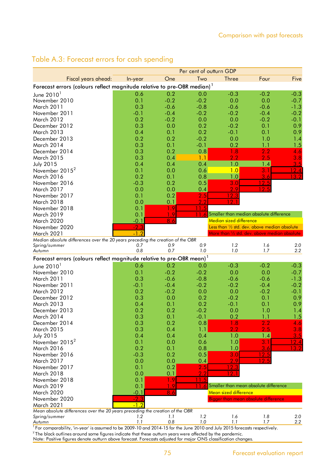|                                                                                                |         |        | Per cent of outturn GDP |                                               |                     |                 |
|------------------------------------------------------------------------------------------------|---------|--------|-------------------------|-----------------------------------------------|---------------------|-----------------|
| Fiscal years ahead:                                                                            | In-year | One    | Two                     | <b>Three</b>                                  | Four                | Five            |
| Forecast errors (colours reflect magnitude relative to pre-OBR median) <sup>1</sup>            |         |        |                         |                                               |                     |                 |
| June $20101$                                                                                   | 0.6     | 0.2    | 0.0                     | $-0.3$                                        | $-0.2$              | $-0.3$          |
| November 2010                                                                                  | 0.1     | $-0.2$ | $-0.2$                  | 0.0                                           | 0.0                 | $-0.7$          |
| March 2011                                                                                     | 0.3     | $-0.6$ | $-0.8$                  | $-0.6$                                        | $-0.6$              | $-1.3$          |
| November 2011                                                                                  | $-0.1$  | $-0.4$ | $-0.2$                  | $-0.2$                                        | $-0.4$              | $-0.2$          |
| March 2012                                                                                     | 0.2     | $-0.2$ | 0.0                     | 0.0                                           | $-0.2$              | $-0.1$          |
| December 2012                                                                                  | 0.3     | 0.0    | 0.2                     | $-0.2$                                        | 0.1                 | 0.9             |
| March 2013                                                                                     | 0.4     | 0.1    | 0.2                     | $-0.1$                                        | 0.1                 | 0.9             |
| December 2013                                                                                  | 0.2     | 0.2    | $-0.2$                  | 0.0                                           | 1.0                 | 1.4             |
| March 2014                                                                                     | 0.3     | 0.1    | $-0.1$                  | 0.2                                           | 1.1                 | 1.5             |
| December 2014                                                                                  | 0.3     | 0.2    | 0.8                     | 1.8                                           | 2.2                 | 4.6             |
| <b>March 2015</b>                                                                              | 0.3     | 0.4    | 1.1                     | 2.2                                           | 2.5                 | 3.8             |
| <b>July 2015</b>                                                                               | 0.4     | 0.4    | 0.4                     | 1.0                                           | 1.4                 | 3.5             |
| November 2015 <sup>2</sup>                                                                     | 0.1     | 0.0    | 0.6                     | 1.0                                           | 3.1                 | 2.4             |
| March 2016                                                                                     | 0.2     | 0.1    | 0.8                     | 1.0                                           | 3.6                 | $\blacklozenge$ |
| November 2016                                                                                  | $-0.3$  | 0.2    | 0.5                     | 3.0                                           | 12.5                |                 |
| March 2017                                                                                     | 0.0     | 0.0    | 0.4                     | 2.9                                           | 12.5                |                 |
| November 2017                                                                                  | 0.1     | 0.2    | 2.5                     | $12.\overline{3}$                             |                     |                 |
| March 2018                                                                                     | 0.0     | 0.1    | 2.2                     | 2 <sub>1</sub>                                |                     |                 |
| November 2018                                                                                  | 0.1     | 1.9    | -1                      |                                               |                     |                 |
| March 2019                                                                                     | 0.1     | - 9    |                         | Smaller than median absolute difference       |                     |                 |
| March 2020                                                                                     | $-0.1$  | 8.6    |                         | Median sized difference                       |                     |                 |
| November 2020                                                                                  | $-2.3$  |        |                         | Less than 1/2 std. dev. above median absolute |                     |                 |
| March 2021                                                                                     | $-1.2$  |        |                         | More than 1/2 std. dev. above median absolute |                     |                 |
| Median absolute differences over the 20 years preceding the creation of the OBR                |         |        |                         |                                               |                     |                 |
| Spring/summer                                                                                  | 0.7     | 0.9    | 0.9                     | 1.2                                           | 1.6                 | 2.0             |
| Autumn                                                                                         | 0,8     | 0.7    | 1.0                     | 1.0                                           | 1.7                 | 2.2             |
| Forecast errors (colours reflect magnitude relative to pre-OBR mean) <sup>1</sup>              |         |        |                         |                                               |                     |                 |
| June $20101$                                                                                   | 0.6     | 0.2    | 0.0                     | $-0.3$                                        | $-0.2$              | $-0.3$          |
| November 2010                                                                                  | 0.1     | $-0.2$ | $-0.2$                  | 0.0                                           | 0.0                 | $-0.7$          |
| March 2011                                                                                     | 0.3     | $-0.6$ | $-0.8$                  | $-0.6$                                        | $-0.6$              | $-1.3$          |
| November 2011                                                                                  | $-0.1$  | $-0.4$ | $-0.2$                  | $-0.2$                                        | $-0.4$              | $-0.2$          |
| March 2012                                                                                     | 0.2     | $-0.2$ | 0.0                     | 0.0                                           | $-0.2$              | $-0.1$          |
| December 2012                                                                                  | 0.3     | 0.0    | 0.2                     | $-0.2$                                        | 0.1                 | 0.9             |
| March 2013                                                                                     | 0.4     | 0.1    | 0.2                     | $-0.1$                                        | 0.1                 | 0.9             |
| December 2013                                                                                  | 0.2     | 0.2    | $-0.2$                  | 0.0                                           | 1.0                 | 1.4             |
| March 2014                                                                                     | 0.3     | 0.1    | $-0.1$                  | 0.2                                           | 1.1                 | 1.5             |
| December 2014                                                                                  | 0.3     | 0.2    | 0.8                     | 1.8                                           | 2.2                 | 4.6             |
| <b>March 2015</b>                                                                              | 0.3     | 0.4    | 1.1                     | 2.2                                           | 2.5                 | 3.8             |
| <b>July 2015</b>                                                                               | 0.4     | 0.4    | 0.4                     | 1.0                                           | 1.4                 | 3.5             |
| November 2015 <sup>2</sup>                                                                     | 0.1     | 0.0    | 0.6                     | 1.0                                           | 3.1                 | 12.4            |
| March 2016                                                                                     | 0.2     | 0.1    | 0.8                     | 1.0                                           | 3.6                 | 13.2            |
| November 2016                                                                                  | $-0.3$  | 0.2    | 0.5                     | 3.0                                           | $\frac{12.5}{12.5}$ |                 |
| <b>March 2017</b>                                                                              | 0.0     | 0.0    | 0.4                     | 2.9                                           |                     |                 |
| November 2017                                                                                  | 0.1     | 0.2    | 2.5                     | 12.3                                          |                     |                 |
| March 2018                                                                                     | 0.0     | 0.1    | 2.2                     | 2 <sub>1</sub>                                |                     |                 |
| November 2018                                                                                  | 0.1     | 1.9    | <u> 11.5</u>            |                                               |                     |                 |
| March 2019                                                                                     | 0.1     | 1.9    |                         | Smaller than mean absolute difference         |                     |                 |
| March 2020                                                                                     | $-0.1$  | 8.6    |                         | Mean sized difference                         |                     |                 |
| November 2020                                                                                  | $-2.3$  |        |                         | Bigger than mean absolute difference          |                     |                 |
| <b>March 2021</b>                                                                              | $-1, 2$ |        |                         |                                               |                     |                 |
| Mean absolute differences over the 20 years preceding the creation of the OBR<br>Spring/summer | 1.2     | 1.1    | 1.2                     | 1.6                                           | 1.8                 | 2.0             |
| Autumn                                                                                         | 1.1     | 0.8    | 1.0                     | 1.1                                           | 1.7                 | 2.2             |
|                                                                                                |         |        |                         |                                               |                     |                 |

## Table A.3: Forecast errors for cash spending

<sup>1</sup> For comparability, 'in-year' is assumed to be 2009-10 and 2014-15 for the June 2010 and July 2015 forecasts respectively.

Note: Positive figures denote outturn above forecast. Forecasts adjusted for major ONS classification changes.  $^2$ The black outlines around some figures indicate that these outturn years were affected by the pandemic.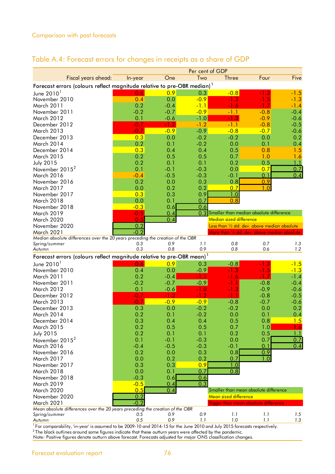|                                                                                                    |            |            | Per cent of GDP  |                                                         |            |            |
|----------------------------------------------------------------------------------------------------|------------|------------|------------------|---------------------------------------------------------|------------|------------|
| Fiscal years ahead:                                                                                | In-year    | One        | Two              | <b>Three</b>                                            | Four       | Five       |
| Forecast errors (colours reflect magnitude relative to pre-OBR median) <sup>1</sup>                |            |            |                  |                                                         |            |            |
| June $2010^1$                                                                                      | 0.6        | 0.9        | 0.3              | $-0.8$                                                  | $-1.3$     | $-1.5$     |
| November 2010                                                                                      | 0.4        | 0.0        | $-0.9$           | $-1.3$                                                  | $-1.5$     | $-1.3$     |
| March 2011                                                                                         | 0.2        | $-0.4$     | $-1.1$           | $-1.6$                                                  | $-1.7$     | $-1.4$     |
| November 2011                                                                                      | $-0.2$     | $-0.7$     | $-0.9$           | $-1.1$                                                  | $-0.8$     | $-0.4$     |
| March 2012                                                                                         | 0.1        | $-0.6$     | $-1.0$           | $-1.3$                                                  | $-0.9$     | $-0.6$     |
| December 2012                                                                                      | $-0.7$     | $-1.2$     | $-1.2$           | $-1.1$                                                  | $-0.8$     | $-0.5$     |
| March 2013                                                                                         | $-0.7$     | $-0.9$     | $-0.9$           | $-0.8$                                                  | $-0.7$     | $-0.6$     |
| December 2013                                                                                      | 0.3        | 0.0        | $-0.2$           | $-0.2$                                                  | 0.0        | 0.2        |
| March 2014                                                                                         | 0.2        | 0.1        | $-0.2$           | 0.0                                                     | 0.1        | 0.4        |
| December 2014                                                                                      | 0.3        | 0.4        | 0.4              | 0.5                                                     | 0.8        | 1.5        |
| <b>March 2015</b>                                                                                  | 0.2        | 0.5        | 0.5              | 0.7                                                     | 1.0        | 1.6        |
| <b>July 2015</b>                                                                                   | 0.2        | 0.1        | 0.1              | 0.2                                                     | 0.5        | 1.1        |
| November 2015 <sup>2</sup>                                                                         | 0.1        | $-0.1$     | $-0.3$           | 0.0                                                     | 0.7        | 0.7        |
| <b>March 2016</b>                                                                                  | $-0.4$     | $-0.5$     | $-0.3$           | $-0.1$                                                  | 0.1        | 0.4        |
| November 2016                                                                                      | 0.2        | 0.0        | 0.3              | 0.8                                                     | 0.9        |            |
| March 2017                                                                                         | 0.0        | 0.2        | 0.2              | 0.7                                                     | 1.0        |            |
| November 2017                                                                                      | 0.3        | 0.3        | 0.9              | 1.0                                                     |            |            |
| March 2018                                                                                         | 0.0        | 0.1        | 0.7              | 0.8                                                     |            |            |
| November 2018                                                                                      | $-0.3$     | 0.6        | 0.6              |                                                         |            |            |
| March 2019                                                                                         | $-0.5$     | 0.4        |                  | 0.3 Smaller than median absolute difference             |            |            |
| March 2020                                                                                         | 0.5        | 0.4        |                  | Median sized difference                                 |            |            |
| November 2020                                                                                      | 0.2        |            |                  | Less than 1/2 std. dev. above median absolute           |            |            |
| <b>March 2021</b>                                                                                  | $-0.2$     |            |                  | More than $\frac{1}{2}$ std. dev. above median absolute |            |            |
| Median absolute differences over the 20 years preceding the creation of the OBR                    |            |            |                  |                                                         |            |            |
| Spring/summer<br>Autumn                                                                            | 0.3<br>0.3 | 0.9<br>0.8 | 1.1<br>0.9       | 0,8<br>0,8                                              | 0.7<br>0.6 | 1.3<br>1.2 |
|                                                                                                    |            |            |                  |                                                         |            |            |
| Forecast errors (colours reflect magnitude relative to pre-OBR mean) <sup>1</sup>                  |            |            |                  |                                                         |            |            |
| June $2010^1$                                                                                      | 0.6        | 0.9        | 0.3              | $-0.8$                                                  | $-1.3$     | $-1.5$     |
| November 2010                                                                                      | 0.4        | 0.0        | $-0.9$           | $-1.3$                                                  | $-1.5$     | $-1.3$     |
| <b>March 2011</b>                                                                                  | 0.2        | $-0.4$     | $-1.1$           | $-1.6$                                                  | $-1.7$     | $-1.4$     |
| November 2011                                                                                      | $-0.2$     | $-0.7$     | $-0.9$           | $-1.1$                                                  | $-0.8$     | $-0.4$     |
| March 2012                                                                                         | 0.1        | $-0.6$     | $-1.0$           | $-1.3$                                                  | $-0.9$     | $-0.6$     |
| December 2012                                                                                      | $-0.7$     | $-1.2$     | $-1.2$           | $-1.1$                                                  | $-0.8$     | $-0.5$     |
| March 2013<br>December 2013                                                                        | $-0.7$     | $-0.9$     | $-0.9$           | $-0.8$                                                  | $-0.7$     | $-0.6$     |
|                                                                                                    | 0.3<br>0.2 | 0.0        | $-0.2$<br>$-0.2$ | $-0.2$<br>0.0                                           | 0.0        | 0.2<br>0.4 |
| March 2014                                                                                         | 0.3        | 0.1        |                  |                                                         | 0.1<br>0.8 | 1.5        |
| December 2014<br><b>March 2015</b>                                                                 | 0.2        | 0.4<br>0.5 | 0.4<br>0.5       | 0.5<br>0.7                                              | 1.0        | 1.6        |
| <b>July 2015</b>                                                                                   | 0.2        | 0.1        | 0.1              | 0.2                                                     | 0.5        | 1.1        |
| November 2015 <sup>2</sup>                                                                         |            |            |                  |                                                         |            | 0.7        |
|                                                                                                    |            |            |                  |                                                         |            |            |
|                                                                                                    | 0.1        | $-0.1$     | $-0.3$           | 0.0                                                     | 0.7        |            |
| March 2016                                                                                         | $-0.4$     | $-0.5$     | $-0.3$           | $-0.1$                                                  | 0.1        | 0.4        |
| November 2016                                                                                      | 0.2        | 0.0        | 0.3              | 0.8                                                     | 0.9        |            |
| March 2017                                                                                         | 0.0        | 0.2        | 0.2              | 0.7                                                     | 1.0        |            |
| November 2017                                                                                      | 0.3        | 0.3        | 0.9              | 1.0                                                     |            |            |
| March 2018                                                                                         | 0.0        | 0.1        | 0.7              | 0.8                                                     |            |            |
| November 2018                                                                                      | $-0.3$     | 0.6        | 0.6              |                                                         |            |            |
| March 2019                                                                                         | $-0.5$     | 0.4        | 0.3              |                                                         |            |            |
| March 2020                                                                                         | 0.5        | 0.4        |                  | Smaller than mean absolute difference                   |            |            |
| November 2020                                                                                      | 0.2        |            |                  | Mean sized difference                                   |            |            |
| <b>March 2021</b><br>Mean absolute differences over the 20 years preceding the creation of the OBR | $-0.2$     |            |                  | Bigger than mean absolute difference                    |            |            |
| Spring/summer<br>Autumn                                                                            | 0.5<br>0.5 | 0.9<br>0.9 | 0.9<br>1.1       | 1.1<br>1.0                                              | 1.1<br>1.1 | 1.5<br>1,3 |

### Table A.4: Forecast errors for changes in receipts as a share of GDP

 $^1$  For comparability, 'in-year' is assumed to be 2009-10 and 2014-15 for the June 2010 and July 2015 forecasts respectively.

 $^2$ The black outlines around some figures indicate that these outturn years were affected by the pandemic.

Note: Positive figures denote outturn above forecast. Forecasts adjusted for major ONS classification changes.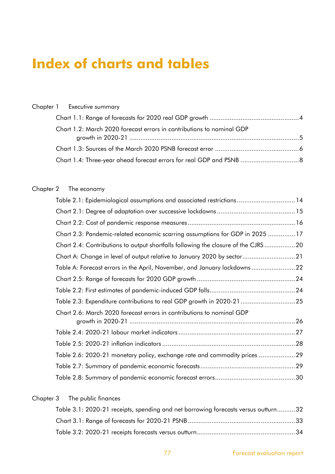# **Index of charts and tables**

|  | Chapter 1 Executive summary                                           |  |
|--|-----------------------------------------------------------------------|--|
|  |                                                                       |  |
|  | Chart 1.2: March 2020 forecast errors in contributions to nominal GDP |  |
|  |                                                                       |  |
|  |                                                                       |  |

## Chapter 2 The economy

| Table 2.1: Epidemiological assumptions and associated restrictions14              |
|-----------------------------------------------------------------------------------|
|                                                                                   |
|                                                                                   |
| Chart 2.3: Pandemic-related economic scarring assumptions for GDP in 2025 17      |
| Chart 2.4: Contributions to output shortfalls following the closure of the CJRS20 |
| Chart A: Change in level of output relative to January 2020 by sector21           |
| Table A: Forecast errors in the April, November, and January lockdowns22          |
|                                                                                   |
|                                                                                   |
| Table 2.3: Expenditure contributions to real GDP growth in 2020-21 25             |
| Chart 2.6: March 2020 forecast errors in contributions to nominal GDP             |
|                                                                                   |
|                                                                                   |
|                                                                                   |
| Table 2.6: 2020-21 monetary policy, exchange rate and commodity prices 29         |
|                                                                                   |
|                                                                                   |

#### Chapter 3 The public finances

| Table 3.1: 2020-21 receipts, spending and net borrowing forecasts versus outturn32 |  |
|------------------------------------------------------------------------------------|--|
|                                                                                    |  |
|                                                                                    |  |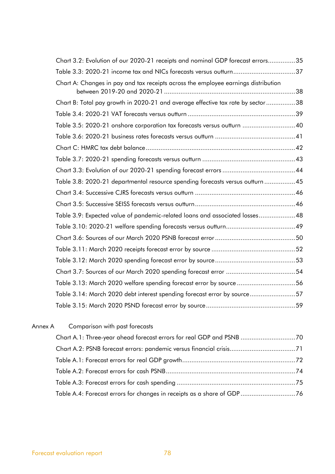| Chart 3.2: Evolution of our 2020-21 receipts and nominal GDP forecast errors35     |  |
|------------------------------------------------------------------------------------|--|
|                                                                                    |  |
| Chart A: Changes in pay and tax receipts across the employee earnings distribution |  |
| Chart B: Total pay growth in 2020-21 and average effective tax rate by sector 38   |  |
|                                                                                    |  |
| Table 3.5: 2020-21 onshore corporation tax forecasts versus outturn 40             |  |
|                                                                                    |  |
|                                                                                    |  |
|                                                                                    |  |
|                                                                                    |  |
| Table 3.8: 2020-21 departmental resource spending forecasts versus outturn 45      |  |
|                                                                                    |  |
|                                                                                    |  |
| Table 3.9: Expected value of pandemic-related loans and associated losses48        |  |
|                                                                                    |  |
|                                                                                    |  |
|                                                                                    |  |
|                                                                                    |  |
|                                                                                    |  |
| Table 3.13: March 2020 welfare spending forecast error by source 56                |  |
| Table 3.14: March 2020 debt interest spending forecast error by source57           |  |
|                                                                                    |  |
|                                                                                    |  |

| Annex A | Comparison with past forecasts |
|---------|--------------------------------|
|         |                                |